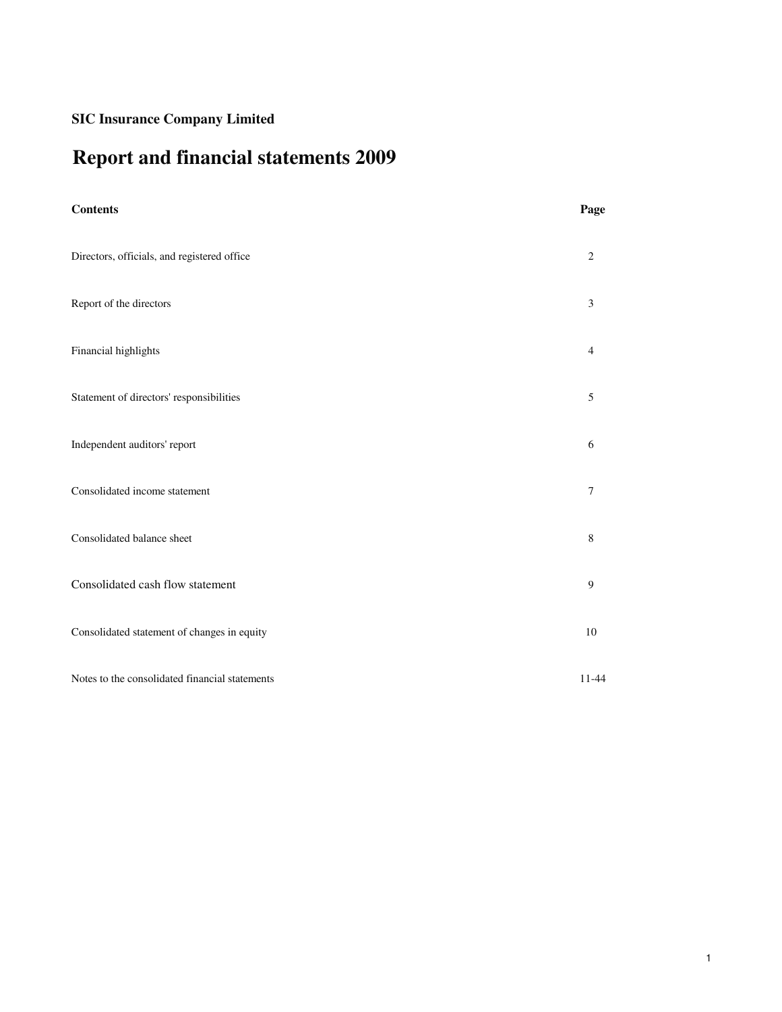# **Report and financial statements 2009**

| <b>Contents</b>                                | Page             |
|------------------------------------------------|------------------|
| Directors, officials, and registered office    | $\sqrt{2}$       |
| Report of the directors                        | $\mathfrak{Z}$   |
| Financial highlights                           | $\overline{4}$   |
| Statement of directors' responsibilities       | $\sqrt{5}$       |
| Independent auditors' report                   | 6                |
| Consolidated income statement                  | $\boldsymbol{7}$ |
| Consolidated balance sheet                     | $\,8\,$          |
| Consolidated cash flow statement               | $\boldsymbol{9}$ |
| Consolidated statement of changes in equity    | $10\,$           |
| Notes to the consolidated financial statements | $11 - 44$        |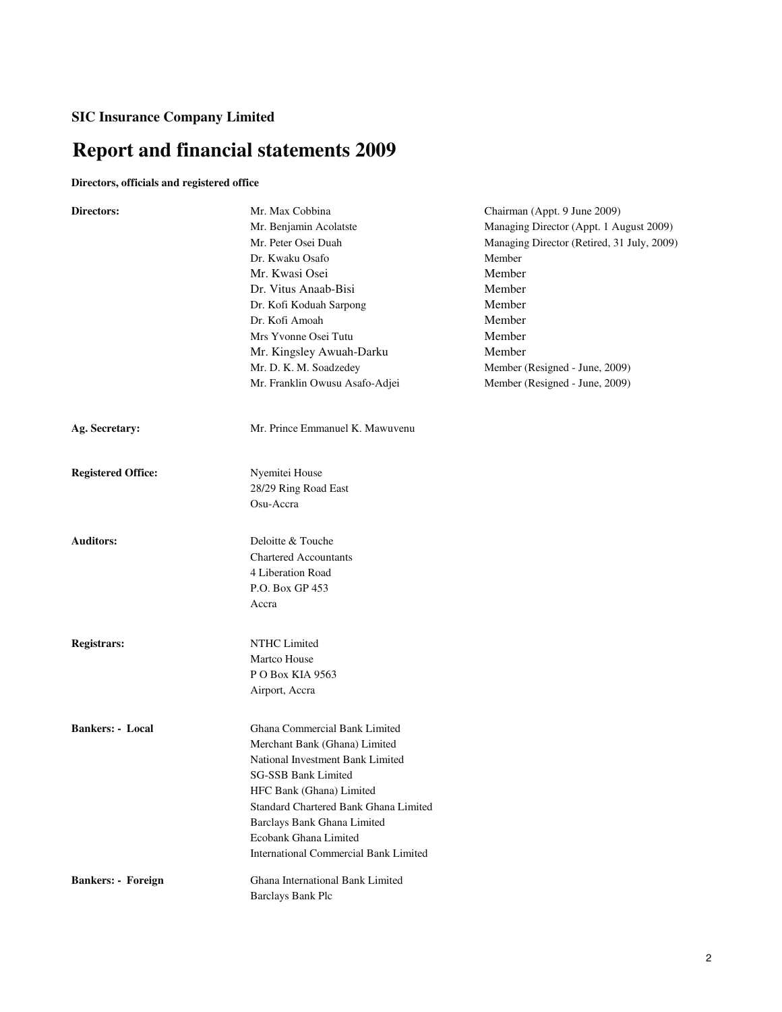# **Report and financial statements 2009**

# **Directors, officials and registered office**

| <b>Directors:</b>         | Mr. Max Cobbina                                              | Chairman (Appt. 9 June 2009)               |
|---------------------------|--------------------------------------------------------------|--------------------------------------------|
|                           | Mr. Benjamin Acolatste                                       | Managing Director (Appt. 1 August 2009)    |
|                           | Mr. Peter Osei Duah                                          | Managing Director (Retired, 31 July, 2009) |
|                           | Dr. Kwaku Osafo                                              | Member                                     |
|                           | Mr. Kwasi Osei                                               | Member                                     |
|                           | Dr. Vitus Anaab-Bisi                                         | Member                                     |
|                           | Dr. Kofi Koduah Sarpong                                      | Member                                     |
|                           | Dr. Kofi Amoah                                               | Member                                     |
|                           | Mrs Yvonne Osei Tutu                                         | Member                                     |
|                           | Mr. Kingsley Awuah-Darku                                     | Member                                     |
|                           | Mr. D. K. M. Soadzedey                                       | Member (Resigned - June, 2009)             |
|                           | Mr. Franklin Owusu Asafo-Adjei                               | Member (Resigned - June, 2009)             |
| Ag. Secretary:            | Mr. Prince Emmanuel K. Mawuvenu                              |                                            |
| <b>Registered Office:</b> | Nyemitei House                                               |                                            |
|                           | 28/29 Ring Road East                                         |                                            |
|                           | Osu-Accra                                                    |                                            |
| <b>Auditors:</b>          | Deloitte & Touche                                            |                                            |
|                           | <b>Chartered Accountants</b>                                 |                                            |
|                           | 4 Liberation Road                                            |                                            |
|                           | P.O. Box GP 453                                              |                                            |
|                           | Accra                                                        |                                            |
| <b>Registrars:</b>        | NTHC Limited                                                 |                                            |
|                           | Martco House                                                 |                                            |
|                           | PO Box KIA 9563                                              |                                            |
|                           | Airport, Accra                                               |                                            |
| <b>Bankers: - Local</b>   | Ghana Commercial Bank Limited                                |                                            |
|                           | Merchant Bank (Ghana) Limited                                |                                            |
|                           | National Investment Bank Limited                             |                                            |
|                           | SG-SSB Bank Limited                                          |                                            |
|                           | HFC Bank (Ghana) Limited                                     |                                            |
|                           | Standard Chartered Bank Ghana Limited                        |                                            |
|                           | Barclays Bank Ghana Limited                                  |                                            |
|                           | Ecobank Ghana Limited                                        |                                            |
|                           | <b>International Commercial Bank Limited</b>                 |                                            |
| <b>Bankers: - Foreign</b> | Ghana International Bank Limited<br><b>Barclays Bank Plc</b> |                                            |
|                           |                                                              |                                            |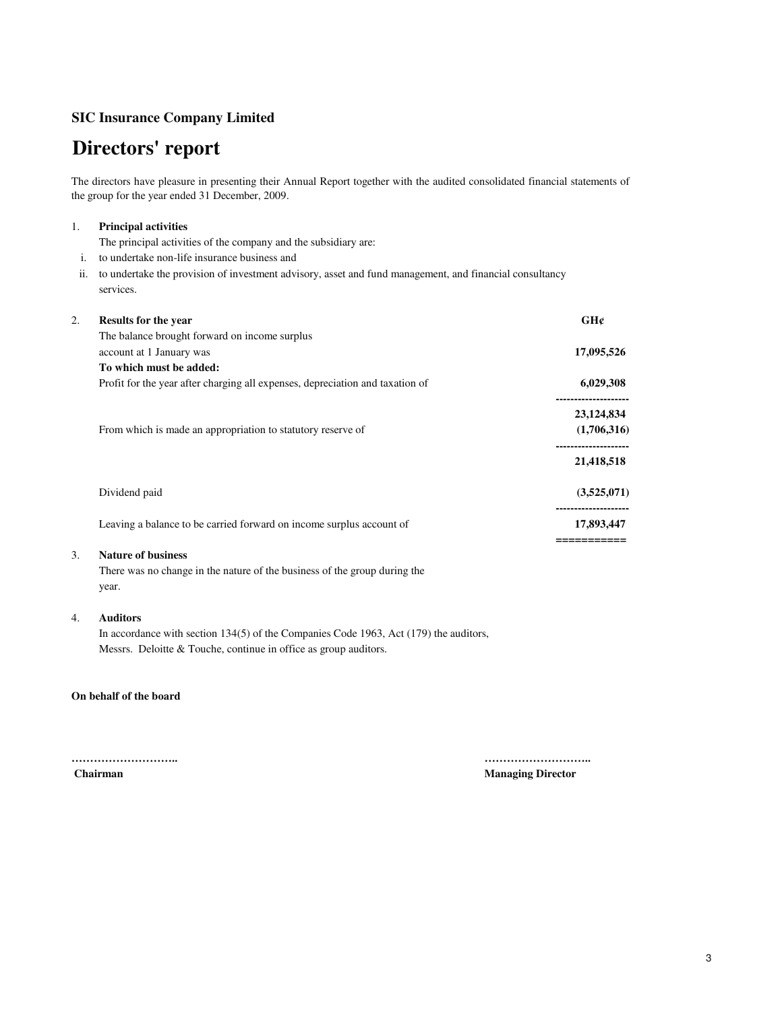# **Directors' report**

The directors have pleasure in presenting their Annual Report together with the audited consolidated financial statements of the group for the year ended 31 December, 2009.

## 1. **Principal activities**

The principal activities of the company and the subsidiary are:

i. to undertake non-life insurance business and

ii. to undertake the provision of investment advisory, asset and fund management, and financial consultancy services.

| 2. | <b>Results for the year</b>                                                   | GH¢         |
|----|-------------------------------------------------------------------------------|-------------|
|    | The balance brought forward on income surplus                                 |             |
|    | account at 1 January was                                                      | 17,095,526  |
|    | To which must be added:                                                       |             |
|    | Profit for the year after charging all expenses, depreciation and taxation of | 6,029,308   |
|    |                                                                               | 23,124,834  |
|    | From which is made an appropriation to statutory reserve of                   | (1,706,316) |
|    |                                                                               | 21,418,518  |
|    | Dividend paid                                                                 | (3,525,071) |
|    | Leaving a balance to be carried forward on income surplus account of          | 17,893,447  |
|    |                                                                               |             |

# 3. **Nature of business**

There was no change in the nature of the business of the group during the year.

## 4. **Auditors**

In accordance with section 134(5) of the Companies Code 1963, Act (179) the auditors, Messrs. Deloitte & Touche, continue in office as group auditors.

## **On behalf of the board**

**……………………….. ……………………….. Chairman Managing Director** Managing Director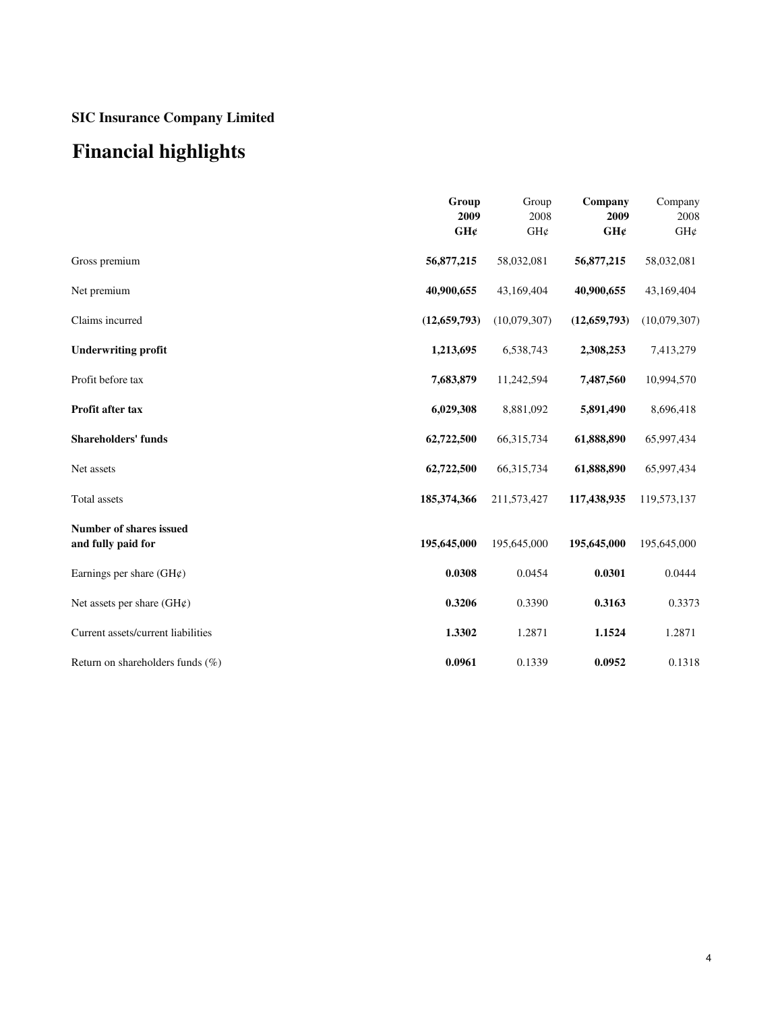# **Financial highlights**

|                                                      | Group<br>2009<br>GH¢ | Group<br>2008<br>GH¢ | Company<br>2009<br>GH¢ | Company<br>2008<br>GH¢ |
|------------------------------------------------------|----------------------|----------------------|------------------------|------------------------|
| Gross premium                                        | 56,877,215           | 58,032,081           | 56,877,215             | 58,032,081             |
| Net premium                                          | 40,900,655           | 43,169,404           | 40,900,655             | 43,169,404             |
| Claims incurred                                      | (12, 659, 793)       | (10,079,307)         | (12, 659, 793)         | (10,079,307)           |
| <b>Underwriting profit</b>                           | 1,213,695            | 6,538,743            | 2,308,253              | 7,413,279              |
| Profit before tax                                    | 7,683,879            | 11,242,594           | 7,487,560              | 10,994,570             |
| Profit after tax                                     | 6,029,308            | 8,881,092            | 5,891,490              | 8,696,418              |
| <b>Shareholders' funds</b>                           | 62,722,500           | 66,315,734           | 61,888,890             | 65,997,434             |
| Net assets                                           | 62,722,500           | 66,315,734           | 61,888,890             | 65,997,434             |
| Total assets                                         | 185,374,366          | 211,573,427          | 117,438,935            | 119,573,137            |
| <b>Number of shares issued</b><br>and fully paid for | 195,645,000          | 195,645,000          | 195,645,000            | 195,645,000            |
| Earnings per share $(GH\varphi)$                     | 0.0308               | 0.0454               | 0.0301                 | 0.0444                 |
| Net assets per share $(GH\varphi)$                   | 0.3206               | 0.3390               | 0.3163                 | 0.3373                 |
| Current assets/current liabilities                   | 1.3302               | 1.2871               | 1.1524                 | 1.2871                 |
| Return on shareholders funds $(\%)$                  | 0.0961               | 0.1339               | 0.0952                 | 0.1318                 |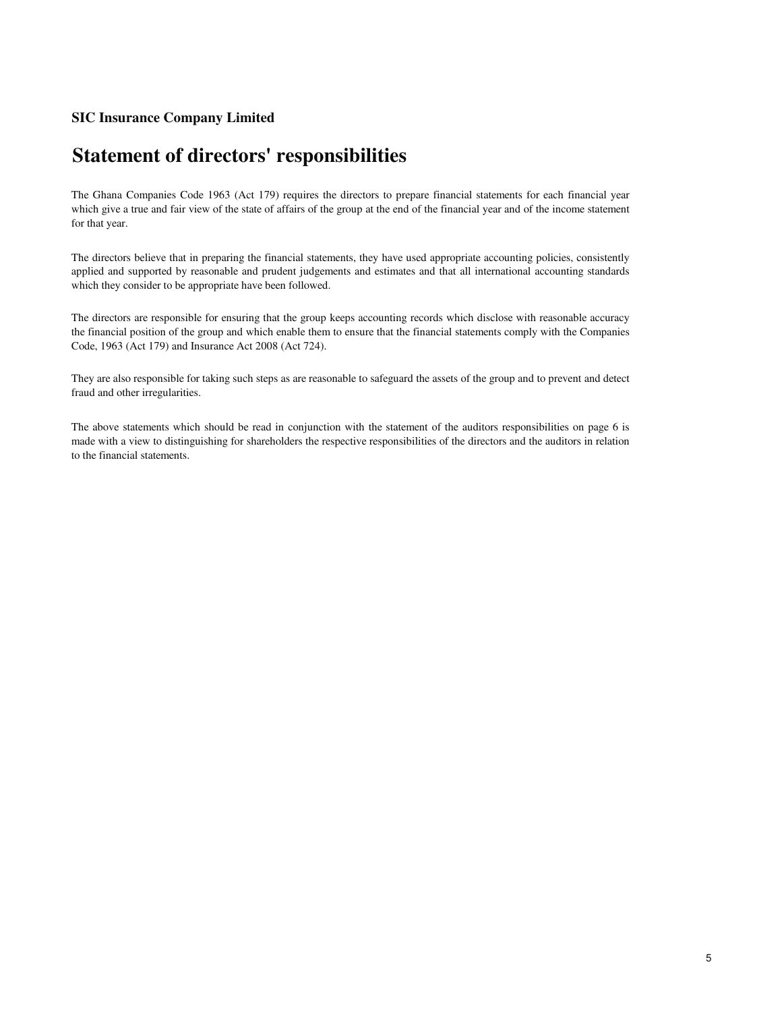# **Statement of directors' responsibilities**

The Ghana Companies Code 1963 (Act 179) requires the directors to prepare financial statements for each financial year which give a true and fair view of the state of affairs of the group at the end of the financial year and of the income statement for that year.

The directors believe that in preparing the financial statements, they have used appropriate accounting policies, consistently applied and supported by reasonable and prudent judgements and estimates and that all international accounting standards which they consider to be appropriate have been followed.

The directors are responsible for ensuring that the group keeps accounting records which disclose with reasonable accuracy the financial position of the group and which enable them to ensure that the financial statements comply with the Companies Code, 1963 (Act 179) and Insurance Act 2008 (Act 724).

They are also responsible for taking such steps as are reasonable to safeguard the assets of the group and to prevent and detect fraud and other irregularities.

The above statements which should be read in conjunction with the statement of the auditors responsibilities on page 6 is made with a view to distinguishing for shareholders the respective responsibilities of the directors and the auditors in relation to the financial statements.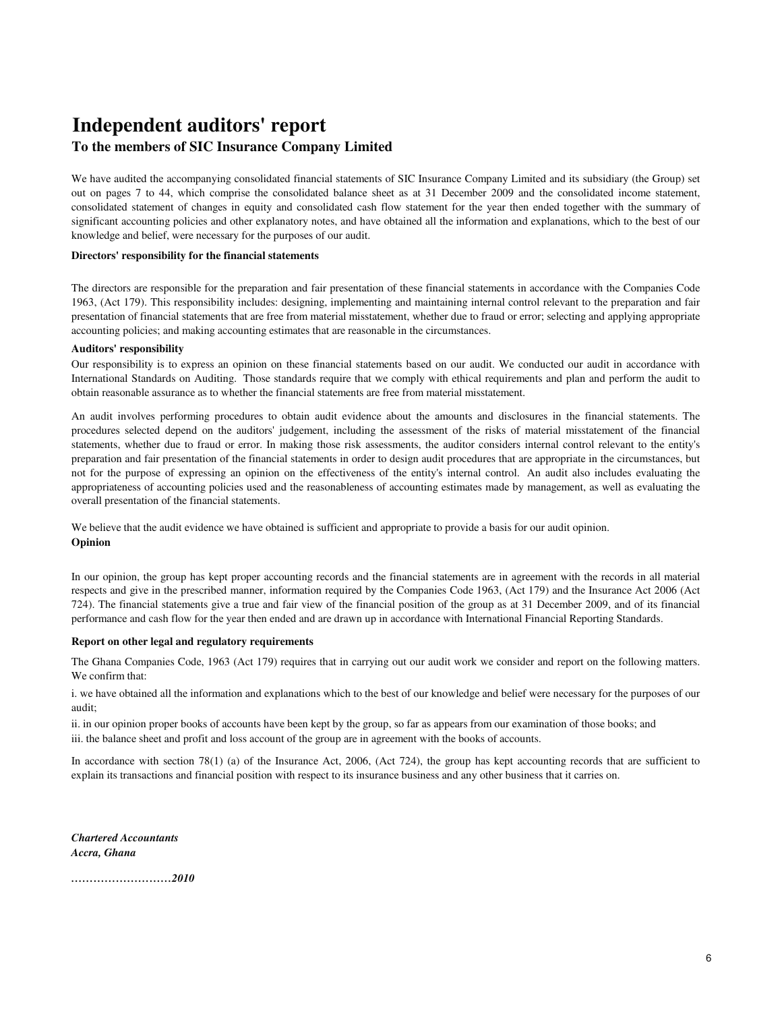# **Independent auditors' report**

## **To the members of SIC Insurance Company Limited**

We have audited the accompanying consolidated financial statements of SIC Insurance Company Limited and its subsidiary (the Group) set out on pages 7 to 44, which comprise the consolidated balance sheet as at 31 December 2009 and the consolidated income statement, consolidated statement of changes in equity and consolidated cash flow statement for the year then ended together with the summary of significant accounting policies and other explanatory notes, and have obtained all the information and explanations, which to the best of our knowledge and belief, were necessary for the purposes of our audit.

## **Directors' responsibility for the financial statements**

The directors are responsible for the preparation and fair presentation of these financial statements in accordance with the Companies Code 1963, (Act 179). This responsibility includes: designing, implementing and maintaining internal control relevant to the preparation and fair presentation of financial statements that are free from material misstatement, whether due to fraud or error; selecting and applying appropriate accounting policies; and making accounting estimates that are reasonable in the circumstances.

### **Auditors' responsibility**

Our responsibility is to express an opinion on these financial statements based on our audit. We conducted our audit in accordance with International Standards on Auditing. Those standards require that we comply with ethical requirements and plan and perform the audit to obtain reasonable assurance as to whether the financial statements are free from material misstatement.

An audit involves performing procedures to obtain audit evidence about the amounts and disclosures in the financial statements. The procedures selected depend on the auditors' judgement, including the assessment of the risks of material misstatement of the financial statements, whether due to fraud or error. In making those risk assessments, the auditor considers internal control relevant to the entity's preparation and fair presentation of the financial statements in order to design audit procedures that are appropriate in the circumstances, but not for the purpose of expressing an opinion on the effectiveness of the entity's internal control. An audit also includes evaluating the appropriateness of accounting policies used and the reasonableness of accounting estimates made by management, as well as evaluating the overall presentation of the financial statements.

**Opinion** We believe that the audit evidence we have obtained is sufficient and appropriate to provide a basis for our audit opinion.

In our opinion, the group has kept proper accounting records and the financial statements are in agreement with the records in all material respects and give in the prescribed manner, information required by the Companies Code 1963, (Act 179) and the Insurance Act 2006 (Act 724). The financial statements give a true and fair view of the financial position of the group as at 31 December 2009, and of its financial performance and cash flow for the year then ended and are drawn up in accordance with International Financial Reporting Standards.

### **Report on other legal and regulatory requirements**

The Ghana Companies Code, 1963 (Act 179) requires that in carrying out our audit work we consider and report on the following matters. We confirm that:

i. we have obtained all the information and explanations which to the best of our knowledge and belief were necessary for the purposes of our audit;

ii. in our opinion proper books of accounts have been kept by the group, so far as appears from our examination of those books; and iii. the balance sheet and profit and loss account of the group are in agreement with the books of accounts.

In accordance with section 78(1) (a) of the Insurance Act, 2006, (Act 724), the group has kept accounting records that are sufficient to explain its transactions and financial position with respect to its insurance business and any other business that it carries on.

*Chartered Accountants Accra, Ghana*

*………………………2010*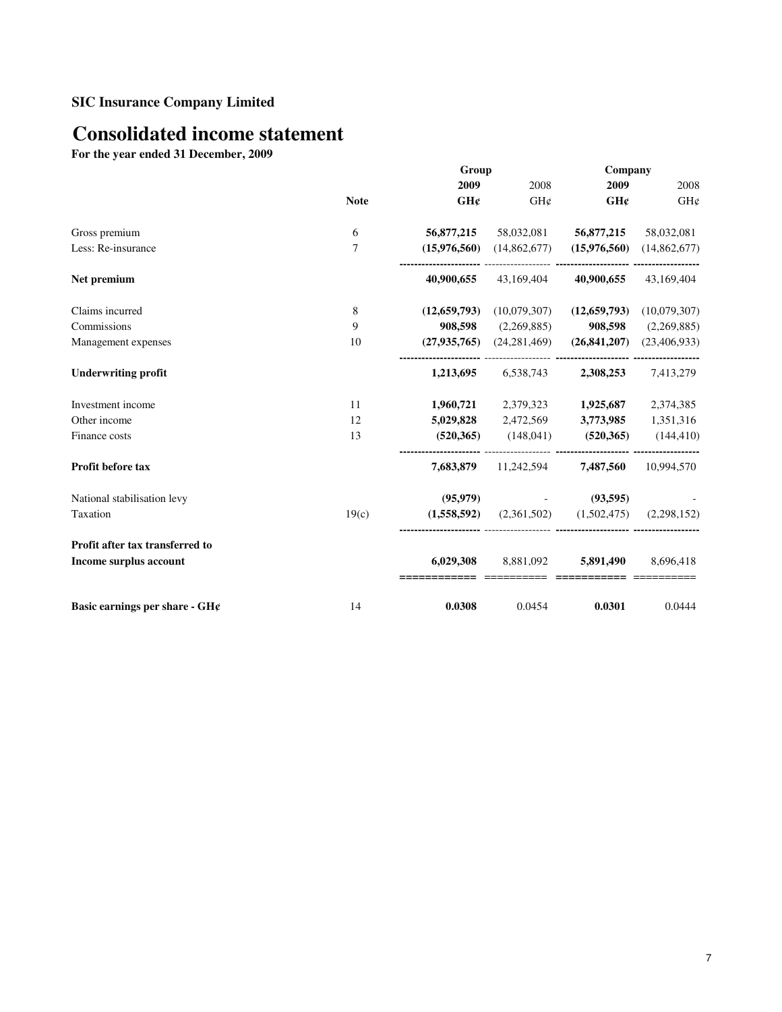# **Consolidated income statement**

**For the year ended 31 December, 2009**

|                                     |             | Group          |                                                         | Company                 |              |
|-------------------------------------|-------------|----------------|---------------------------------------------------------|-------------------------|--------------|
|                                     |             | 2009           | 2008                                                    | 2009                    | 2008         |
|                                     | <b>Note</b> | GH¢            | GH¢                                                     | GH¢                     | GH¢          |
| Gross premium                       | 6           | 56,877,215     |                                                         | 58,032,081   56,877,215 | 58,032,081   |
| Less: Re-insurance                  | 7           |                | $(15,976,560)$ $(14,862,677)$                           | (15,976,560)            | (14,862,677) |
| Net premium                         |             | 40,900,655     | 43,169,404                                              | 40,900,655              | 43,169,404   |
| Claims incurred                     | 8           | (12, 659, 793) | (10,079,307)                                            | (12, 659, 793)          | (10,079,307) |
| Commissions                         | 9           | 908,598        | (2,269,885)                                             | 908,598                 | (2,269,885)  |
| Management expenses                 | 10          |                | $(27,935,765)$ $(24,281,469)$                           | (26, 841, 207)          | (23,406,933) |
| <b>Underwriting profit</b>          |             | 1,213,695      |                                                         | 6,538,743 2,308,253     | 7,413,279    |
| Investment income                   | 11          |                | $1,960,721$ $2,379,323$ $1,925,687$                     |                         | 2,374,385    |
| Other income                        | 12          |                | 5,029,828 2,472,569 3,773,985 1,351,316                 |                         |              |
| Finance costs                       | 13          |                | $(520,365)$ $(148,041)$ $(520,365)$ $(144,410)$         |                         |              |
| Profit before tax                   |             |                | 7,683,879 11,242,594 7,487,560                          |                         | 10.994.570   |
| National stabilisation levy         |             | (95,979)       |                                                         | (93,595)                |              |
| Taxation                            | 19(c)       |                | $(1,558,592)$ $(2,361,502)$ $(1,502,475)$ $(2,298,152)$ |                         |              |
| Profit after tax transferred to     |             |                |                                                         |                         |              |
| Income surplus account              |             | 6,029,308      |                                                         | 8,881,092 5,891,490     | 8,696,418    |
| Basic earnings per share - $GH\ell$ | 14          | 0.0308         | 0.0454                                                  | 0.0301                  | 0.0444       |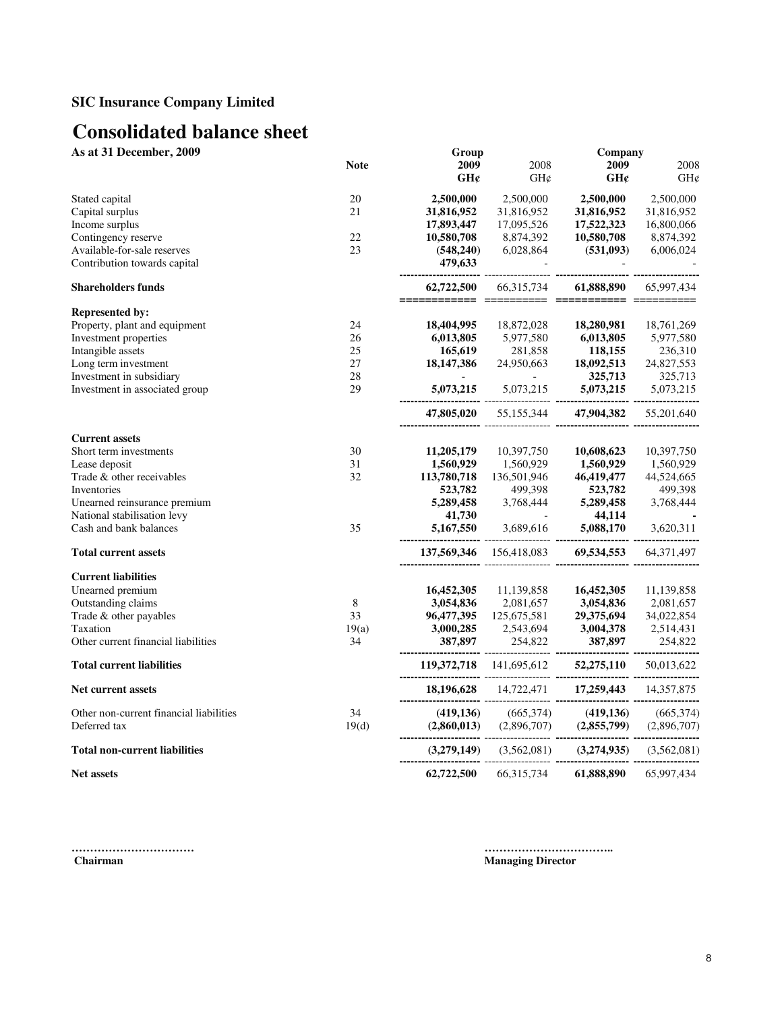# **Consolidated balance sheet**

**As at 31 December, 2009** Group Group Company

|                                         | <b>Note</b> | 2009                      | 2008                                          | 2009                        | 2008        |
|-----------------------------------------|-------------|---------------------------|-----------------------------------------------|-----------------------------|-------------|
|                                         |             | GH¢                       | GHC                                           | GH¢                         | GH¢         |
| Stated capital                          | 20          | 2,500,000                 | 2,500,000                                     | 2,500,000                   | 2,500,000   |
| Capital surplus                         | 21          | 31,816,952                | 31,816,952                                    | 31,816,952                  | 31,816,952  |
| Income surplus                          |             | 17,893,447                | 17,095,526                                    | 17,522,323                  | 16,800,066  |
| Contingency reserve                     | 22          | 10,580,708                | 8,874,392                                     | 10,580,708                  | 8,874,392   |
| Available-for-sale reserves             | 23          |                           |                                               |                             |             |
| Contribution towards capital            |             |                           |                                               |                             |             |
| <b>Shareholders funds</b>               |             | 62,722,500                | 66, 315, 734                                  | 61,888,890                  | 65,997,434  |
| <b>Represented by:</b>                  |             |                           |                                               |                             |             |
| Property, plant and equipment           | 24          | 18,404,995                | 18,872,028                                    | 18,280,981                  | 18,761,269  |
| Investment properties                   | 26          | 6,013,805                 | 5,977,580                                     | 6,013,805                   | 5,977,580   |
| Intangible assets                       | 25          | 165,619                   | 281,858                                       | 118,155                     | 236,310     |
| Long term investment                    | 27          | 18,147,386                | 24,950,663                                    | 18,092,513                  | 24,827,553  |
| Investment in subsidiary                | 28          | $\Delta \sim 100$         | $\sim 10^{-10}$                               | 325,713                     | 325,713     |
| Investment in associated group          | 29          | ---------------------- -- | 5,073,215 5,073,215 5,073,215                 |                             | 5,073,215   |
|                                         |             |                           | 47,805,020 55,155,344 47,904,382              |                             | 55,201,640  |
| <b>Current assets</b>                   |             |                           |                                               |                             |             |
| Short term investments                  | 30          | 11,205,179                | 10,397,750                                    | 10,608,623                  | 10,397,750  |
| Lease deposit                           | 31          | 1,560,929                 | 1,560,929                                     | 1,560,929                   | 1,560,929   |
| Trade & other receivables               | 32          | 113,780,718               | 136,501,946                                   | 46,419,477                  | 44,524,665  |
| Inventories                             |             | 523,782                   | 499,398                                       | 523,782                     | 499,398     |
| Unearned reinsurance premium            |             | 5,289,458                 | 3,768,444                                     | 5,289,458                   | 3,768,444   |
| National stabilisation levy             |             | 41,730                    |                                               | 44,114                      |             |
| Cash and bank balances                  | 35          |                           | $5,167,550$ $3,689,616$ $5,088,170$           | <b></b>                     | 3,620,311   |
| <b>Total current assets</b>             |             |                           | 137,569,346 156,418,083 69,534,553 64,371,497 |                             |             |
| <b>Current liabilities</b>              |             |                           |                                               |                             |             |
| Unearned premium                        |             | 16,452,305                | 11,139,858                                    | 16,452,305                  | 11,139,858  |
| Outstanding claims                      | 8           | 3,054,836                 | 2,081,657                                     | 3,054,836                   | 2,081,657   |
| Trade & other payables                  | 33          | 96,477,395                | 125,675,581                                   | 29,375,694                  | 34,022,854  |
| Taxation                                | 19(a)       | 3,000,285                 | 2,543,694                                     | 3,004,378                   | 2,514,431   |
| Other current financial liabilities     | 34          |                           |                                               |                             | 254,822     |
| <b>Total current liabilities</b>        |             |                           |                                               |                             |             |
| <b>Net current assets</b>               |             |                           |                                               |                             |             |
| Other non-current financial liabilities | 34          |                           | (419,136) $(665,374)$ $(419,136)$ $(665,374)$ |                             |             |
| Deferred tax                            | 19(d)       | (2,860,013)               |                                               | $(2,896,707)$ $(2,855,799)$ | (2,896,707) |
| <b>Total non-current liabilities</b>    |             |                           |                                               |                             |             |
| <b>Net assets</b>                       |             | 62,722,500                |                                               | 66,315,734 61,888,890       | 65,997,434  |

**…………………………… ……………………………..**

**Managing Director**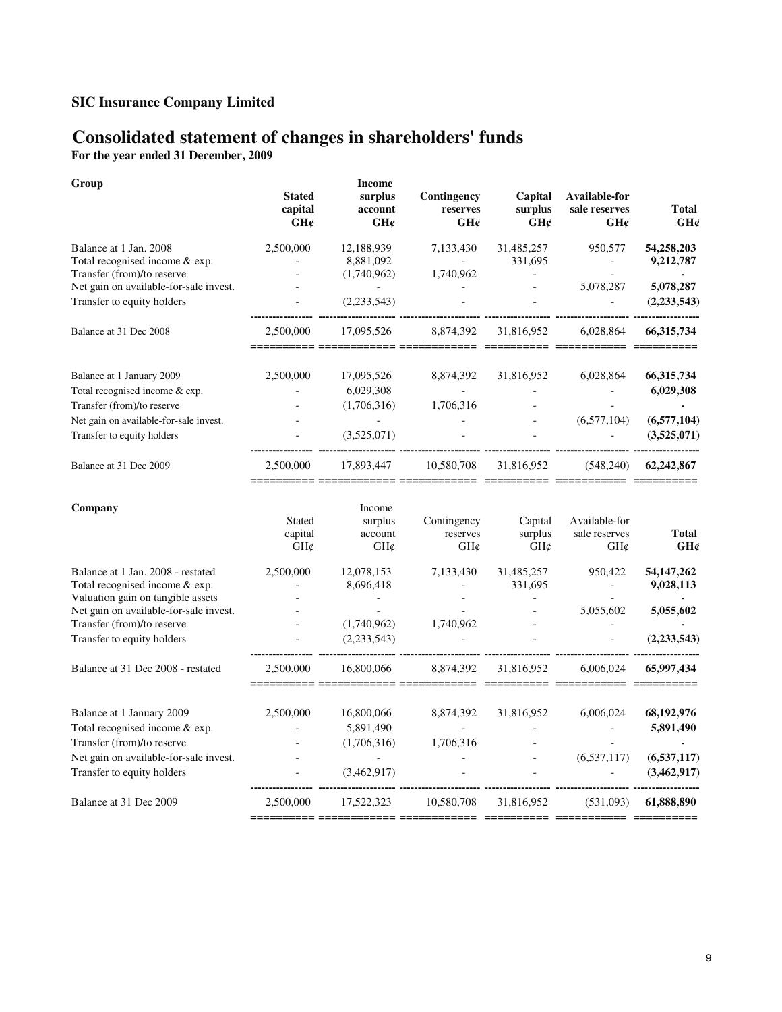# **Consolidated statement of changes in shareholders' funds**

**For the year ended 31 December, 2009**

| Group                                                                                                                                   | <b>Stated</b><br>capital<br>GH¢              | <b>Income</b><br>surplus<br>account<br>GH¢                | Contingency<br>reserves<br>GH¢                | Capital<br>surplus<br>GHC               | Available-for<br>sale reserves<br>GH¢             | <b>Total</b><br>GH¢                 |
|-----------------------------------------------------------------------------------------------------------------------------------------|----------------------------------------------|-----------------------------------------------------------|-----------------------------------------------|-----------------------------------------|---------------------------------------------------|-------------------------------------|
| Balance at 1 Jan. 2008<br>Total recognised income & exp.<br>Transfer (from)/to reserve                                                  | 2,500,000                                    | 12,188,939<br>8,881,092<br>(1,740,962)                    | 7.133.430<br>1,740,962                        | 31,485,257<br>331,695<br>$\blacksquare$ | 950,577<br>$\overline{a}$                         | 54,258,203<br>9,212,787             |
| Net gain on available-for-sale invest.<br>Transfer to equity holders                                                                    |                                              | $\sim$<br>(2,233,543)                                     |                                               |                                         | 5,078,287                                         | 5,078,287<br>(2, 233, 543)          |
| Balance at 31 Dec 2008                                                                                                                  | 2,500,000                                    | 17,095,526                                                | 8,874,392                                     | 31,816,952                              | 6,028,864                                         | 66,315,734                          |
| Balance at 1 January 2009<br>Total recognised income & exp.<br>Transfer (from)/to reserve                                               | 2,500,000<br>$\overline{a}$                  | 17,095,526<br>6,029,308<br>(1,706,316)                    | 8,874,392<br>$\omega_{\rm{max}}$<br>1.706.316 | 31,816,952                              | 6,028,864<br>$\equiv$<br>$\overline{a}$           | 66, 315, 734<br>6,029,308<br>$\sim$ |
| Net gain on available-for-sale invest.<br>Transfer to equity holders                                                                    |                                              | (3,525,071)                                               |                                               |                                         | (6,577,104)                                       | (6,577,104)<br>(3,525,071)          |
| Balance at 31 Dec 2009                                                                                                                  | 2,500,000<br>$=$ $=$ $=$ $=$ $=$ $=$ $=$ $=$ | 17,893,447<br>__________                                  | 10,580,708                                    | 31,816,952                              | (548,240)<br>======== ========= =========== ===== | 62,242,867                          |
| Company                                                                                                                                 | <b>Stated</b><br>capital<br>GH¢              | Income<br>surplus<br>account<br>$GH\mathcal{C}$           | Contingency<br>reserves<br>$GH\mathcal{C}$    | Capital<br>surplus<br>GH¢               | Available-for<br>sale reserves<br>GH¢             | Total<br>GH¢                        |
| Balance at 1 Jan. 2008 - restated<br>Total recognised income & exp.                                                                     | 2,500,000                                    | 12,078,153<br>8,696,418                                   | 7,133,430<br>$\sim$                           | 31,485,257<br>331,695                   | 950,422<br>$\omega_{\rm c}$                       | 54, 147, 262<br>9,028,113           |
| Valuation gain on tangible assets<br>Net gain on available-for-sale invest.<br>Transfer (from)/to reserve<br>Transfer to equity holders |                                              | $\mathcal{L}_{\mathcal{A}}$<br>(1,740,962)<br>(2,233,543) | 1,740,962                                     |                                         | 5,055,602                                         | 5,055,602<br>(2, 233, 543)          |
| Balance at 31 Dec 2008 - restated                                                                                                       | 2,500,000                                    | 16,800,066                                                | 8,874,392                                     | 31,816,952                              | 6,006,024                                         | 65,997,434                          |
| Balance at 1 January 2009<br>Total recognised income & exp.<br>Transfer (from)/to reserve                                               | 2,500,000                                    | 16,800,066<br>5,891,490<br>(1,706,316)                    | 8,874,392<br>$\omega_{\rm{eff}}$<br>1,706,316 | 31,816,952                              | 6,006,024<br>$\sim$                               | 68, 192, 976<br>5,891,490<br>$\sim$ |
| Net gain on available-for-sale invest.<br>Transfer to equity holders                                                                    |                                              | $\sim$<br>(3,462,917)                                     |                                               |                                         | (6,537,117)                                       | (6,537,117)<br>(3,462,917)          |
| Balance at 31 Dec 2009                                                                                                                  | <br>2,500,000                                | 17,522,323                                                | 10,580,708                                    | 31,816,952                              | (531,093)                                         | 61,888,890                          |
|                                                                                                                                         |                                              |                                                           |                                               |                                         |                                                   |                                     |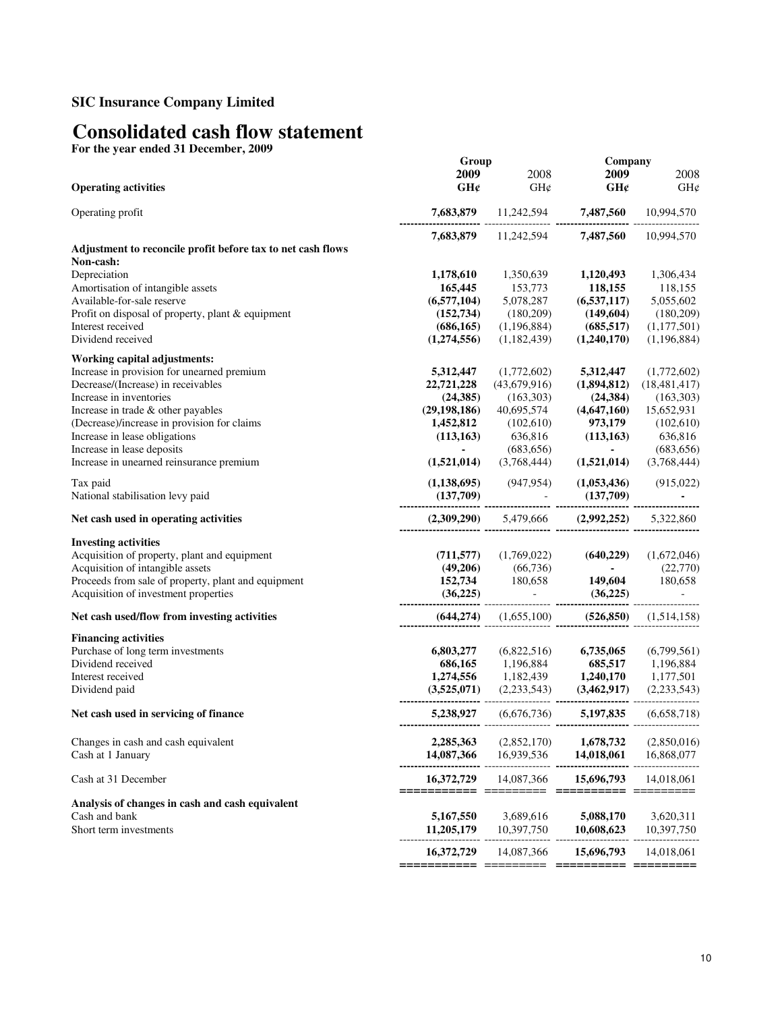# **Consolidated cash flow statement**

**For the year ended 31 December, 2009**

|                                                                                  | Group                                           |                                                                                                                               |                                    | Company                             |  |
|----------------------------------------------------------------------------------|-------------------------------------------------|-------------------------------------------------------------------------------------------------------------------------------|------------------------------------|-------------------------------------|--|
|                                                                                  | 2009                                            | 2008                                                                                                                          | 2009                               | 2008                                |  |
| <b>Operating activities</b>                                                      | GH¢                                             | $GH\mathcal{C}$                                                                                                               | GHC                                | GH¢                                 |  |
| Operating profit                                                                 |                                                 | 7,683,879 $11,242,594$ 7,487,560 $7,483,560$                                                                                  |                                    | 10,994,570                          |  |
|                                                                                  |                                                 | 7,683,879 11,242,594 7,487,560                                                                                                |                                    | 10,994,570                          |  |
| Adjustment to reconcile profit before tax to net cash flows                      |                                                 |                                                                                                                               |                                    |                                     |  |
| Non-cash:                                                                        |                                                 |                                                                                                                               |                                    |                                     |  |
| Depreciation                                                                     | 1,178,610                                       | 1,350,639                                                                                                                     | 1,120,493                          | 1,306,434                           |  |
| Amortisation of intangible assets                                                | 165,445                                         | 153,773                                                                                                                       | 118,155                            | 118,155                             |  |
| Available-for-sale reserve                                                       | (6,577,104)                                     | 5,078,287                                                                                                                     | (6,537,117)                        | 5,055,602                           |  |
| Profit on disposal of property, plant & equipment                                | (152, 734)                                      | (180,209)                                                                                                                     | (149,604)                          | (180, 209)                          |  |
| Interest received                                                                | (686, 165)                                      | (1,196,884)                                                                                                                   | (685, 517)                         | (1,177,501)                         |  |
| Dividend received                                                                | (1,274,556)                                     | (1,182,439)                                                                                                                   | (1,240,170)                        | (1,196,884)                         |  |
| <b>Working capital adjustments:</b>                                              |                                                 |                                                                                                                               |                                    |                                     |  |
| Increase in provision for unearned premium<br>Decrease/(Increase) in receivables | 5,312,447<br>22,721,228                         | (1,772,602)<br>(43,679,916)                                                                                                   | 5,312,447<br>(1,894,812)           | (1,772,602)<br>(18, 481, 417)       |  |
| Increase in inventories                                                          |                                                 |                                                                                                                               |                                    |                                     |  |
| Increase in trade & other payables                                               | (24, 385)<br>(29, 198, 186)                     | (163,303)<br>40,695,574                                                                                                       | (24, 384)                          | (163, 303)                          |  |
| (Decrease)/increase in provision for claims                                      |                                                 |                                                                                                                               | (4,647,160)                        | 15,652,931<br>$973,179$ $(102,610)$ |  |
|                                                                                  | 1,452,812                                       | (102,610)<br>636,816 (113,163)                                                                                                |                                    | 636,816                             |  |
| Increase in lease obligations                                                    | (113, 163)                                      |                                                                                                                               |                                    |                                     |  |
| Increase in lease deposits<br>Increase in unearned reinsurance premium           | $\sim 100$                                      | (683, 656)<br>$(1,521,014)$ $(3,768,444)$                                                                                     | $\omega_{\rm{max}}$<br>(1,521,014) | (683, 656)<br>(3,768,444)           |  |
| Tax paid                                                                         |                                                 | $(1,138,695)$ $(947,954)$ $(1,053,436)$ $(915,022)$                                                                           |                                    |                                     |  |
| National stabilisation levy paid                                                 | $(137,709)$ $(137,709)$ $(137,709)$ $(137,709)$ |                                                                                                                               |                                    |                                     |  |
| Net cash used in operating activities                                            |                                                 |                                                                                                                               |                                    |                                     |  |
| <b>Investing activities</b>                                                      |                                                 |                                                                                                                               |                                    |                                     |  |
| Acquisition of property, plant and equipment                                     |                                                 | (711,577) $(1.769,022)$ $(640,229)$ $(1.672,046)$<br>(49,206) $(66,736)$ $(22,770)$                                           |                                    |                                     |  |
| Acquisition of intangible assets                                                 |                                                 |                                                                                                                               |                                    |                                     |  |
| Proceeds from sale of property, plant and equipment                              |                                                 | 152,734 180,658 149,604 180,658                                                                                               |                                    |                                     |  |
| Acquisition of investment properties                                             | $(36,225)$ (36,225) (36,225)                    |                                                                                                                               |                                    |                                     |  |
| Net cash used/flow from investing activities                                     |                                                 | $(644,274)$ $(1,655,100)$ $(526,850)$ $(1,514,158)$                                                                           |                                    |                                     |  |
| <b>Financing activities</b>                                                      |                                                 |                                                                                                                               |                                    |                                     |  |
| Purchase of long term investments                                                | 6,803,277                                       |                                                                                                                               | $(6,822,516)$ 6,735,065            | (6,799,561)                         |  |
| Dividend received                                                                |                                                 | ${\begin{array}{ccc} 686,165 & 1,196,884 & 685,517 & 1,196,884 \\ 1,274,556 & 1,182,439 & 1,240,170 & 1,177,501 \end{array}}$ |                                    |                                     |  |
| Interest received                                                                |                                                 |                                                                                                                               |                                    |                                     |  |
| Dividend paid                                                                    |                                                 |                                                                                                                               |                                    |                                     |  |
| Net cash used in servicing of finance                                            |                                                 | 5,238,927 (6,676,736) 5,197,835 (6,658,718)                                                                                   |                                    |                                     |  |
| Changes in cash and cash equivalent                                              | 2,285,363                                       | (2,852,170)                                                                                                                   | 1,678,732                          | (2,850,016)                         |  |
| Cash at 1 January                                                                | 14,087,366                                      | 16,939,536                                                                                                                    | 14,018,061                         | 16,868,077                          |  |
| Cash at 31 December                                                              | 16,372,729<br>===========                       | 14,087,366                                                                                                                    | 15,696,793<br>=========            | 14,018,061<br>--------              |  |
| Analysis of changes in cash and cash equivalent                                  |                                                 |                                                                                                                               |                                    |                                     |  |
| Cash and bank                                                                    | 5,167,550                                       | 3,689,616                                                                                                                     | 5,088,170                          | 3,620,311                           |  |
| Short term investments                                                           | 11,205,179                                      | 10,397,750                                                                                                                    | 10,608,623                         | 10,397,750                          |  |
|                                                                                  | 16,372,729                                      | 14,087,366                                                                                                                    | 15,696,793                         | 14,018,061                          |  |
|                                                                                  | =====================                           |                                                                                                                               | ==========                         | =========                           |  |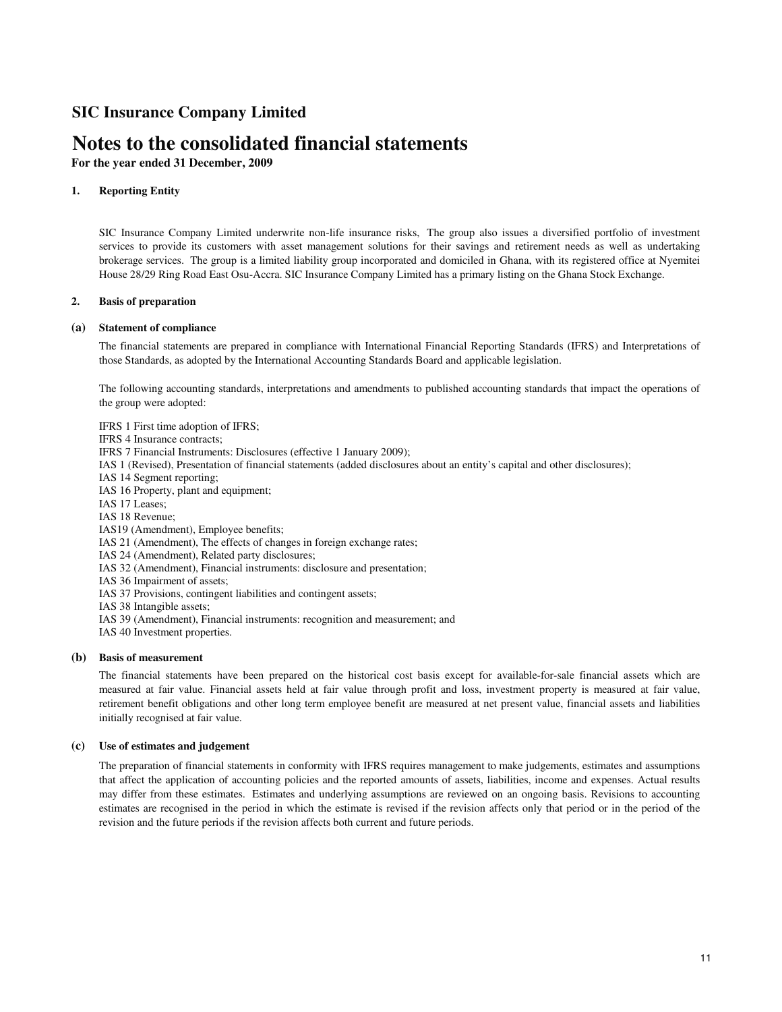# **Notes to the consolidated financial statements**

**For the year ended 31 December, 2009**

## **1. Reporting Entity**

SIC Insurance Company Limited underwrite non-life insurance risks, The group also issues a diversified portfolio of investment services to provide its customers with asset management solutions for their savings and retirement needs as well as undertaking brokerage services. The group is a limited liability group incorporated and domiciled in Ghana, with its registered office at Nyemitei House 28/29 Ring Road East Osu-Accra. SIC Insurance Company Limited has a primary listing on the Ghana Stock Exchange.

### **2. Basis of preparation**

### **(a) Statement of compliance**

The financial statements are prepared in compliance with International Financial Reporting Standards (IFRS) and Interpretations of those Standards, as adopted by the International Accounting Standards Board and applicable legislation.

The following accounting standards, interpretations and amendments to published accounting standards that impact the operations of the group were adopted:

IFRS 1 First time adoption of IFRS;

- IFRS 4 Insurance contracts;
- IFRS 7 Financial Instruments: Disclosures (effective 1 January 2009);
- IAS 1 (Revised), Presentation of financial statements (added disclosures about an entity's capital and other disclosures);
- IAS 14 Segment reporting;

IAS 16 Property, plant and equipment;

- IAS 17 Leases;
- IAS 18 Revenue;
- IAS19 (Amendment), Employee benefits;

IAS 21 (Amendment), The effects of changes in foreign exchange rates;

IAS 24 (Amendment), Related party disclosures;

- IAS 32 (Amendment), Financial instruments: disclosure and presentation;
- IAS 36 Impairment of assets;
- IAS 37 Provisions, contingent liabilities and contingent assets;
- IAS 38 Intangible assets;
- IAS 39 (Amendment), Financial instruments: recognition and measurement; and
- IAS 40 Investment properties.

### **(b) Basis of measurement**

The financial statements have been prepared on the historical cost basis except for available-for-sale financial assets which are measured at fair value. Financial assets held at fair value through profit and loss, investment property is measured at fair value, retirement benefit obligations and other long term employee benefit are measured at net present value, financial assets and liabilities initially recognised at fair value.

### **(c) Use of estimates and judgement**

The preparation of financial statements in conformity with IFRS requires management to make judgements, estimates and assumptions that affect the application of accounting policies and the reported amounts of assets, liabilities, income and expenses. Actual results may differ from these estimates. Estimates and underlying assumptions are reviewed on an ongoing basis. Revisions to accounting estimates are recognised in the period in which the estimate is revised if the revision affects only that period or in the period of the revision and the future periods if the revision affects both current and future periods.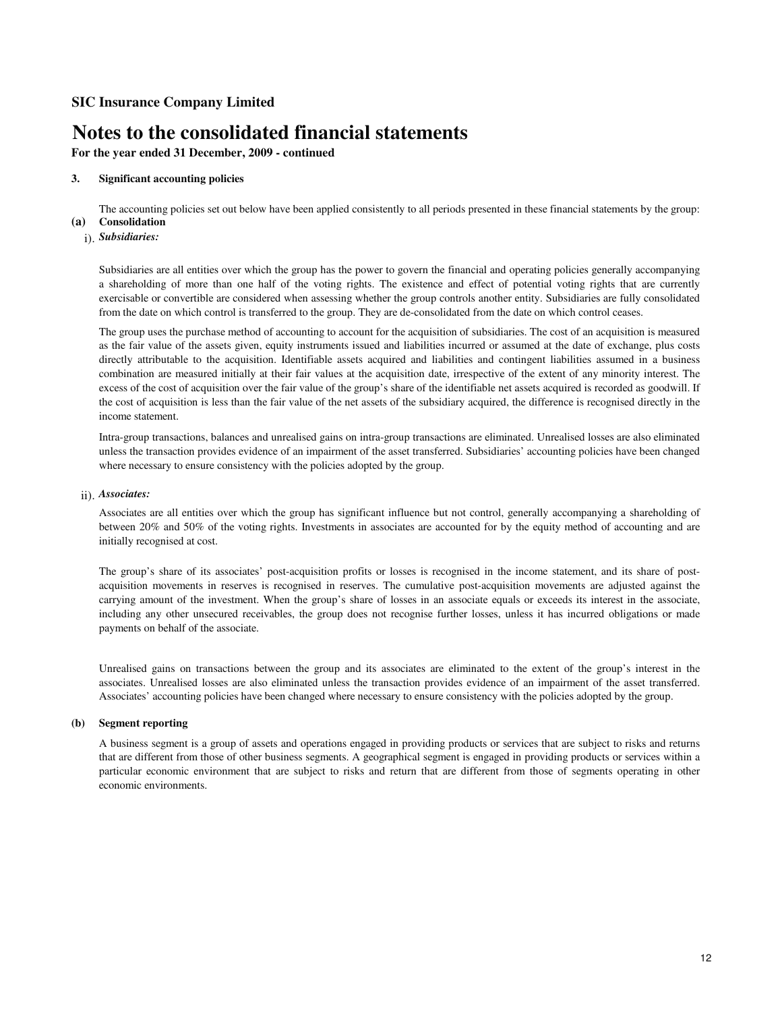# **Notes to the consolidated financial statements**

**For the year ended 31 December, 2009 - continued**

### **3. Significant accounting policies**

**(a) Consolidation** The accounting policies set out below have been applied consistently to all periods presented in these financial statements by the group:

# i). *Subsidiaries:*

Subsidiaries are all entities over which the group has the power to govern the financial and operating policies generally accompanying a shareholding of more than one half of the voting rights. The existence and effect of potential voting rights that are currently exercisable or convertible are considered when assessing whether the group controls another entity. Subsidiaries are fully consolidated from the date on which control is transferred to the group. They are de-consolidated from the date on which control ceases.

The group uses the purchase method of accounting to account for the acquisition of subsidiaries. The cost of an acquisition is measured as the fair value of the assets given, equity instruments issued and liabilities incurred or assumed at the date of exchange, plus costs directly attributable to the acquisition. Identifiable assets acquired and liabilities and contingent liabilities assumed in a business combination are measured initially at their fair values at the acquisition date, irrespective of the extent of any minority interest. The excess of the cost of acquisition over the fair value of the group's share of the identifiable net assets acquired is recorded as goodwill. If the cost of acquisition is less than the fair value of the net assets of the subsidiary acquired, the difference is recognised directly in the income statement.

Intra-group transactions, balances and unrealised gains on intra-group transactions are eliminated. Unrealised losses are also eliminated unless the transaction provides evidence of an impairment of the asset transferred. Subsidiaries' accounting policies have been changed where necessary to ensure consistency with the policies adopted by the group.

## ii). *Associates:*

Associates are all entities over which the group has significant influence but not control, generally accompanying a shareholding of between 20% and 50% of the voting rights. Investments in associates are accounted for by the equity method of accounting and are initially recognised at cost.

The group's share of its associates' post-acquisition profits or losses is recognised in the income statement, and its share of postacquisition movements in reserves is recognised in reserves. The cumulative post-acquisition movements are adjusted against the carrying amount of the investment. When the group's share of losses in an associate equals or exceeds its interest in the associate, including any other unsecured receivables, the group does not recognise further losses, unless it has incurred obligations or made payments on behalf of the associate.

Unrealised gains on transactions between the group and its associates are eliminated to the extent of the group's interest in the associates. Unrealised losses are also eliminated unless the transaction provides evidence of an impairment of the asset transferred. Associates' accounting policies have been changed where necessary to ensure consistency with the policies adopted by the group.

### **(b) Segment reporting**

A business segment is a group of assets and operations engaged in providing products or services that are subject to risks and returns that are different from those of other business segments. A geographical segment is engaged in providing products or services within a particular economic environment that are subject to risks and return that are different from those of segments operating in other economic environments.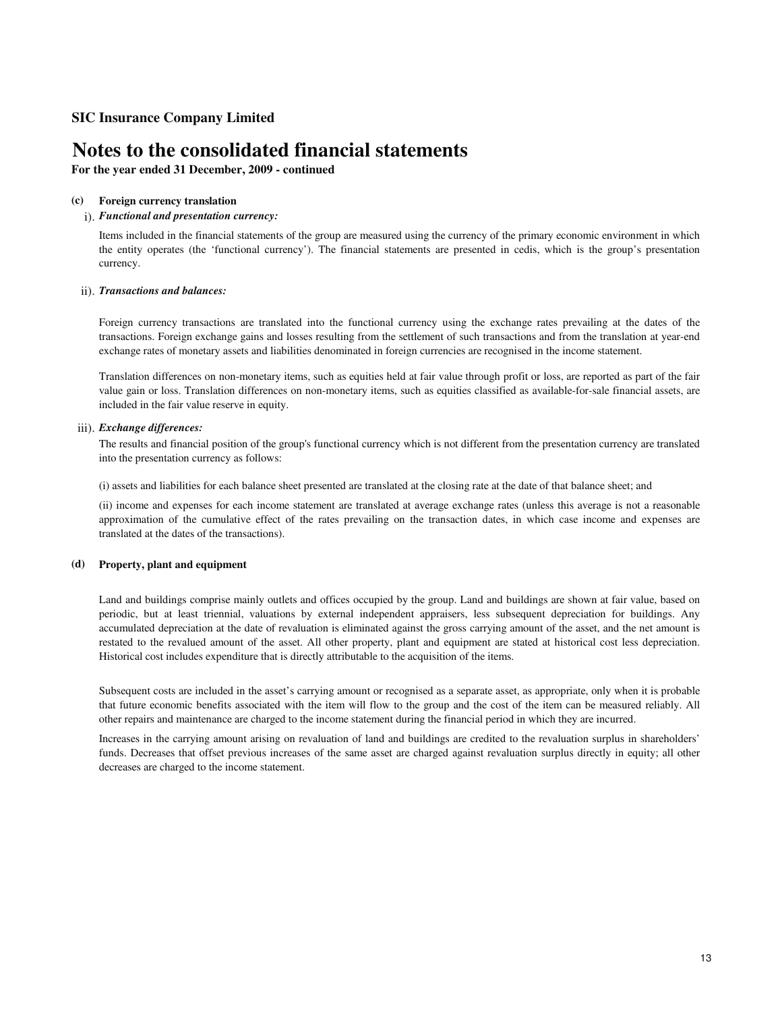# **Notes to the consolidated financial statements**

**For the year ended 31 December, 2009 - continued**

#### **(c) Foreign currency translation**

## i). *Functional and presentation currency:*

Items included in the financial statements of the group are measured using the currency of the primary economic environment in which the entity operates (the 'functional currency'). The financial statements are presented in cedis, which is the group's presentation currency.

## ii). *Transactions and balances:*

Foreign currency transactions are translated into the functional currency using the exchange rates prevailing at the dates of the transactions. Foreign exchange gains and losses resulting from the settlement of such transactions and from the translation at year-end exchange rates of monetary assets and liabilities denominated in foreign currencies are recognised in the income statement.

Translation differences on non-monetary items, such as equities held at fair value through profit or loss, are reported as part of the fair value gain or loss. Translation differences on non-monetary items, such as equities classified as available-for-sale financial assets, are included in the fair value reserve in equity.

### iii). *Exchange differences:*

The results and financial position of the group's functional currency which is not different from the presentation currency are translated into the presentation currency as follows:

(i) assets and liabilities for each balance sheet presented are translated at the closing rate at the date of that balance sheet; and

(ii) income and expenses for each income statement are translated at average exchange rates (unless this average is not a reasonable approximation of the cumulative effect of the rates prevailing on the transaction dates, in which case income and expenses are translated at the dates of the transactions).

### **(d) Property, plant and equipment**

Land and buildings comprise mainly outlets and offices occupied by the group. Land and buildings are shown at fair value, based on periodic, but at least triennial, valuations by external independent appraisers, less subsequent depreciation for buildings. Any accumulated depreciation at the date of revaluation is eliminated against the gross carrying amount of the asset, and the net amount is restated to the revalued amount of the asset. All other property, plant and equipment are stated at historical cost less depreciation. Historical cost includes expenditure that is directly attributable to the acquisition of the items.

Subsequent costs are included in the asset's carrying amount or recognised as a separate asset, as appropriate, only when it is probable that future economic benefits associated with the item will flow to the group and the cost of the item can be measured reliably. All other repairs and maintenance are charged to the income statement during the financial period in which they are incurred.

Increases in the carrying amount arising on revaluation of land and buildings are credited to the revaluation surplus in shareholders' funds. Decreases that offset previous increases of the same asset are charged against revaluation surplus directly in equity; all other decreases are charged to the income statement.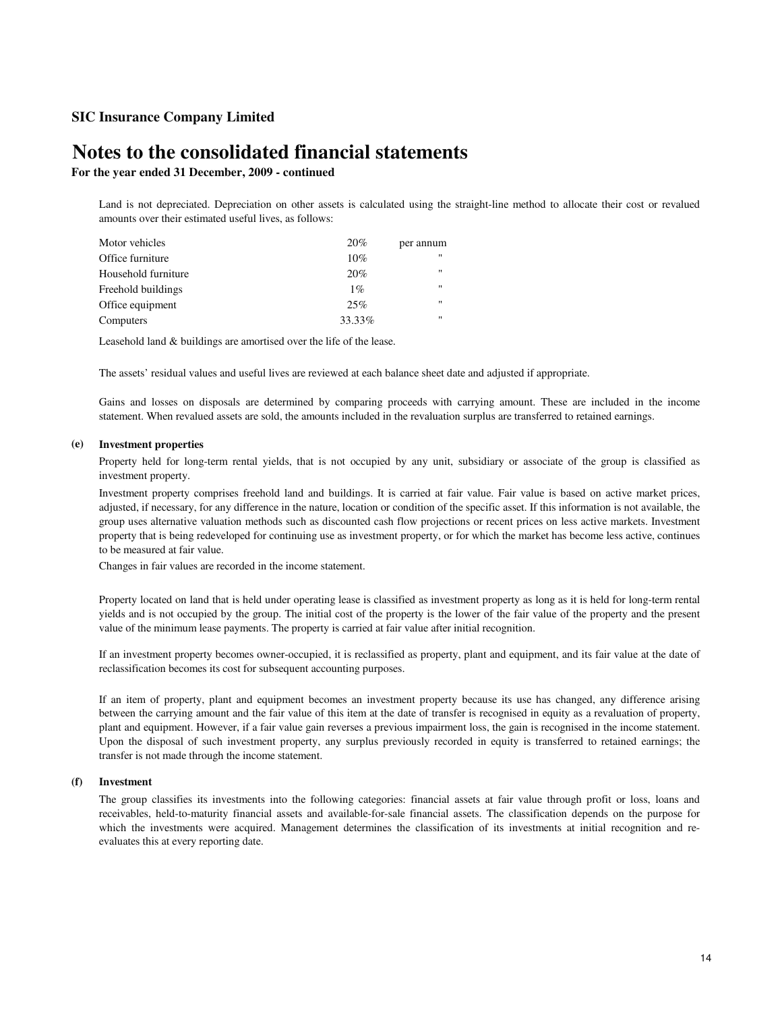# **Notes to the consolidated financial statements**

## **For the year ended 31 December, 2009 - continued**

Land is not depreciated. Depreciation on other assets is calculated using the straight-line method to allocate their cost or revalued amounts over their estimated useful lives, as follows:

| Motor vehicles      | 20%    | per annum         |
|---------------------|--------|-------------------|
| Office furniture    | 10%    | $^{\prime\prime}$ |
| Household furniture | 20%    | $^{\prime\prime}$ |
| Freehold buildings  | $1\%$  | $^{\prime\prime}$ |
| Office equipment    | 25%    | $^{\prime\prime}$ |
| Computers           | 33.33% | $^{\prime\prime}$ |

Leasehold land & buildings are amortised over the life of the lease.

The assets' residual values and useful lives are reviewed at each balance sheet date and adjusted if appropriate.

Gains and losses on disposals are determined by comparing proceeds with carrying amount. These are included in the income statement. When revalued assets are sold, the amounts included in the revaluation surplus are transferred to retained earnings.

### **(e) Investment properties**

Property held for long-term rental yields, that is not occupied by any unit, subsidiary or associate of the group is classified as investment property.

Investment property comprises freehold land and buildings. It is carried at fair value. Fair value is based on active market prices, adjusted, if necessary, for any difference in the nature, location or condition of the specific asset. If this information is not available, the group uses alternative valuation methods such as discounted cash flow projections or recent prices on less active markets. Investment property that is being redeveloped for continuing use as investment property, or for which the market has become less active, continues to be measured at fair value.

Changes in fair values are recorded in the income statement.

Property located on land that is held under operating lease is classified as investment property as long as it is held for long-term rental yields and is not occupied by the group. The initial cost of the property is the lower of the fair value of the property and the present value of the minimum lease payments. The property is carried at fair value after initial recognition.

If an investment property becomes owner-occupied, it is reclassified as property, plant and equipment, and its fair value at the date of reclassification becomes its cost for subsequent accounting purposes.

If an item of property, plant and equipment becomes an investment property because its use has changed, any difference arising between the carrying amount and the fair value of this item at the date of transfer is recognised in equity as a revaluation of property, plant and equipment. However, if a fair value gain reverses a previous impairment loss, the gain is recognised in the income statement. Upon the disposal of such investment property, any surplus previously recorded in equity is transferred to retained earnings; the transfer is not made through the income statement.

#### **(f) Investment**

The group classifies its investments into the following categories: financial assets at fair value through profit or loss, loans and receivables, held-to-maturity financial assets and available-for-sale financial assets. The classification depends on the purpose for which the investments were acquired. Management determines the classification of its investments at initial recognition and reevaluates this at every reporting date.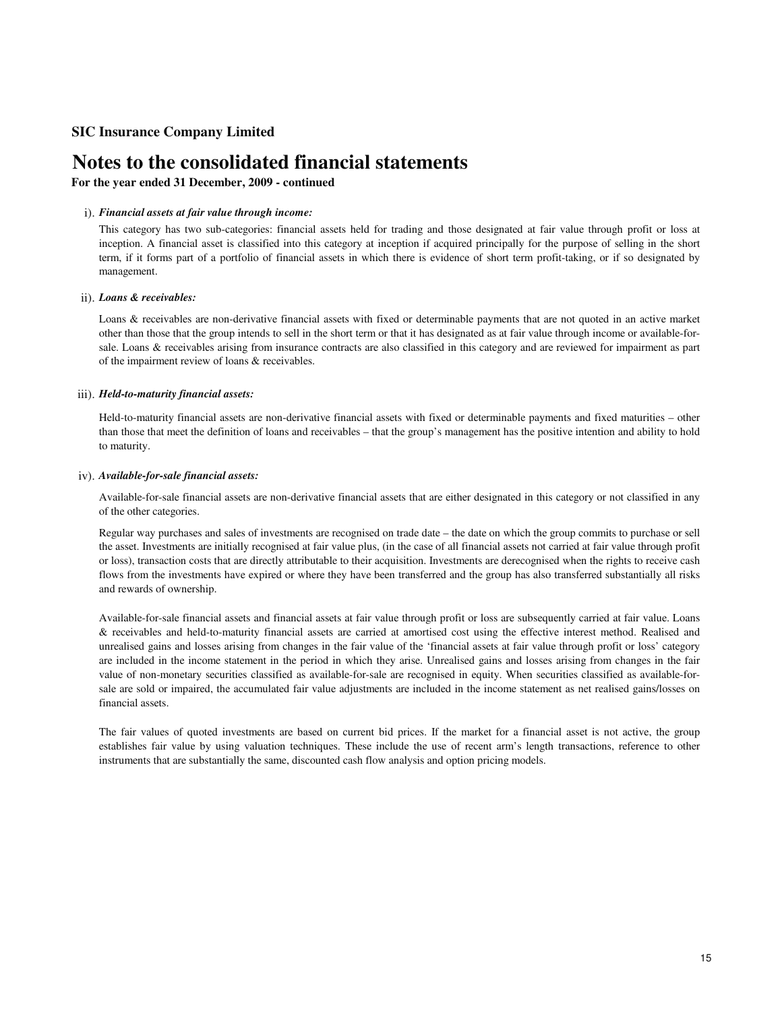# **Notes to the consolidated financial statements**

# **For the year ended 31 December, 2009 - continued**

## i). *Financial assets at fair value through income:*

This category has two sub-categories: financial assets held for trading and those designated at fair value through profit or loss at inception. A financial asset is classified into this category at inception if acquired principally for the purpose of selling in the short term, if it forms part of a portfolio of financial assets in which there is evidence of short term profit-taking, or if so designated by management.

## ii). *Loans & receivables:*

Loans & receivables are non-derivative financial assets with fixed or determinable payments that are not quoted in an active market other than those that the group intends to sell in the short term or that it has designated as at fair value through income or available-forsale. Loans & receivables arising from insurance contracts are also classified in this category and are reviewed for impairment as part of the impairment review of loans & receivables.

### iii). *Held-to-maturity financial assets:*

Held-to-maturity financial assets are non-derivative financial assets with fixed or determinable payments and fixed maturities – other than those that meet the definition of loans and receivables – that the group's management has the positive intention and ability to hold to maturity.

### iv). *Available-for-sale financial assets:*

Available-for-sale financial assets are non-derivative financial assets that are either designated in this category or not classified in any of the other categories.

Regular way purchases and sales of investments are recognised on trade date – the date on which the group commits to purchase or sell the asset. Investments are initially recognised at fair value plus, (in the case of all financial assets not carried at fair value through profit or loss), transaction costs that are directly attributable to their acquisition. Investments are derecognised when the rights to receive cash flows from the investments have expired or where they have been transferred and the group has also transferred substantially all risks and rewards of ownership.

Available-for-sale financial assets and financial assets at fair value through profit or loss are subsequently carried at fair value. Loans & receivables and held-to-maturity financial assets are carried at amortised cost using the effective interest method. Realised and unrealised gains and losses arising from changes in the fair value of the 'financial assets at fair value through profit or loss' category are included in the income statement in the period in which they arise. Unrealised gains and losses arising from changes in the fair value of non-monetary securities classified as available-for-sale are recognised in equity. When securities classified as available-forsale are sold or impaired, the accumulated fair value adjustments are included in the income statement as net realised gains/losses on financial assets.

The fair values of quoted investments are based on current bid prices. If the market for a financial asset is not active, the group establishes fair value by using valuation techniques. These include the use of recent arm's length transactions, reference to other instruments that are substantially the same, discounted cash flow analysis and option pricing models.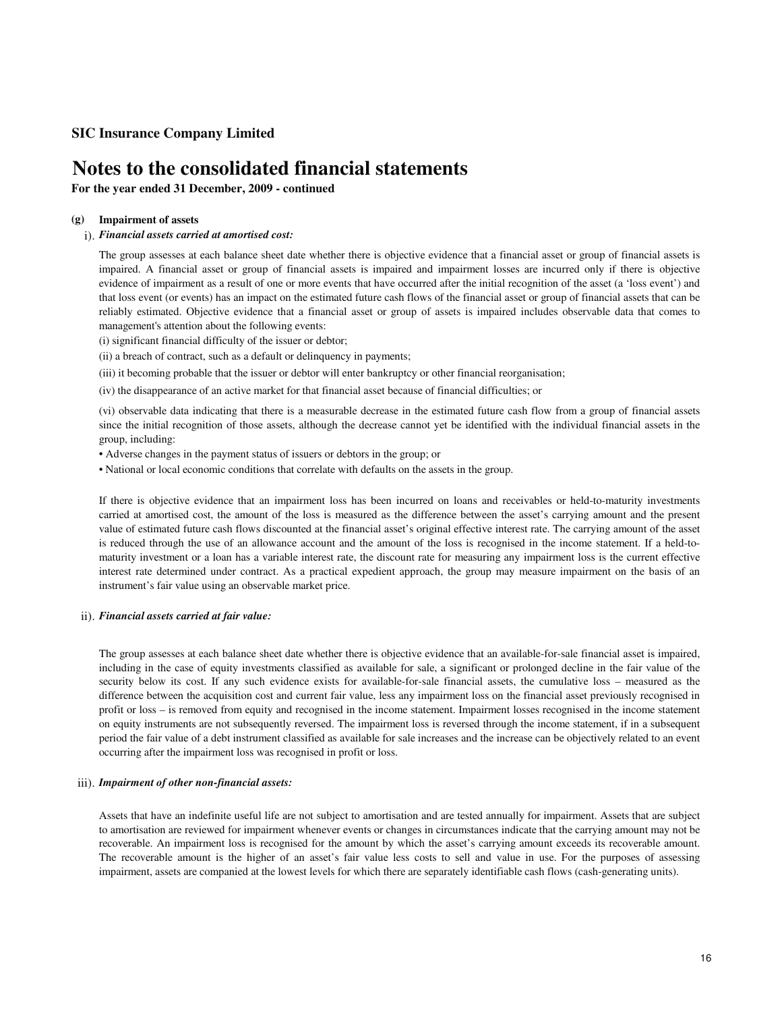# **Notes to the consolidated financial statements**

**For the year ended 31 December, 2009 - continued**

#### **(g) Impairment of assets**

## i). *Financial assets carried at amortised cost:*

The group assesses at each balance sheet date whether there is objective evidence that a financial asset or group of financial assets is impaired. A financial asset or group of financial assets is impaired and impairment losses are incurred only if there is objective evidence of impairment as a result of one or more events that have occurred after the initial recognition of the asset (a 'loss event') and that loss event (or events) has an impact on the estimated future cash flows of the financial asset or group of financial assets that can be reliably estimated. Objective evidence that a financial asset or group of assets is impaired includes observable data that comes to management's attention about the following events:

(i) significant financial difficulty of the issuer or debtor;

(ii) a breach of contract, such as a default or delinquency in payments;

(iii) it becoming probable that the issuer or debtor will enter bankruptcy or other financial reorganisation;

(iv) the disappearance of an active market for that financial asset because of financial difficulties; or

(vi) observable data indicating that there is a measurable decrease in the estimated future cash flow from a group of financial assets since the initial recognition of those assets, although the decrease cannot yet be identified with the individual financial assets in the group, including:

• Adverse changes in the payment status of issuers or debtors in the group; or

• National or local economic conditions that correlate with defaults on the assets in the group.

If there is objective evidence that an impairment loss has been incurred on loans and receivables or held-to-maturity investments carried at amortised cost, the amount of the loss is measured as the difference between the asset's carrying amount and the present value of estimated future cash flows discounted at the financial asset's original effective interest rate. The carrying amount of the asset is reduced through the use of an allowance account and the amount of the loss is recognised in the income statement. If a held-tomaturity investment or a loan has a variable interest rate, the discount rate for measuring any impairment loss is the current effective interest rate determined under contract. As a practical expedient approach, the group may measure impairment on the basis of an instrument's fair value using an observable market price.

### ii). *Financial assets carried at fair value:*

The group assesses at each balance sheet date whether there is objective evidence that an available-for-sale financial asset is impaired, including in the case of equity investments classified as available for sale, a significant or prolonged decline in the fair value of the security below its cost. If any such evidence exists for available-for-sale financial assets, the cumulative loss – measured as the difference between the acquisition cost and current fair value, less any impairment loss on the financial asset previously recognised in profit or loss – is removed from equity and recognised in the income statement. Impairment losses recognised in the income statement on equity instruments are not subsequently reversed. The impairment loss is reversed through the income statement, if in a subsequent period the fair value of a debt instrument classified as available for sale increases and the increase can be objectively related to an event occurring after the impairment loss was recognised in profit or loss.

## iii). *Impairment of other non-financial assets:*

Assets that have an indefinite useful life are not subject to amortisation and are tested annually for impairment. Assets that are subject to amortisation are reviewed for impairment whenever events or changes in circumstances indicate that the carrying amount may not be recoverable. An impairment loss is recognised for the amount by which the asset's carrying amount exceeds its recoverable amount. The recoverable amount is the higher of an asset's fair value less costs to sell and value in use. For the purposes of assessing impairment, assets are companied at the lowest levels for which there are separately identifiable cash flows (cash-generating units).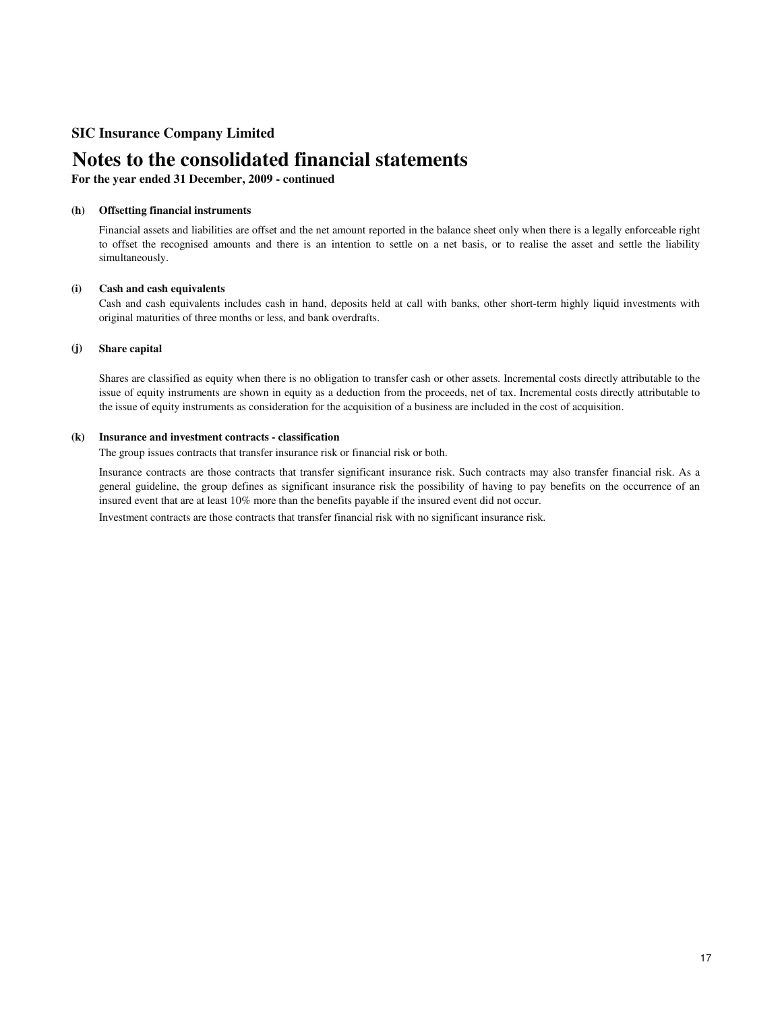# **Notes to the consolidated financial statements**

**For the year ended 31 December, 2009 - continued**

### **(h) Offsetting financial instruments**

Financial assets and liabilities are offset and the net amount reported in the balance sheet only when there is a legally enforceable right to offset the recognised amounts and there is an intention to settle on a net basis, or to realise the asset and settle the liability simultaneously.

#### **(i) Cash and cash equivalents**

Cash and cash equivalents includes cash in hand, deposits held at call with banks, other short-term highly liquid investments with original maturities of three months or less, and bank overdrafts.

#### **(j) Share capital**

Shares are classified as equity when there is no obligation to transfer cash or other assets. Incremental costs directly attributable to the issue of equity instruments are shown in equity as a deduction from the proceeds, net of tax. Incremental costs directly attributable to the issue of equity instruments as consideration for the acquisition of a business are included in the cost of acquisition.

### **(k) Insurance and investment contracts - classification**

The group issues contracts that transfer insurance risk or financial risk or both.

Insurance contracts are those contracts that transfer significant insurance risk. Such contracts may also transfer financial risk. As a general guideline, the group defines as significant insurance risk the possibility of having to pay benefits on the occurrence of an insured event that are at least 10% more than the benefits payable if the insured event did not occur.

Investment contracts are those contracts that transfer financial risk with no significant insurance risk.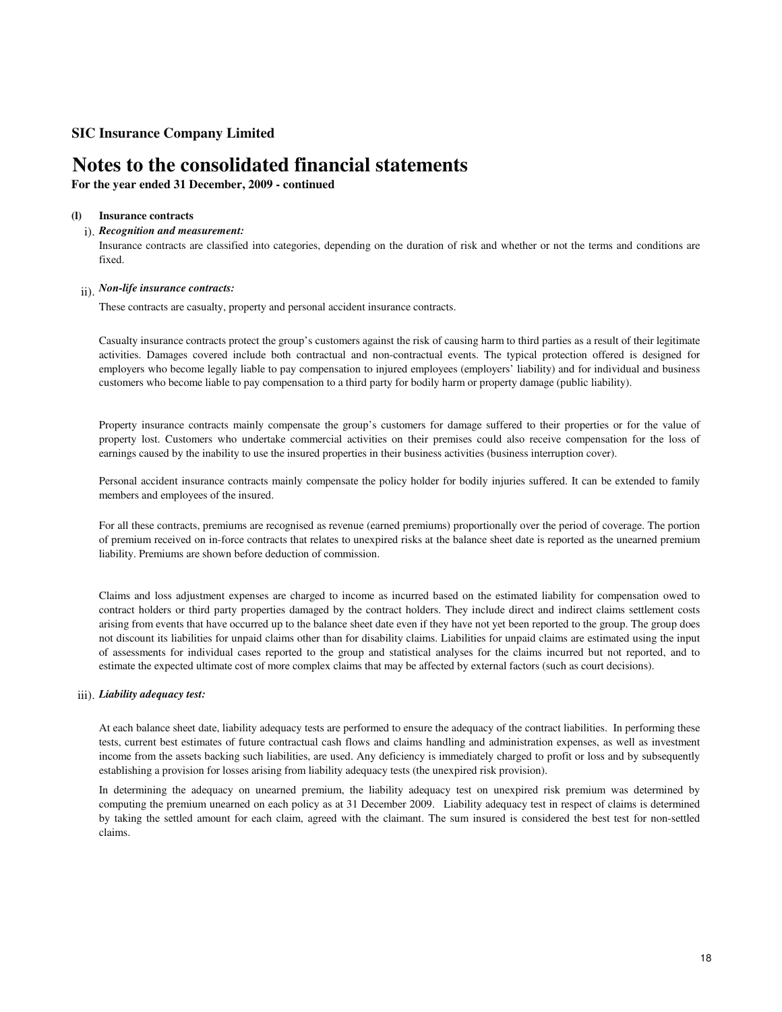# **Notes to the consolidated financial statements**

**For the year ended 31 December, 2009 - continued**

#### **(l) Insurance contracts**

## i). *Recognition and measurement:*

Insurance contracts are classified into categories, depending on the duration of risk and whether or not the terms and conditions are fixed.

# ii). *Non-life insurance contracts:*

These contracts are casualty, property and personal accident insurance contracts.

Casualty insurance contracts protect the group's customers against the risk of causing harm to third parties as a result of their legitimate activities. Damages covered include both contractual and non-contractual events. The typical protection offered is designed for employers who become legally liable to pay compensation to injured employees (employers' liability) and for individual and business customers who become liable to pay compensation to a third party for bodily harm or property damage (public liability).

Property insurance contracts mainly compensate the group's customers for damage suffered to their properties or for the value of property lost. Customers who undertake commercial activities on their premises could also receive compensation for the loss of earnings caused by the inability to use the insured properties in their business activities (business interruption cover).

Personal accident insurance contracts mainly compensate the policy holder for bodily injuries suffered. It can be extended to family members and employees of the insured.

For all these contracts, premiums are recognised as revenue (earned premiums) proportionally over the period of coverage. The portion of premium received on in-force contracts that relates to unexpired risks at the balance sheet date is reported as the unearned premium liability. Premiums are shown before deduction of commission.

Claims and loss adjustment expenses are charged to income as incurred based on the estimated liability for compensation owed to contract holders or third party properties damaged by the contract holders. They include direct and indirect claims settlement costs arising from events that have occurred up to the balance sheet date even if they have not yet been reported to the group. The group does not discount its liabilities for unpaid claims other than for disability claims. Liabilities for unpaid claims are estimated using the input of assessments for individual cases reported to the group and statistical analyses for the claims incurred but not reported, and to estimate the expected ultimate cost of more complex claims that may be affected by external factors (such as court decisions).

## iii). *Liability adequacy test:*

At each balance sheet date, liability adequacy tests are performed to ensure the adequacy of the contract liabilities. In performing these tests, current best estimates of future contractual cash flows and claims handling and administration expenses, as well as investment income from the assets backing such liabilities, are used. Any deficiency is immediately charged to profit or loss and by subsequently establishing a provision for losses arising from liability adequacy tests (the unexpired risk provision).

In determining the adequacy on unearned premium, the liability adequacy test on unexpired risk premium was determined by computing the premium unearned on each policy as at 31 December 2009. Liability adequacy test in respect of claims is determined by taking the settled amount for each claim, agreed with the claimant. The sum insured is considered the best test for non-settled claims.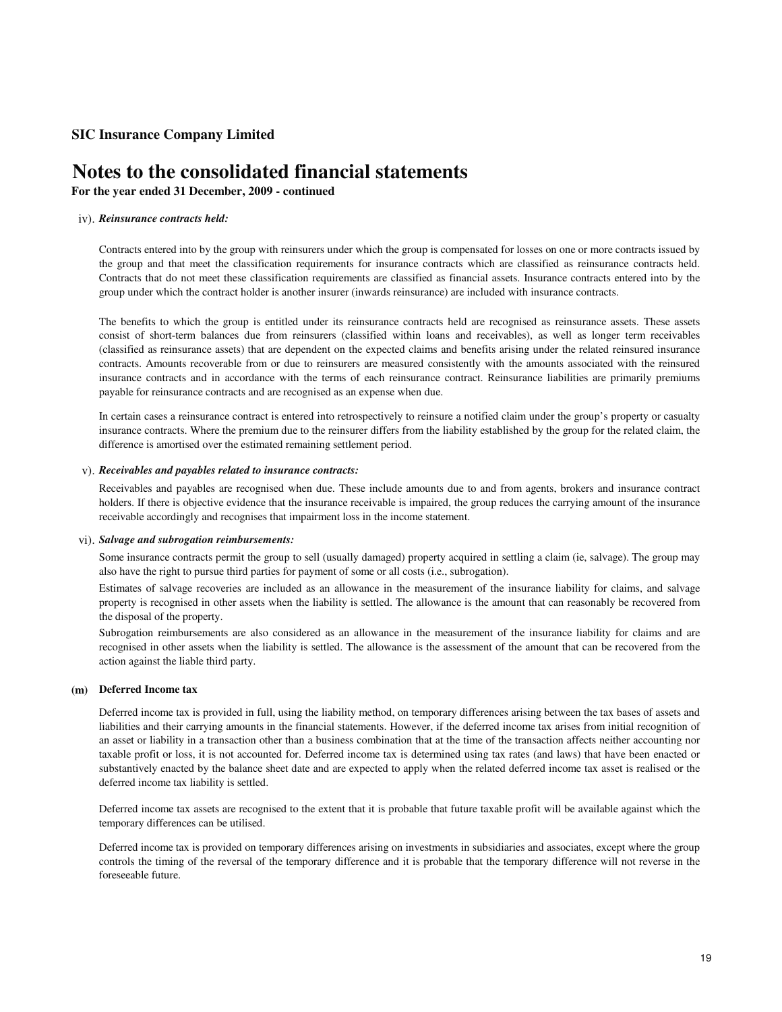# **Notes to the consolidated financial statements**

## **For the year ended 31 December, 2009 - continued**

### iv). *Reinsurance contracts held:*

Contracts entered into by the group with reinsurers under which the group is compensated for losses on one or more contracts issued by the group and that meet the classification requirements for insurance contracts which are classified as reinsurance contracts held. Contracts that do not meet these classification requirements are classified as financial assets. Insurance contracts entered into by the group under which the contract holder is another insurer (inwards reinsurance) are included with insurance contracts.

The benefits to which the group is entitled under its reinsurance contracts held are recognised as reinsurance assets. These assets consist of short-term balances due from reinsurers (classified within loans and receivables), as well as longer term receivables (classified as reinsurance assets) that are dependent on the expected claims and benefits arising under the related reinsured insurance contracts. Amounts recoverable from or due to reinsurers are measured consistently with the amounts associated with the reinsured insurance contracts and in accordance with the terms of each reinsurance contract. Reinsurance liabilities are primarily premiums payable for reinsurance contracts and are recognised as an expense when due.

In certain cases a reinsurance contract is entered into retrospectively to reinsure a notified claim under the group's property or casualty insurance contracts. Where the premium due to the reinsurer differs from the liability established by the group for the related claim, the difference is amortised over the estimated remaining settlement period.

### v). *Receivables and payables related to insurance contracts:*

Receivables and payables are recognised when due. These include amounts due to and from agents, brokers and insurance contract holders. If there is objective evidence that the insurance receivable is impaired, the group reduces the carrying amount of the insurance receivable accordingly and recognises that impairment loss in the income statement.

### vi). *Salvage and subrogation reimbursements:*

Some insurance contracts permit the group to sell (usually damaged) property acquired in settling a claim (ie, salvage). The group may also have the right to pursue third parties for payment of some or all costs (i.e., subrogation).

Estimates of salvage recoveries are included as an allowance in the measurement of the insurance liability for claims, and salvage property is recognised in other assets when the liability is settled. The allowance is the amount that can reasonably be recovered from the disposal of the property.

Subrogation reimbursements are also considered as an allowance in the measurement of the insurance liability for claims and are recognised in other assets when the liability is settled. The allowance is the assessment of the amount that can be recovered from the action against the liable third party.

### **(m) Deferred Income tax**

Deferred income tax is provided in full, using the liability method, on temporary differences arising between the tax bases of assets and liabilities and their carrying amounts in the financial statements. However, if the deferred income tax arises from initial recognition of an asset or liability in a transaction other than a business combination that at the time of the transaction affects neither accounting nor taxable profit or loss, it is not accounted for. Deferred income tax is determined using tax rates (and laws) that have been enacted or substantively enacted by the balance sheet date and are expected to apply when the related deferred income tax asset is realised or the deferred income tax liability is settled.

Deferred income tax assets are recognised to the extent that it is probable that future taxable profit will be available against which the temporary differences can be utilised.

Deferred income tax is provided on temporary differences arising on investments in subsidiaries and associates, except where the group controls the timing of the reversal of the temporary difference and it is probable that the temporary difference will not reverse in the foreseeable future.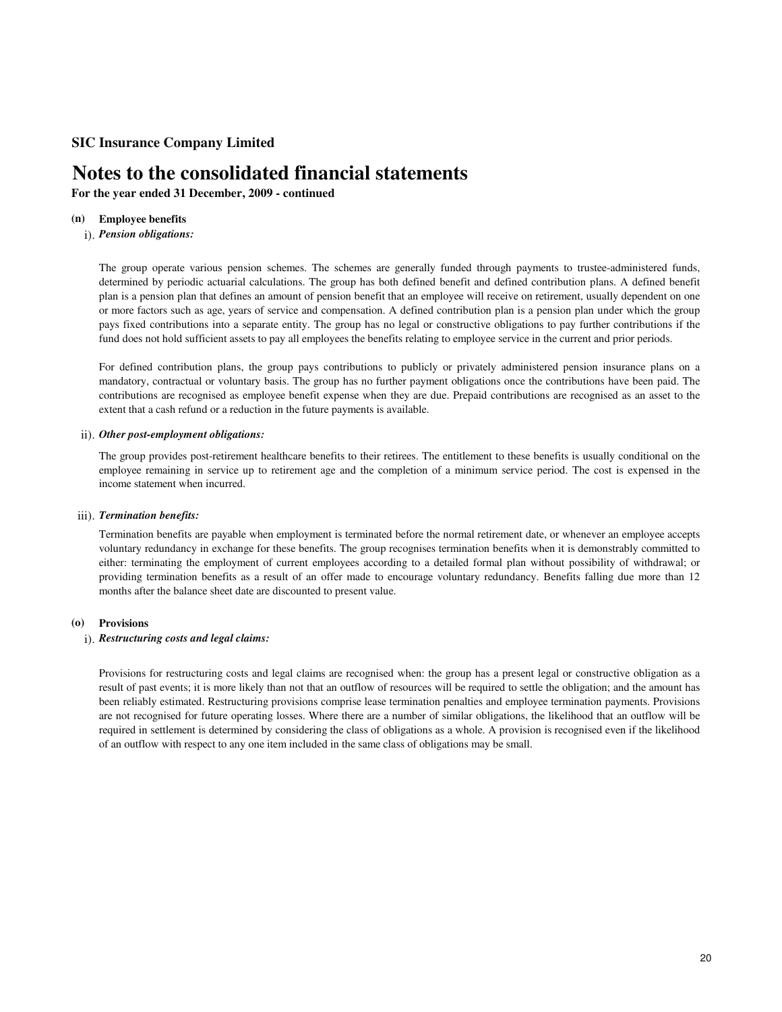# **Notes to the consolidated financial statements**

**For the year ended 31 December, 2009 - continued**

#### **(n) Employee benefits**

## i). *Pension obligations:*

The group operate various pension schemes. The schemes are generally funded through payments to trustee-administered funds, determined by periodic actuarial calculations. The group has both defined benefit and defined contribution plans. A defined benefit plan is a pension plan that defines an amount of pension benefit that an employee will receive on retirement, usually dependent on one or more factors such as age, years of service and compensation. A defined contribution plan is a pension plan under which the group pays fixed contributions into a separate entity. The group has no legal or constructive obligations to pay further contributions if the fund does not hold sufficient assets to pay all employees the benefits relating to employee service in the current and prior periods.

For defined contribution plans, the group pays contributions to publicly or privately administered pension insurance plans on a mandatory, contractual or voluntary basis. The group has no further payment obligations once the contributions have been paid. The contributions are recognised as employee benefit expense when they are due. Prepaid contributions are recognised as an asset to the extent that a cash refund or a reduction in the future payments is available.

## ii). *Other post-employment obligations:*

The group provides post-retirement healthcare benefits to their retirees. The entitlement to these benefits is usually conditional on the employee remaining in service up to retirement age and the completion of a minimum service period. The cost is expensed in the income statement when incurred.

## iii). *Termination benefits:*

Termination benefits are payable when employment is terminated before the normal retirement date, or whenever an employee accepts voluntary redundancy in exchange for these benefits. The group recognises termination benefits when it is demonstrably committed to either: terminating the employment of current employees according to a detailed formal plan without possibility of withdrawal; or providing termination benefits as a result of an offer made to encourage voluntary redundancy. Benefits falling due more than 12 months after the balance sheet date are discounted to present value.

### **(o) Provisions**

## i). *Restructuring costs and legal claims:*

Provisions for restructuring costs and legal claims are recognised when: the group has a present legal or constructive obligation as a result of past events; it is more likely than not that an outflow of resources will be required to settle the obligation; and the amount has been reliably estimated. Restructuring provisions comprise lease termination penalties and employee termination payments. Provisions are not recognised for future operating losses. Where there are a number of similar obligations, the likelihood that an outflow will be required in settlement is determined by considering the class of obligations as a whole. A provision is recognised even if the likelihood of an outflow with respect to any one item included in the same class of obligations may be small.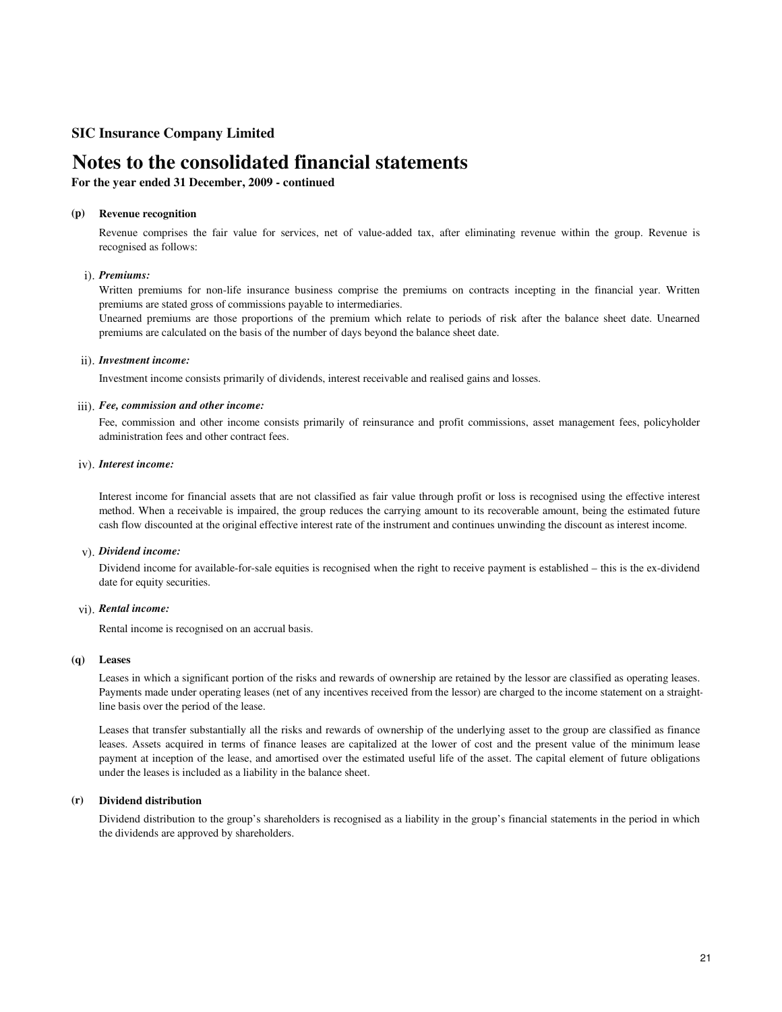# **Notes to the consolidated financial statements**

## **For the year ended 31 December, 2009 - continued**

### **(p) Revenue recognition**

Revenue comprises the fair value for services, net of value-added tax, after eliminating revenue within the group. Revenue is recognised as follows:

### i). *Premiums:*

Written premiums for non-life insurance business comprise the premiums on contracts incepting in the financial year. Written premiums are stated gross of commissions payable to intermediaries.

Unearned premiums are those proportions of the premium which relate to periods of risk after the balance sheet date. Unearned premiums are calculated on the basis of the number of days beyond the balance sheet date.

### ii). *Investment income:*

Investment income consists primarily of dividends, interest receivable and realised gains and losses.

### iii). *Fee, commission and other income:*

Fee, commission and other income consists primarily of reinsurance and profit commissions, asset management fees, policyholder administration fees and other contract fees.

### iv). *Interest income:*

Interest income for financial assets that are not classified as fair value through profit or loss is recognised using the effective interest method. When a receivable is impaired, the group reduces the carrying amount to its recoverable amount, being the estimated future cash flow discounted at the original effective interest rate of the instrument and continues unwinding the discount as interest income.

### v). *Dividend income:*

Dividend income for available-for-sale equities is recognised when the right to receive payment is established – this is the ex-dividend date for equity securities.

### vi). *Rental income:*

Rental income is recognised on an accrual basis.

### **(q) Leases**

Leases in which a significant portion of the risks and rewards of ownership are retained by the lessor are classified as operating leases. Payments made under operating leases (net of any incentives received from the lessor) are charged to the income statement on a straightline basis over the period of the lease.

Leases that transfer substantially all the risks and rewards of ownership of the underlying asset to the group are classified as finance leases. Assets acquired in terms of finance leases are capitalized at the lower of cost and the present value of the minimum lease payment at inception of the lease, and amortised over the estimated useful life of the asset. The capital element of future obligations under the leases is included as a liability in the balance sheet.

### **(r) Dividend distribution**

Dividend distribution to the group's shareholders is recognised as a liability in the group's financial statements in the period in which the dividends are approved by shareholders.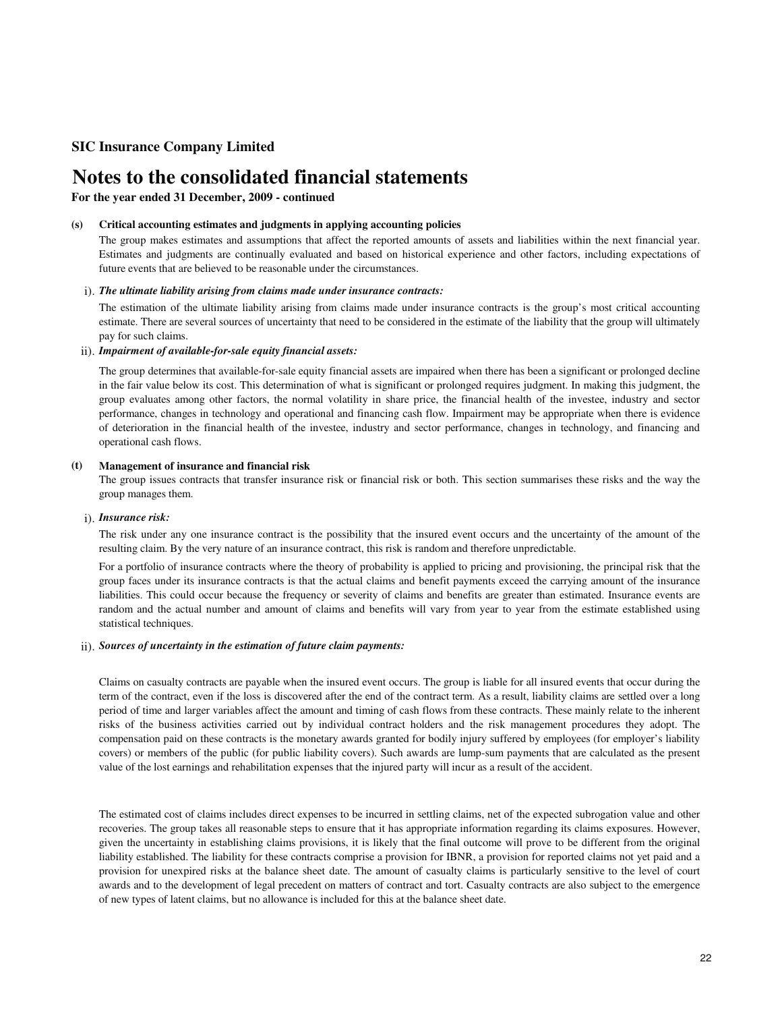# **Notes to the consolidated financial statements**

**For the year ended 31 December, 2009 - continued**

#### **(s) Critical accounting estimates and judgments in applying accounting policies**

The group makes estimates and assumptions that affect the reported amounts of assets and liabilities within the next financial year. Estimates and judgments are continually evaluated and based on historical experience and other factors, including expectations of future events that are believed to be reasonable under the circumstances.

## i). *The ultimate liability arising from claims made under insurance contracts:*

The estimation of the ultimate liability arising from claims made under insurance contracts is the group's most critical accounting estimate. There are several sources of uncertainty that need to be considered in the estimate of the liability that the group will ultimately pay for such claims.

### ii). *Impairment of available-for-sale equity financial assets:*

The group determines that available-for-sale equity financial assets are impaired when there has been a significant or prolonged decline in the fair value below its cost. This determination of what is significant or prolonged requires judgment. In making this judgment, the group evaluates among other factors, the normal volatility in share price, the financial health of the investee, industry and sector performance, changes in technology and operational and financing cash flow. Impairment may be appropriate when there is evidence of deterioration in the financial health of the investee, industry and sector performance, changes in technology, and financing and operational cash flows.

### **(t) Management of insurance and financial risk**

The group issues contracts that transfer insurance risk or financial risk or both. This section summarises these risks and the way the group manages them.

### i). *Insurance risk:*

The risk under any one insurance contract is the possibility that the insured event occurs and the uncertainty of the amount of the resulting claim. By the very nature of an insurance contract, this risk is random and therefore unpredictable.

For a portfolio of insurance contracts where the theory of probability is applied to pricing and provisioning, the principal risk that the group faces under its insurance contracts is that the actual claims and benefit payments exceed the carrying amount of the insurance liabilities. This could occur because the frequency or severity of claims and benefits are greater than estimated. Insurance events are random and the actual number and amount of claims and benefits will vary from year to year from the estimate established using statistical techniques.

## ii). *Sources of uncertainty in the estimation of future claim payments:*

Claims on casualty contracts are payable when the insured event occurs. The group is liable for all insured events that occur during the term of the contract, even if the loss is discovered after the end of the contract term. As a result, liability claims are settled over a long period of time and larger variables affect the amount and timing of cash flows from these contracts. These mainly relate to the inherent risks of the business activities carried out by individual contract holders and the risk management procedures they adopt. The compensation paid on these contracts is the monetary awards granted for bodily injury suffered by employees (for employer's liability covers) or members of the public (for public liability covers). Such awards are lump-sum payments that are calculated as the present value of the lost earnings and rehabilitation expenses that the injured party will incur as a result of the accident.

The estimated cost of claims includes direct expenses to be incurred in settling claims, net of the expected subrogation value and other recoveries. The group takes all reasonable steps to ensure that it has appropriate information regarding its claims exposures. However, given the uncertainty in establishing claims provisions, it is likely that the final outcome will prove to be different from the original liability established. The liability for these contracts comprise a provision for IBNR, a provision for reported claims not yet paid and a provision for unexpired risks at the balance sheet date. The amount of casualty claims is particularly sensitive to the level of court awards and to the development of legal precedent on matters of contract and tort. Casualty contracts are also subject to the emergence of new types of latent claims, but no allowance is included for this at the balance sheet date.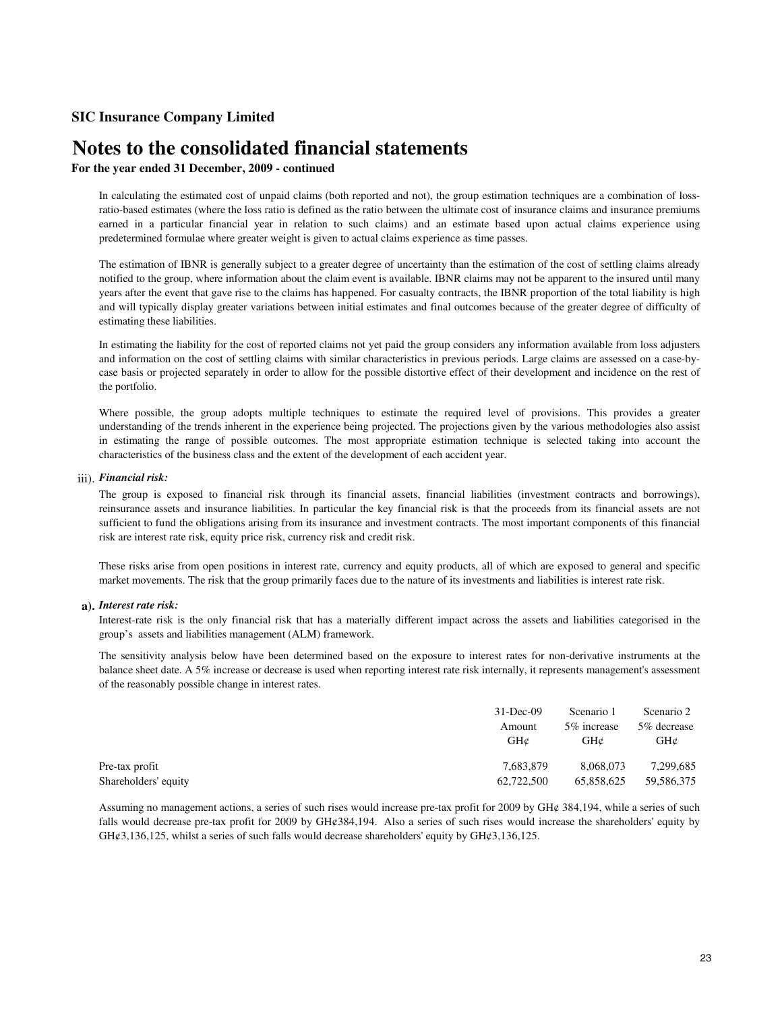# **Notes to the consolidated financial statements**

## **For the year ended 31 December, 2009 - continued**

In calculating the estimated cost of unpaid claims (both reported and not), the group estimation techniques are a combination of lossratio-based estimates (where the loss ratio is defined as the ratio between the ultimate cost of insurance claims and insurance premiums earned in a particular financial year in relation to such claims) and an estimate based upon actual claims experience using predetermined formulae where greater weight is given to actual claims experience as time passes.

The estimation of IBNR is generally subject to a greater degree of uncertainty than the estimation of the cost of settling claims already notified to the group, where information about the claim event is available. IBNR claims may not be apparent to the insured until many years after the event that gave rise to the claims has happened. For casualty contracts, the IBNR proportion of the total liability is high and will typically display greater variations between initial estimates and final outcomes because of the greater degree of difficulty of estimating these liabilities.

In estimating the liability for the cost of reported claims not yet paid the group considers any information available from loss adjusters and information on the cost of settling claims with similar characteristics in previous periods. Large claims are assessed on a case-bycase basis or projected separately in order to allow for the possible distortive effect of their development and incidence on the rest of the portfolio.

Where possible, the group adopts multiple techniques to estimate the required level of provisions. This provides a greater understanding of the trends inherent in the experience being projected. The projections given by the various methodologies also assist in estimating the range of possible outcomes. The most appropriate estimation technique is selected taking into account the characteristics of the business class and the extent of the development of each accident year.

## iii). *Financial risk:*

The group is exposed to financial risk through its financial assets, financial liabilities (investment contracts and borrowings), reinsurance assets and insurance liabilities. In particular the key financial risk is that the proceeds from its financial assets are not sufficient to fund the obligations arising from its insurance and investment contracts. The most important components of this financial risk are interest rate risk, equity price risk, currency risk and credit risk.

These risks arise from open positions in interest rate, currency and equity products, all of which are exposed to general and specific market movements. The risk that the group primarily faces due to the nature of its investments and liabilities is interest rate risk.

### **a).** *Interest rate risk:*

Interest-rate risk is the only financial risk that has a materially different impact across the assets and liabilities categorised in the group's assets and liabilities management (ALM) framework.

The sensitivity analysis below have been determined based on the exposure to interest rates for non-derivative instruments at the balance sheet date. A 5% increase or decrease is used when reporting interest rate risk internally, it represents management's assessment of the reasonably possible change in interest rates.

|                      | $31$ -Dec-09 | Scenario 1   | Scenario 2         |
|----------------------|--------------|--------------|--------------------|
|                      | Amount       | 5\% increase | 5% decrease<br>GHz |
|                      | GHC          | GHC          |                    |
| Pre-tax profit       | 7.683.879    | 8.068.073    | 7,299,685          |
| Shareholders' equity | 62,722,500   | 65,858,625   | 59,586,375         |

Assuming no management actions, a series of such rises would increase pre-tax profit for 2009 by GH¢ 384,194, while a series of such falls would decrease pre-tax profit for 2009 by GH¢384,194. Also a series of such rises would increase the shareholders' equity by  $GH¢3,136,125$ , whilst a series of such falls would decrease shareholders' equity by  $GH¢3,136,125$ .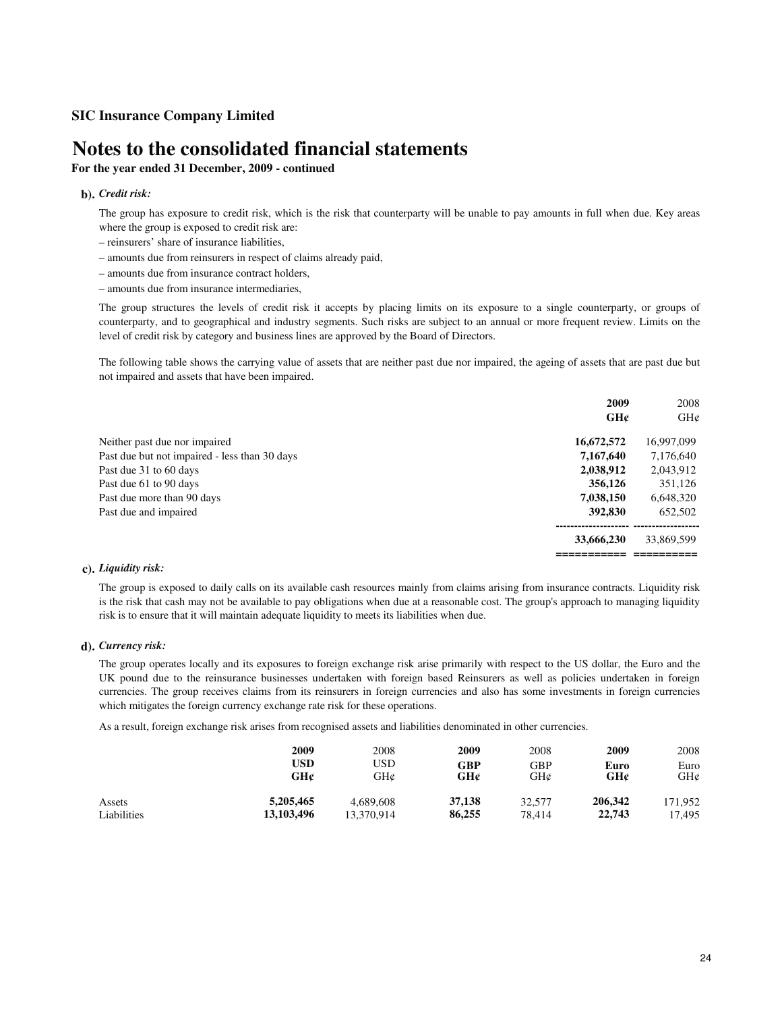# **Notes to the consolidated financial statements**

# **For the year ended 31 December, 2009 - continued**

## **b).** *Credit risk:*

The group has exposure to credit risk, which is the risk that counterparty will be unable to pay amounts in full when due. Key areas where the group is exposed to credit risk are:

- reinsurers' share of insurance liabilities,
- amounts due from reinsurers in respect of claims already paid,
- amounts due from insurance contract holders,
- amounts due from insurance intermediaries,

The group structures the levels of credit risk it accepts by placing limits on its exposure to a single counterparty, or groups of counterparty, and to geographical and industry segments. Such risks are subject to an annual or more frequent review. Limits on the level of credit risk by category and business lines are approved by the Board of Directors.

The following table shows the carrying value of assets that are neither past due nor impaired, the ageing of assets that are past due but not impaired and assets that have been impaired.

|                                               | 2009       | 2008       |
|-----------------------------------------------|------------|------------|
|                                               | GHc        | GHC        |
| Neither past due nor impaired                 | 16,672,572 | 16,997,099 |
| Past due but not impaired - less than 30 days | 7,167,640  | 7,176,640  |
| Past due 31 to 60 days                        | 2,038,912  | 2,043,912  |
| Past due 61 to 90 days                        | 356,126    | 351,126    |
| Past due more than 90 days                    | 7,038,150  | 6,648,320  |
| Past due and impaired                         | 392,830    | 652,502    |
|                                               | 33,666,230 | 33,869,599 |
|                                               |            |            |

### **c).** *Liquidity risk:*

The group is exposed to daily calls on its available cash resources mainly from claims arising from insurance contracts. Liquidity risk is the risk that cash may not be available to pay obligations when due at a reasonable cost. The group's approach to managing liquidity risk is to ensure that it will maintain adequate liquidity to meets its liabilities when due.

### **d).** *Currency risk:*

The group operates locally and its exposures to foreign exchange risk arise primarily with respect to the US dollar, the Euro and the UK pound due to the reinsurance businesses undertaken with foreign based Reinsurers as well as policies undertaken in foreign currencies. The group receives claims from its reinsurers in foreign currencies and also has some investments in foreign currencies which mitigates the foreign currency exchange rate risk for these operations.

As a result, foreign exchange risk arises from recognised assets and liabilities denominated in other currencies.

|             | 2009       | 2008       | 2009   | 2008   | 2009    | 2008    |
|-------------|------------|------------|--------|--------|---------|---------|
|             | <b>USD</b> | USD        | GBP    | GBP    | Euro    | Euro    |
|             | GH¢        | GH¢        | GH¢    | GH¢    | GH¢     | GH¢     |
| Assets      | 5,205,465  | 4.689.608  | 37,138 | 32,577 | 206,342 | 171.952 |
| Liabilities | 13,103,496 | 13,370,914 | 86,255 | 78.414 | 22,743  | 17.495  |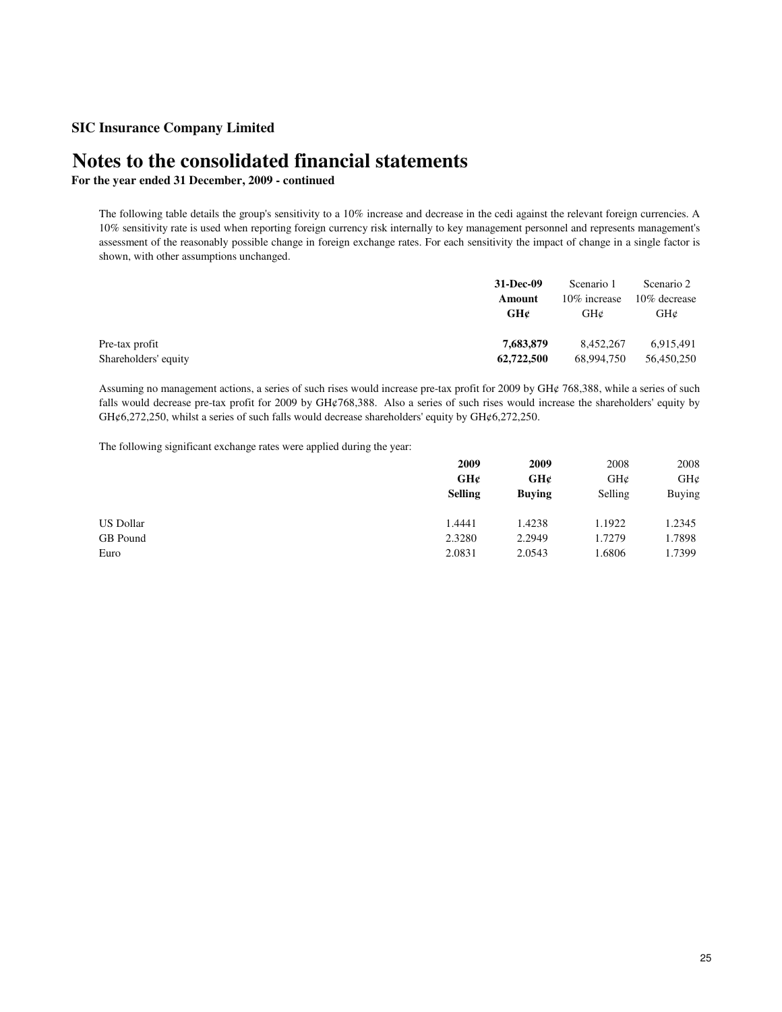# **Notes to the consolidated financial statements**

**For the year ended 31 December, 2009 - continued**

The following table details the group's sensitivity to a 10% increase and decrease in the cedi against the relevant foreign currencies. A 10% sensitivity rate is used when reporting foreign currency risk internally to key management personnel and represents management's assessment of the reasonably possible change in foreign exchange rates. For each sensitivity the impact of change in a single factor is shown, with other assumptions unchanged.

|                      | 31-Dec-09  | Scenario 1    | Scenario 2   |
|----------------------|------------|---------------|--------------|
|                      | Amount     | 10\% increase | 10% decrease |
|                      | GH¢        | GH¢           | GHC          |
|                      |            |               |              |
| Pre-tax profit       | 7,683,879  | 8.452.267     | 6,915,491    |
| Shareholders' equity | 62,722,500 | 68.994.750    | 56.450.250   |

Assuming no management actions, a series of such rises would increase pre-tax profit for 2009 by GH¢ 768,388, while a series of such falls would decrease pre-tax profit for 2009 by GH¢768,388. Also a series of such rises would increase the shareholders' equity by GH¢6,272,250, whilst a series of such falls would decrease shareholders' equity by GH¢6,272,250.

The following significant exchange rates were applied during the year:

|                  | 2009           | 2009          | 2008    | 2008   |
|------------------|----------------|---------------|---------|--------|
|                  | GH¢            | GH¢           | GH@     | GH¢    |
|                  | <b>Selling</b> | <b>Buving</b> | Selling | Buying |
| <b>US Dollar</b> | 1.4441         | 1.4238        | 1.1922  | 1.2345 |
| GB Pound         | 2.3280         | 2.2949        | 1.7279  | 1.7898 |
| Euro             | 2.0831         | 2.0543        | 1.6806  | 1.7399 |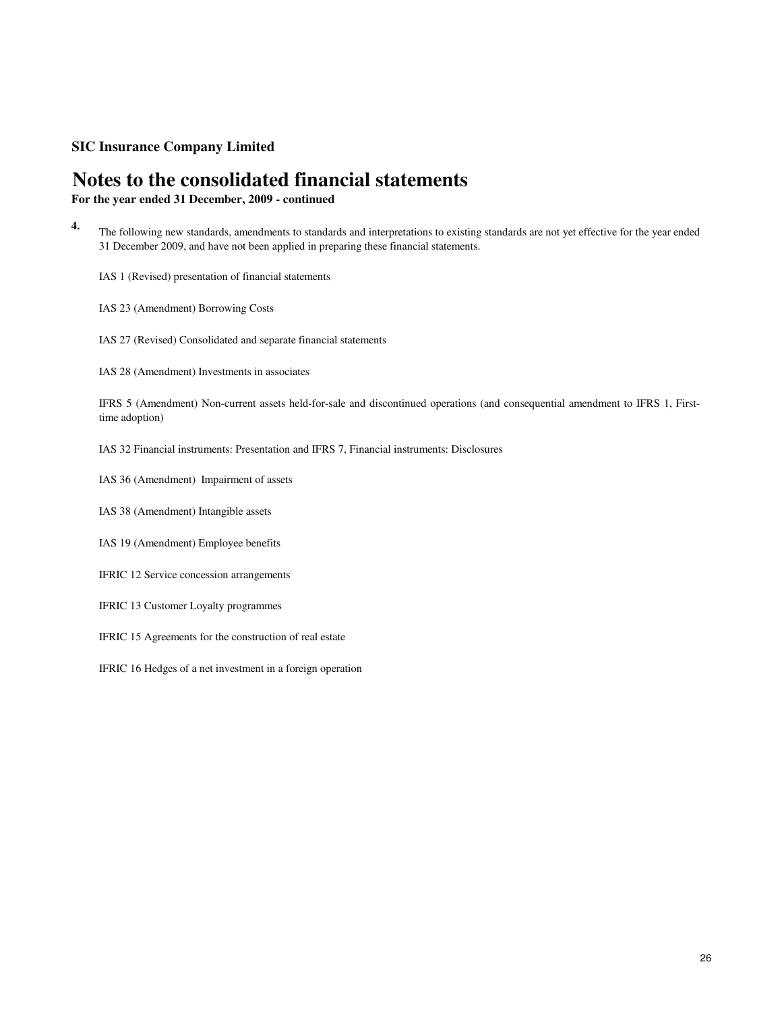# **Notes to the consolidated financial statements**

**For the year ended 31 December, 2009 - continued**

- **4.** The following new standards, amendments to standards and interpretations to existing standards are not yet effective for the year ended 31 December 2009, and have not been applied in preparing these financial statements.
	- IAS 1 (Revised) presentation of financial statements
	- IAS 23 (Amendment) Borrowing Costs
	- IAS 27 (Revised) Consolidated and separate financial statements
	- IAS 28 (Amendment) Investments in associates

IFRS 5 (Amendment) Non-current assets held-for-sale and discontinued operations (and consequential amendment to IFRS 1, Firsttime adoption)

- IAS 32 Financial instruments: Presentation and IFRS 7, Financial instruments: Disclosures
- IAS 36 (Amendment) Impairment of assets
- IAS 38 (Amendment) Intangible assets
- IAS 19 (Amendment) Employee benefits
- IFRIC 12 Service concession arrangements
- IFRIC 13 Customer Loyalty programmes
- IFRIC 15 Agreements for the construction of real estate
- IFRIC 16 Hedges of a net investment in a foreign operation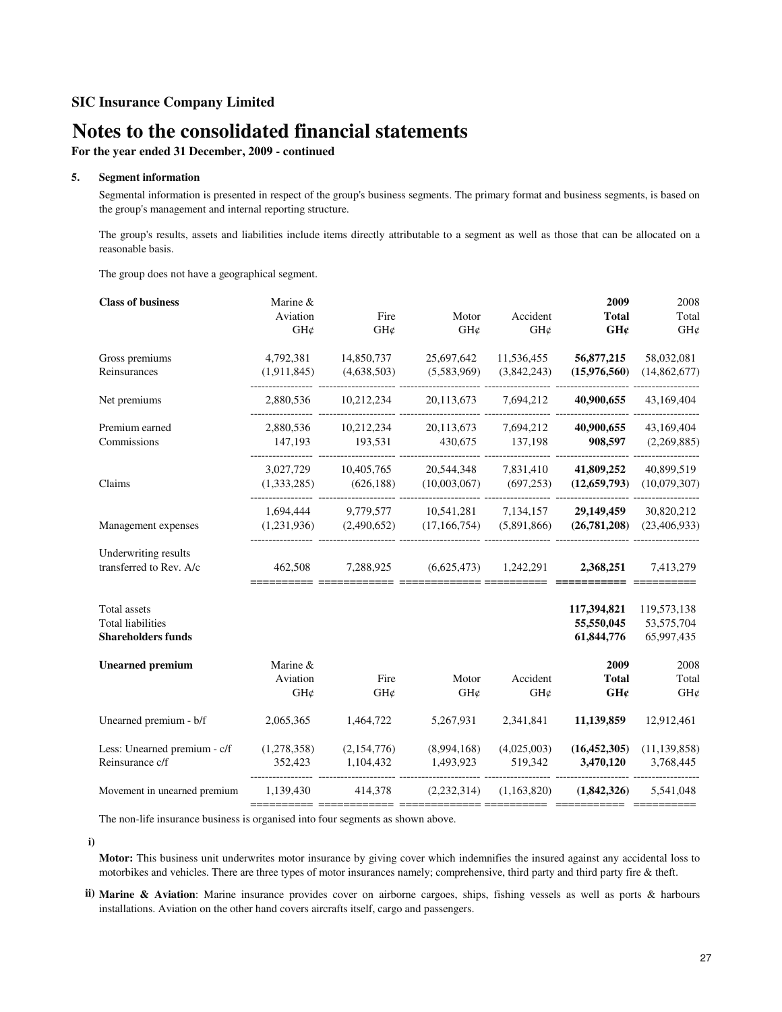# **Notes to the consolidated financial statements**

**For the year ended 31 December, 2009 - continued**

#### **5. Segment information**

Segmental information is presented in respect of the group's business segments. The primary format and business segments, is based on the group's management and internal reporting structure.

The group's results, assets and liabilities include items directly attributable to a segment as well as those that can be allocated on a reasonable basis.

The group does not have a geographical segment.

| <b>Class of business</b>     | Marine &        |             |                |                 | 2009                | 2008           |
|------------------------------|-----------------|-------------|----------------|-----------------|---------------------|----------------|
|                              | Aviation<br>GH¢ | Fire<br>GH¢ | Motor<br>GH¢   | Accident<br>GH¢ | <b>Total</b><br>GH¢ | Total<br>GH¢   |
| Gross premiums               | 4,792,381       | 14,850,737  | 25,697,642     | 11,536,455      | 56,877,215          | 58,032,081     |
| Reinsurances                 | (1,911,845)     | (4,638,503) | (5,583,969)    | (3,842,243)     | (15,976,560)        | (14,862,677)   |
| Net premiums                 | 2,880,536       | 10,212,234  | 20,113,673     | 7,694,212       | 40,900,655          | 43,169,404     |
| Premium earned               | 2,880,536       | 10,212,234  | 20,113,673     | 7,694,212       | 40,900,655          | 43,169,404     |
| Commissions                  | 147.193         | 193,531     | 430,675        | 137,198         | 908,597             | (2,269,885)    |
|                              | 3,027,729       | 10,405,765  | 20,544,348     | 7,831,410       | 41,809,252          | 40,899,519     |
| Claims                       | (1,333,285)     | (626, 188)  | (10,003,067)   | (697, 253)      | (12, 659, 793)      | (10,079,307)   |
|                              | 1,694,444       | 9,779,577   | 10,541,281     | 7,134,157       | 29,149,459          | 30,820,212     |
| Management expenses          | (1,231,936)     | (2,490,652) | (17, 166, 754) | (5,891,866)     | (26, 781, 208)      | (23, 406, 933) |
| Underwriting results         |                 |             |                |                 |                     |                |
| transferred to Rev. A/c      | 462,508         | 7,288,925   | (6,625,473)    | 1,242,291       | 2,368,251           | 7,413,279      |
| <b>Total assets</b>          |                 |             |                |                 | 117,394,821         | 119,573,138    |
| <b>Total liabilities</b>     |                 |             |                |                 | 55,550,045          | 53,575,704     |
| <b>Shareholders funds</b>    |                 |             |                |                 | 61,844,776          | 65,997,435     |
| <b>Unearned premium</b>      | Marine &        |             |                |                 | 2009                | 2008           |
|                              | Aviation        | Fire        | Motor          | Accident        | <b>Total</b>        | Total          |
|                              | GH¢             | GH¢         | GH¢            | GH¢             | GH¢                 | GH¢            |
| Unearned premium - b/f       | 2,065,365       | 1,464,722   | 5,267,931      | 2,341,841       | 11,139,859          | 12,912,461     |
| Less: Unearned premium - c/f | (1,278,358)     | (2,154,776) | (8,994,168)    | (4,025,003)     | (16, 452, 305)      | (11, 139, 858) |
| Reinsurance c/f              | 352,423         | 1,104,432   | 1,493,923      | 519,342         | 3,470,120           | 3,768,445      |
| Movement in unearned premium | 1,139,430       | 414,378     | (2, 232, 314)  | (1,163,820)     | (1,842,326)         | 5,541,048      |
|                              |                 |             |                |                 |                     |                |

The non-life insurance business is organised into four segments as shown above.

**i)**

**Motor:** This business unit underwrites motor insurance by giving cover which indemnifies the insured against any accidental loss to motorbikes and vehicles. There are three types of motor insurances namely; comprehensive, third party and third party fire & theft.

**ii) Marine & Aviation**: Marine insurance provides cover on airborne cargoes, ships, fishing vessels as well as ports & harbours installations. Aviation on the other hand covers aircrafts itself, cargo and passengers.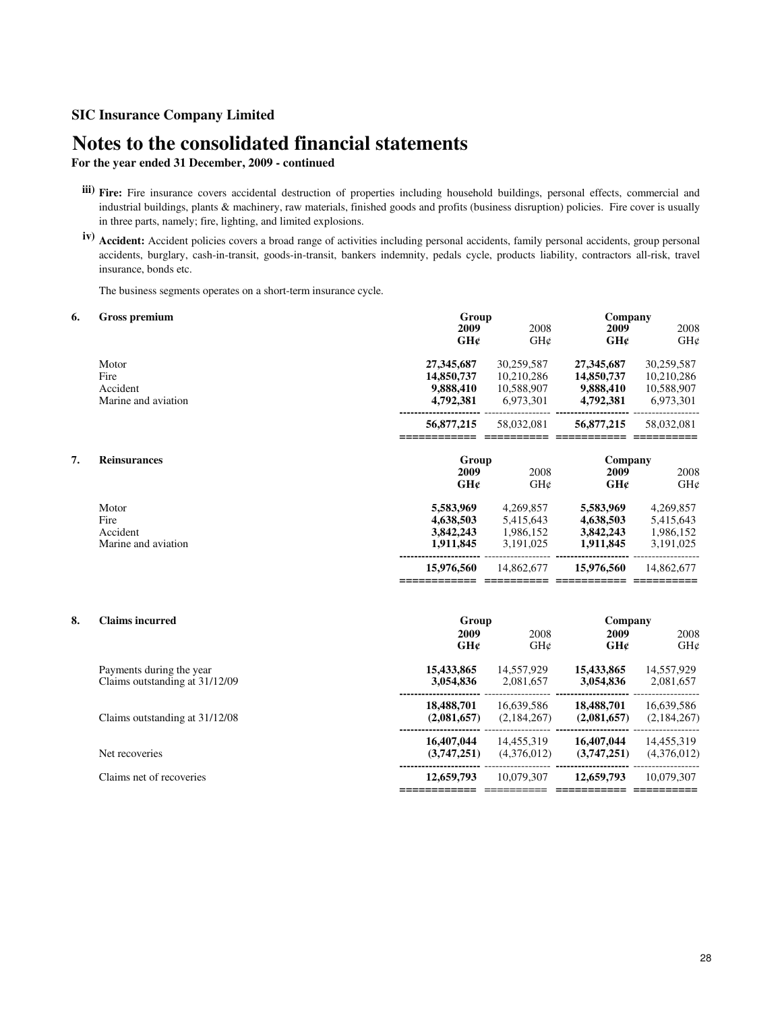# **Notes to the consolidated financial statements**

# **For the year ended 31 December, 2009 - continued**

- **iii) Fire:** Fire insurance covers accidental destruction of properties including household buildings, personal effects, commercial and industrial buildings, plants & machinery, raw materials, finished goods and profits (business disruption) policies. Fire cover is usually in three parts, namely; fire, lighting, and limited explosions.
- **iv) Accident:** Accident policies covers a broad range of activities including personal accidents, family personal accidents, group personal accidents, burglary, cash-in-transit, goods-in-transit, bankers indemnity, pedals cycle, products liability, contractors all-risk, travel insurance, bonds etc.

The business segments operates on a short-term insurance cycle.

| 6. | <b>Gross premium</b>                                       | Group<br>2009                                      | 2008                                                | Company<br>2009                                    | 2008                                                |
|----|------------------------------------------------------------|----------------------------------------------------|-----------------------------------------------------|----------------------------------------------------|-----------------------------------------------------|
|    |                                                            | GH¢                                                | GH¢                                                 | GH¢                                                | GH¢                                                 |
|    | Motor<br>Fire<br>Accident<br>Marine and aviation           | 27,345,687<br>14,850,737<br>9,888,410<br>4,792,381 | 30,259,587<br>10,210,286<br>10,588,907<br>6,973,301 | 27,345,687<br>14,850,737<br>9,888,410<br>4,792,381 | 30,259,587<br>10,210,286<br>10,588,907<br>6,973,301 |
|    |                                                            | 56,877,215                                         | 58,032,081                                          | 56,877,215                                         | 58,032,081                                          |
| 7. | <b>Reinsurances</b>                                        | Group<br>2009<br>GH¢                               | 2008<br>GH¢                                         | Company<br>2009<br>GH¢                             | 2008<br>GHC                                         |
|    | Motor<br>Fire<br>Accident<br>Marine and aviation           | 5,583,969<br>4,638,503<br>3,842,243<br>1,911,845   | 4,269,857<br>5,415,643<br>1,986,152<br>3,191,025    | 5,583,969<br>4,638,503<br>3,842,243<br>1,911,845   | 4,269,857<br>5,415,643<br>1,986,152<br>3,191,025    |
|    |                                                            | 15,976,560                                         | 14,862,677                                          | 15,976,560                                         | 14,862,677                                          |
| 8. | <b>Claims incurred</b>                                     | Group<br>2009<br>GHc                               | 2008<br>GHC                                         | Company<br>2009<br>GH¢                             | 2008<br>GH¢                                         |
|    | Payments during the year<br>Claims outstanding at 31/12/09 | 15,433,865<br>3,054,836                            | 14,557,929<br>2,081,657                             | 15,433,865<br>3,054,836                            | 14,557,929<br>2,081,657                             |
|    | Claims outstanding at 31/12/08                             | 18,488,701<br>(2,081,657)                          | 16,639,586<br>(2,184,267)                           | 18,488,701<br>(2,081,657)                          | 16,639,586<br>(2,184,267)                           |
|    | Net recoveries                                             | 16,407,044<br>(3,747,251)                          | 14,455,319<br>(4,376,012)                           | 16,407,044<br>(3,747,251)                          | 14,455,319<br>(4,376,012)                           |
|    | Claims net of recoveries                                   | 12,659,793                                         | 10,079,307                                          | 12,659,793                                         | 10,079,307                                          |

**============** ========== **=========== ==========**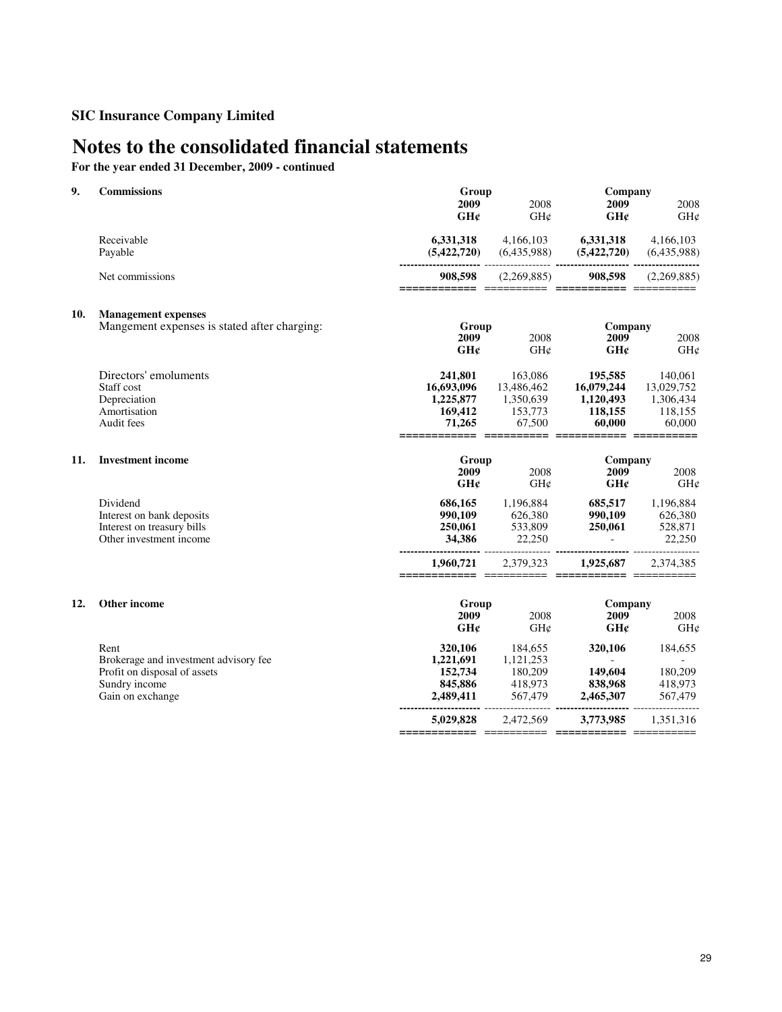# **Notes to the consolidated financial statements**

**For the year ended 31 December, 2009 - continued**

| 9.  | <b>Commissions</b>                                                                             | Group<br>2009<br>GH¢                                    | 2008<br>GH¢                                             | Company<br>2009<br>GH¢                                  | 2008<br>GH¢                                             |
|-----|------------------------------------------------------------------------------------------------|---------------------------------------------------------|---------------------------------------------------------|---------------------------------------------------------|---------------------------------------------------------|
|     | Receivable<br>Payable                                                                          | 6,331,318<br>(5,422,720)                                | 4,166,103<br>(6,435,988)                                | 6,331,318<br>(5,422,720)                                | 4,166,103<br>(6,435,988)                                |
|     | Net commissions                                                                                | 908,598                                                 | (2,269,885)                                             | 908,598                                                 | (2,269,885)                                             |
| 10. | <b>Management expenses</b>                                                                     |                                                         |                                                         |                                                         |                                                         |
|     | Mangement expenses is stated after charging:                                                   | Group<br>2009                                           | 2008                                                    | Company<br>2009                                         | 2008                                                    |
|     |                                                                                                | GHC                                                     | GH¢                                                     | GHC                                                     | GH¢                                                     |
|     | Directors' emoluments<br>Staff cost<br>Depreciation<br>Amortisation<br>Audit fees              | 241,801<br>16,693,096<br>1,225,877<br>169,412<br>71,265 | 163,086<br>13,486,462<br>1,350,639<br>153,773<br>67,500 | 195,585<br>16,079,244<br>1,120,493<br>118,155<br>60,000 | 140,061<br>13,029,752<br>1,306,434<br>118,155<br>60,000 |
| 11. | <b>Investment income</b>                                                                       | Group<br>2009<br>GH¢                                    | 2008<br>GHC                                             | Company<br>2009<br>GHC                                  | 2008<br>GH¢                                             |
|     | Dividend<br>Interest on bank deposits<br>Interest on treasury bills<br>Other investment income | 686,165<br>990,109<br>250,061<br>34,386                 | 1,196,884<br>626,380<br>533,809<br>22,250               | 685,517<br>990,109<br>250,061<br>$\mathbf{r}$           | 1,196,884<br>626,380<br>528,871<br>22,250               |
|     |                                                                                                | 1,960,721<br>====================                       | 2,379,323                                               | 1,925,687                                               | 2,374,385                                               |
| 12. | Other income                                                                                   | Group                                                   |                                                         | Company                                                 |                                                         |
|     |                                                                                                | 2009<br>GH¢                                             | 2008<br>GHC                                             | 2009<br>GHc                                             | 2008<br>GH¢                                             |
|     | Rent<br>Brokerage and investment advisory fee<br>Profit on disposal of assets<br>Sundry income | 320,106<br>1,221,691<br>152,734<br>845,886              | 184,655<br>1,121,253<br>180,209<br>418,973              | 320,106<br>$\sim$<br>149,604<br>838,968                 | 184,655<br>180,209<br>418,973                           |
|     | Gain on exchange                                                                               | 2,489,411                                               | 567,479                                                 | 2,465,307                                               | 567,479                                                 |
|     |                                                                                                | 5.029.828                                               | 2,472,569                                               | 3,773,985                                               | 1,351,316                                               |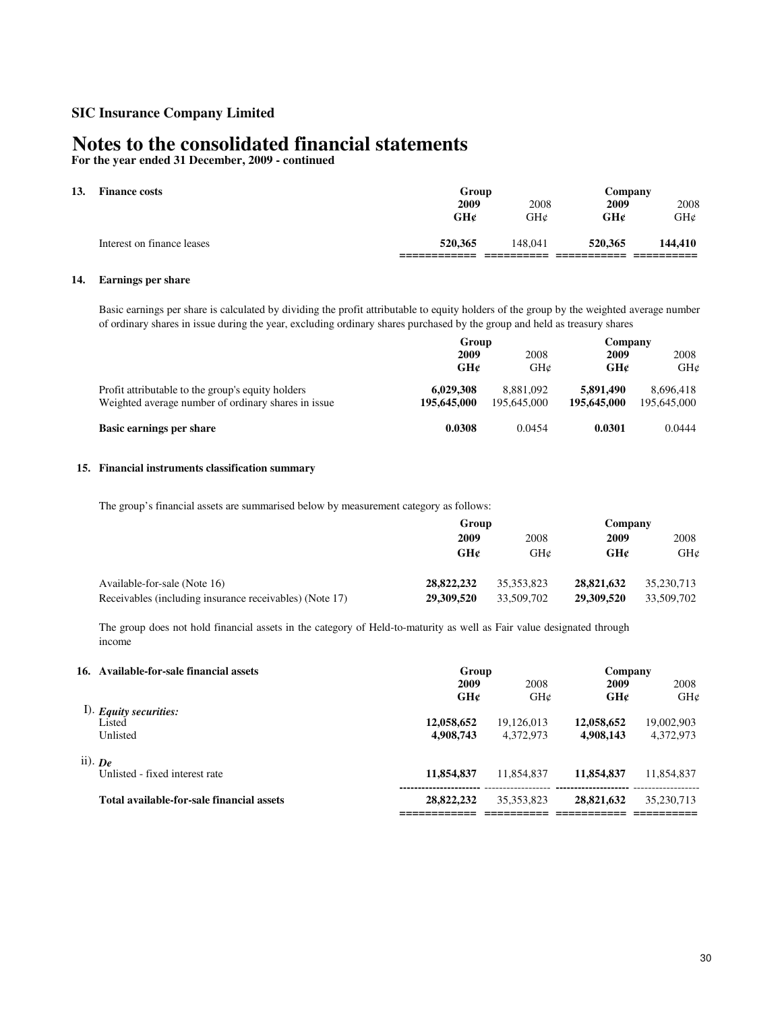# **Notes to the consolidated financial statements**

**For the year ended 31 December, 2009 - continued**

# **13. Finance costs**

| T mante tosts              | <b>U</b> luup |         | Company |         |
|----------------------------|---------------|---------|---------|---------|
|                            | 2009          | 2008    | 2009    | 2008    |
|                            | GH¢           | GH¢     | GH¢     | GH¢     |
| Interest on finance leases | 520.365       | 148.041 | 520,365 | 144,410 |
|                            |               |         |         |         |

**Group Company**

### **14. Earnings per share**

Basic earnings per share is calculated by dividing the profit attributable to equity holders of the group by the weighted average number of ordinary shares in issue during the year, excluding ordinary shares purchased by the group and held as treasury shares

|                                                                                                          | Group                    |                          | Company                  |                          |
|----------------------------------------------------------------------------------------------------------|--------------------------|--------------------------|--------------------------|--------------------------|
|                                                                                                          | 2009                     | 2008                     | 2009                     | 2008                     |
|                                                                                                          | GH¢                      | GHC                      | GH¢                      | GHC                      |
| Profit attributable to the group's equity holders<br>Weighted average number of ordinary shares in issue | 6,029,308<br>195,645,000 | 8.881.092<br>195,645,000 | 5,891,490<br>195,645,000 | 8,696,418<br>195,645,000 |
| Basic earnings per share                                                                                 | 0.0308                   | 0.0454                   | 0.0301                   | 0.0444                   |

### **15. Financial instruments classification summary**

The group's financial assets are summarised below by measurement category as follows:

|                                                         | Group      |            | Company    |            |
|---------------------------------------------------------|------------|------------|------------|------------|
|                                                         | 2009       | 2008       | 2009       | 2008       |
|                                                         | GH¢        | GH@        | GH¢        | GHC        |
| Available-for-sale (Note 16)                            | 28,822,232 | 35.353.823 | 28,821,632 | 35,230,713 |
| Receivables (including insurance receivables) (Note 17) | 29,309,520 | 33,509,702 | 29,309,520 | 33,509,702 |

The group does not hold financial assets in the category of Held-to-maturity as well as Fair value designated through income

| 16. Available-for-sale financial assets   | Group                   | Company                 |                         |                         |
|-------------------------------------------|-------------------------|-------------------------|-------------------------|-------------------------|
|                                           | 2009                    | 2008                    | 2009                    | 2008                    |
|                                           | GH¢                     | GHC                     | GH¢                     | GHC                     |
| $1$ ). Equity securities:<br>Listed       |                         |                         |                         |                         |
| Unlisted                                  | 12,058,652<br>4,908,743 | 19,126,013<br>4.372.973 | 12,058,652<br>4,908,143 | 19,002,903<br>4,372,973 |
| ii). $De$                                 |                         |                         |                         |                         |
| Unlisted - fixed interest rate            | 11,854,837              | 11,854,837              | 11,854,837              | 11,854,837              |
| Total available-for-sale financial assets | 28,822,232              | 35, 353, 823            | 28,821,632              | 35,230,713              |
|                                           |                         |                         |                         |                         |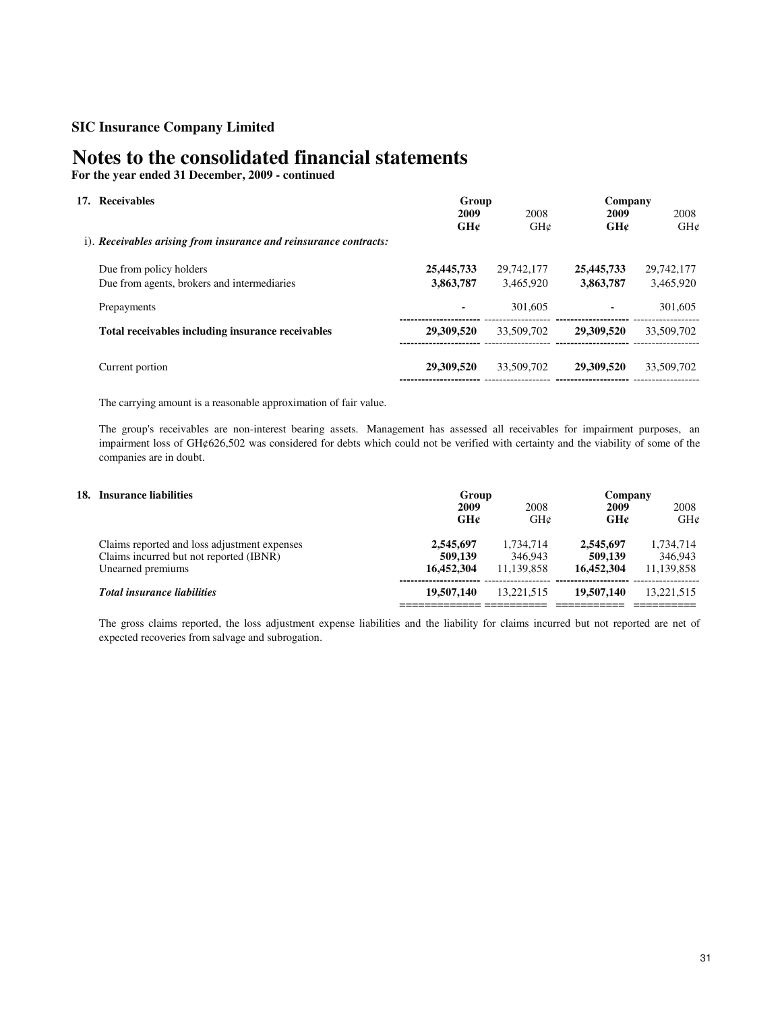# **Notes to the consolidated financial statements**

**For the year ended 31 December, 2009 - continued**

| 17. Receivables                                                   | Group<br>2009<br>GH¢ | 2008<br>GHC | Company<br>2009<br>GH¢ | 2008<br>GHC |
|-------------------------------------------------------------------|----------------------|-------------|------------------------|-------------|
| i). Receivables arising from insurance and reinsurance contracts: |                      |             |                        |             |
| Due from policy holders                                           | 25,445,733           | 29,742,177  | 25,445,733             | 29,742,177  |
| Due from agents, brokers and intermediaries                       | 3,863,787            | 3.465.920   | 3,863,787              | 3.465.920   |
| Prepayments                                                       | ٠                    | 301,605     | ٠                      | 301,605     |
| Total receivables including insurance receivables                 | 29,309,520           | 33,509,702  | 29,309,520             | 33,509,702  |
| Current portion                                                   | 29,309,520           | 33,509,702  | 29,309,520             | 33,509,702  |
|                                                                   |                      |             |                        |             |

The carrying amount is a reasonable approximation of fair value.

The group's receivables are non-interest bearing assets. Management has assessed all receivables for impairment purposes, an impairment loss of GH¢626,502 was considered for debts which could not be verified with certainty and the viability of some of the companies are in doubt.

| 18. Insurance liabilities |                                                                                                              |                                    | Group                              |                                    | Company                            |  |  |
|---------------------------|--------------------------------------------------------------------------------------------------------------|------------------------------------|------------------------------------|------------------------------------|------------------------------------|--|--|
|                           |                                                                                                              | 2009<br>GH¢                        | 2008<br>GHC                        | 2009<br>GH¢                        | 2008<br>GHC                        |  |  |
|                           | Claims reported and loss adjustment expenses<br>Claims incurred but not reported (IBNR)<br>Unearned premiums | 2,545,697<br>509,139<br>16,452,304 | 1,734,714<br>346,943<br>11.139.858 | 2,545,697<br>509,139<br>16.452.304 | 1,734,714<br>346,943<br>11.139.858 |  |  |
|                           | <b>Total insurance liabilities</b>                                                                           | 19,507,140                         | 13.221.515                         | 19,507,140                         | 13.221.515                         |  |  |

The gross claims reported, the loss adjustment expense liabilities and the liability for claims incurred but not reported are net of expected recoveries from salvage and subrogation.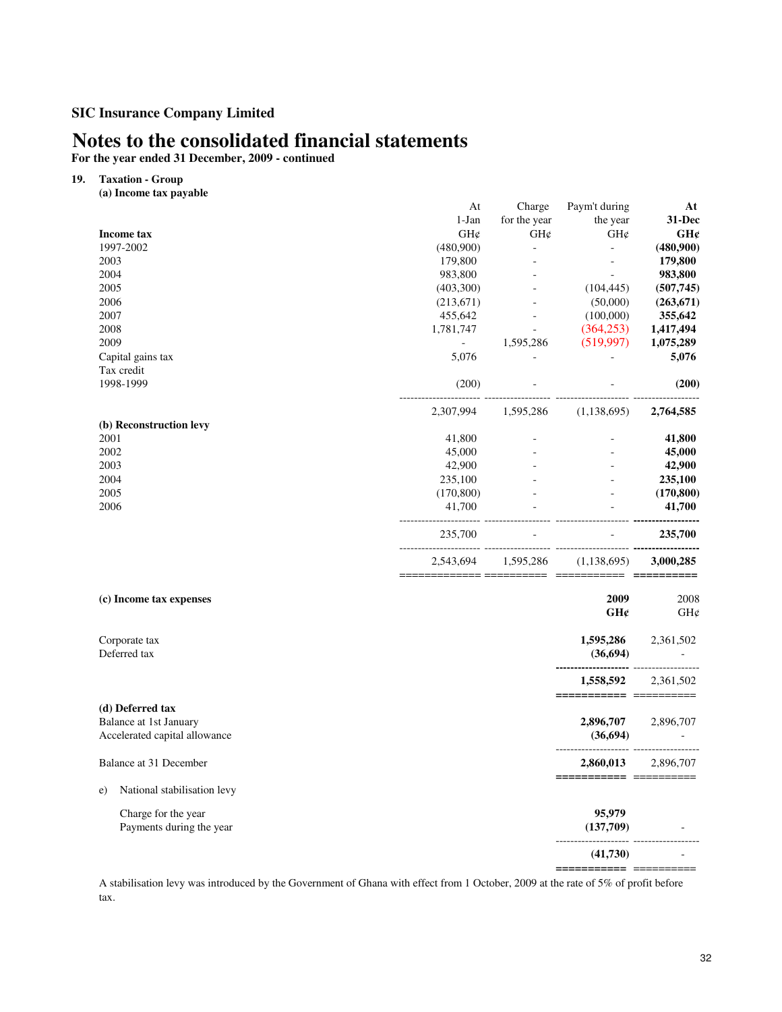# **Notes to the consolidated financial statements**

**For the year ended 31 December, 2009 - continued**

## **19. Taxation - Group**

**(a) Income tax payable** 

|                                   | At             | Charge         | Paym't during                                          | At          |
|-----------------------------------|----------------|----------------|--------------------------------------------------------|-------------|
|                                   | 1-Jan          | for the year   | the year                                               | 31-Dec      |
| <b>Income tax</b>                 | GH¢            | GH¢            | GH¢                                                    | GH¢         |
| 1997-2002                         | (480,900)      | ÷.             | $\mathbf{r}$                                           | (480,900)   |
| 2003                              | 179,800        |                | $\overline{\phantom{a}}$                               | 179,800     |
| 2004                              | 983,800        |                | $\omega$                                               | 983,800     |
| 2005                              | (403,300)      |                | (104, 445)                                             | (507,745)   |
| 2006                              | (213,671)      |                | (50,000)                                               | (263, 671)  |
| 2007                              | 455,642        |                | (100,000)                                              | 355,642     |
| 2008                              | 1,781,747      | $\blacksquare$ | (364, 253)                                             | 1,417,494   |
| 2009                              | $\blacksquare$ | 1,595,286      | (519,997)                                              | 1,075,289   |
| Capital gains tax                 | 5,076          | $\omega$       |                                                        | 5,076       |
| Tax credit                        |                |                |                                                        |             |
| 1998-1999                         | (200)          |                |                                                        | (200)       |
|                                   | 2,307,994      | 1,595,286      | <br>(1, 138, 695)                                      | 2,764,585   |
| (b) Reconstruction levy           |                |                |                                                        |             |
| 2001                              | 41,800         |                |                                                        | 41,800      |
| 2002                              | 45,000         |                |                                                        | 45,000      |
| 2003                              | 42,900         |                |                                                        | 42,900      |
| 2004                              | 235,100        |                |                                                        | 235,100     |
| 2005                              | (170, 800)     |                |                                                        | (170, 800)  |
| 2006                              | 41,700         |                | $\mathbf{r}$                                           | 41,700      |
|                                   | 235,700        |                |                                                        | 235,700     |
|                                   | 2,543,694      | 1,595,286      | (1, 138, 695)<br>======= ========== =========== ====== | 3,000,285   |
|                                   |                |                |                                                        |             |
| (c) Income tax expenses           |                |                | 2009<br>GH¢                                            | 2008<br>GH¢ |
|                                   |                |                |                                                        |             |
| Corporate tax                     |                |                | 1,595,286                                              | 2,361,502   |
| Deferred tax                      |                |                | (36, 694)                                              |             |
|                                   |                |                | 1,558,592                                              | 2,361,502   |
| (d) Deferred tax                  |                |                | ======================                                 |             |
| Balance at 1st January            |                |                | 2,896,707                                              | 2,896,707   |
| Accelerated capital allowance     |                |                | (36, 694)                                              |             |
| Balance at 31 December            |                |                | 2,860,013                                              | 2,896,707   |
|                                   |                |                |                                                        |             |
| National stabilisation levy<br>e) |                |                |                                                        |             |
| Charge for the year               |                |                | 95,979                                                 |             |
| Payments during the year          |                |                | (137,709)                                              |             |
|                                   |                |                | (41, 730)                                              |             |
|                                   |                |                |                                                        |             |

A stabilisation levy was introduced by the Government of Ghana with effect from 1 October, 2009 at the rate of 5% of profit before tax.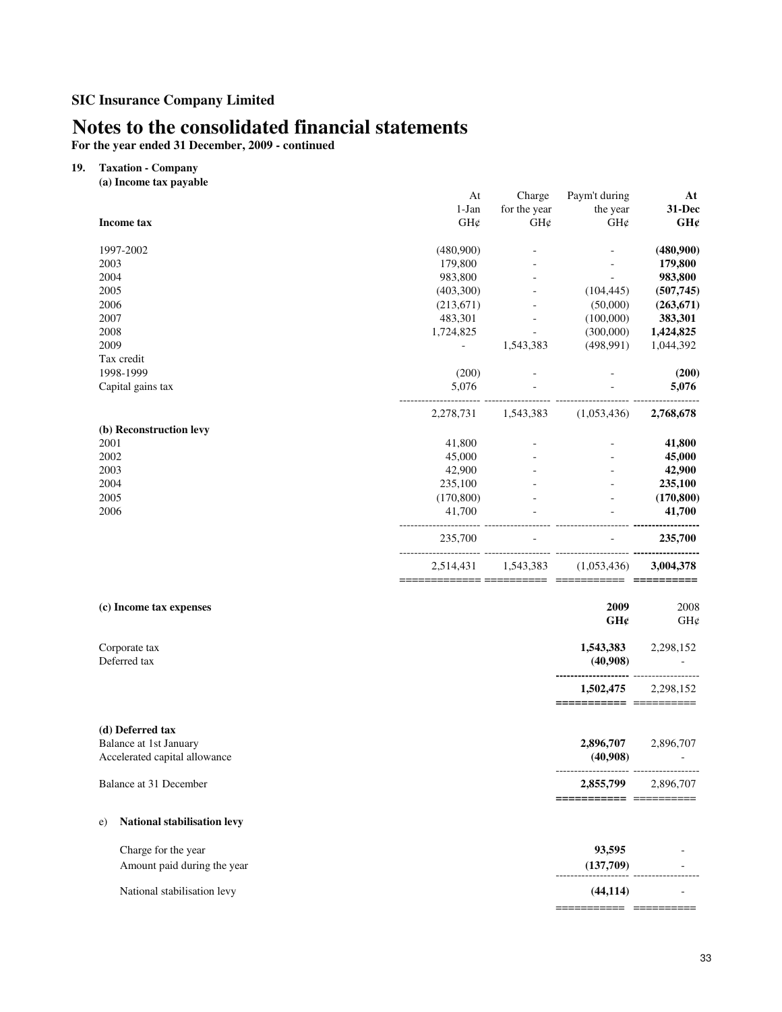# **Notes to the consolidated financial statements**

**For the year ended 31 December, 2009 - continued**

### **19. Taxation - Company**

| (a) Income tax payable            |            |              |                                     |                                       |
|-----------------------------------|------------|--------------|-------------------------------------|---------------------------------------|
|                                   | At         | Charge       | Paym't during                       | At                                    |
|                                   | $1-Jan$    | for the year | the year                            | 31-Dec                                |
| <b>Income tax</b>                 | GH¢        | GH¢          | GH¢                                 | GH¢                                   |
| 1997-2002                         | (480,900)  |              |                                     | (480,900)                             |
| 2003                              | 179,800    |              |                                     | 179,800                               |
| 2004                              | 983,800    |              | ÷                                   | 983,800                               |
| 2005                              | (403,300)  |              | (104, 445)                          | (507,745)                             |
| 2006                              | (213, 671) |              | (50,000)                            | (263, 671)                            |
| 2007                              | 483,301    | $\omega$     | (100,000)                           | 383,301                               |
| 2008                              | 1,724,825  | $\omega$     | (300,000)                           | 1,424,825                             |
| 2009                              |            | 1,543,383    | (498, 991)                          | 1,044,392                             |
| Tax credit                        |            |              |                                     |                                       |
| 1998-1999                         | (200)      |              |                                     | (200)                                 |
| Capital gains tax                 | 5,076      |              |                                     | 5,076                                 |
|                                   | 2,278,731  | 1,543,383    | (1,053,436)                         | 2,768,678                             |
| (b) Reconstruction levy           |            |              |                                     |                                       |
| 2001                              | 41,800     |              |                                     | 41,800                                |
| 2002                              | 45,000     |              |                                     | 45,000                                |
| 2003                              | 42,900     |              |                                     | 42,900                                |
| 2004                              | 235,100    |              |                                     | 235,100                               |
| 2005                              | (170, 800) |              |                                     | (170, 800)                            |
| 2006                              | 41,700     |              | $\mathbf{r}$                        | 41,700                                |
|                                   | 235,700    |              |                                     | 235,700                               |
|                                   | 2,514,431  | 1,543,383    | (1,053,436)                         | 3,004,378                             |
|                                   |            |              |                                     |                                       |
| (c) Income tax expenses           |            |              | 2009                                | 2008                                  |
|                                   |            |              | GH¢                                 | GH¢                                   |
| Corporate tax<br>Deferred tax     |            |              | 1,543,383<br>(40,908)               | 2,298,152<br>$\overline{\phantom{a}}$ |
|                                   |            |              |                                     |                                       |
|                                   |            |              | 1,502,475<br>====================== | 2,298,152                             |
|                                   |            |              |                                     |                                       |
| (d) Deferred tax                  |            |              |                                     |                                       |
| <b>Balance at 1st January</b>     |            |              | 2,896,707                           | 2,896,707                             |
| Accelerated capital allowance     |            |              | (40,908)                            |                                       |
| Balance at 31 December            |            |              | 2,855,799 2,896,707                 |                                       |
|                                   |            |              | =====================               |                                       |
| National stabilisation levy<br>e) |            |              |                                     |                                       |
| Charge for the year               |            |              | 93,595                              |                                       |
| Amount paid during the year       |            |              |                                     | $(137,709)$                           |
| National stabilisation levy       |            |              | (44, 114)                           |                                       |
|                                   |            |              |                                     |                                       |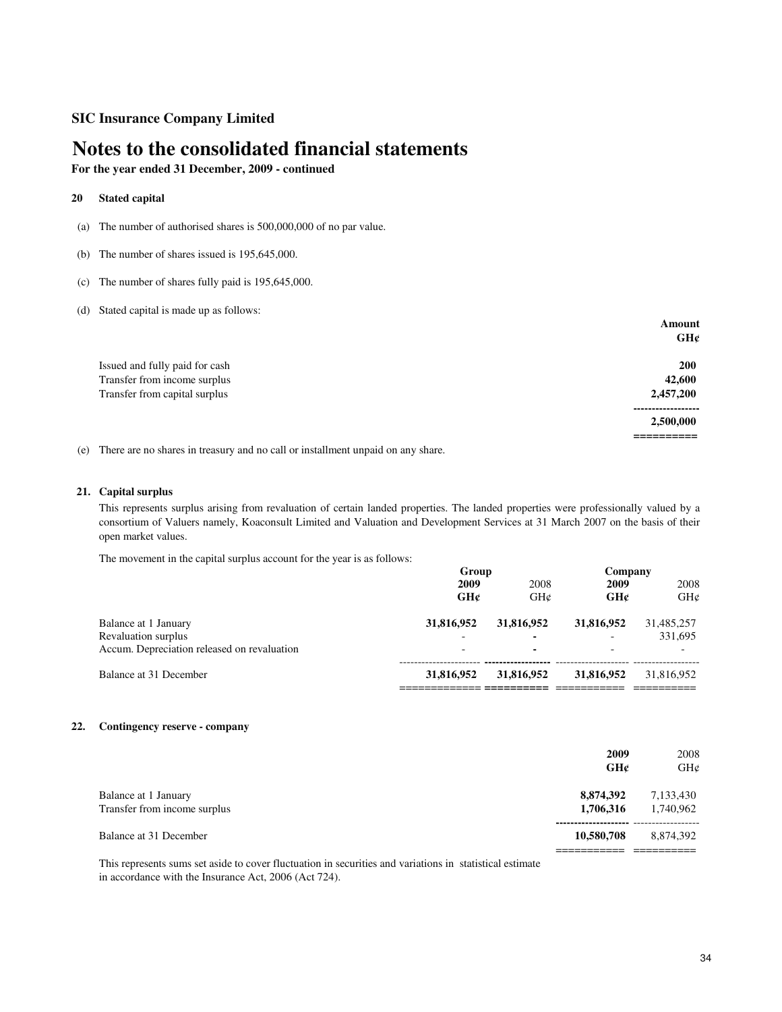# **Notes to the consolidated financial statements**

**For the year ended 31 December, 2009 - continued**

### **20 Stated capital**

- (a) The number of authorised shares is 500,000,000 of no par value.
- (b) The number of shares issued is 195,645,000.
- (c) The number of shares fully paid is 195,645,000.
- (d) Stated capital is made up as follows:

|                                | Amount     |
|--------------------------------|------------|
|                                | GH¢        |
| Issued and fully paid for cash | <b>200</b> |
| Transfer from income surplus   | 42,600     |
| Transfer from capital surplus  | 2,457,200  |
|                                | 2,500,000  |
|                                |            |

(e) There are no shares in treasury and no call or installment unpaid on any share.

### **21. Capital surplus**

This represents surplus arising from revaluation of certain landed properties. The landed properties were professionally valued by a consortium of Valuers namely, Koaconsult Limited and Valuation and Development Services at 31 March 2007 on the basis of their open market values.

The movement in the capital surplus account for the year is as follows:

|                                             | Group                    |            | Company                  |            |
|---------------------------------------------|--------------------------|------------|--------------------------|------------|
|                                             | 2009                     | 2008       | 2009                     | 2008       |
|                                             | GHC                      | GHC        | GH¢                      | GHC        |
| Balance at 1 January                        | 31,816,952               | 31,816,952 | 31,816,952               | 31,485,257 |
| Revaluation surplus                         | $\overline{\phantom{0}}$ |            | $\overline{\phantom{0}}$ | 331,695    |
| Accum. Depreciation released on revaluation |                          | ۰          |                          |            |
| Balance at 31 December                      | 31,816,952               | 31,816,952 | 31,816,952               | 31.816.952 |
|                                             |                          |            |                          |            |

### **22. Contingency reserve - company**

|                                                      | 2009<br>GH¢            | 2008<br>GHC            |
|------------------------------------------------------|------------------------|------------------------|
| Balance at 1 January<br>Transfer from income surplus | 8,874,392<br>1,706,316 | 7,133,430<br>1.740.962 |
| Balance at 31 December                               | 10,580,708             | 8,874,392              |

This represents sums set aside to cover fluctuation in securities and variations in statistical estimate in accordance with the Insurance Act, 2006 (Act 724).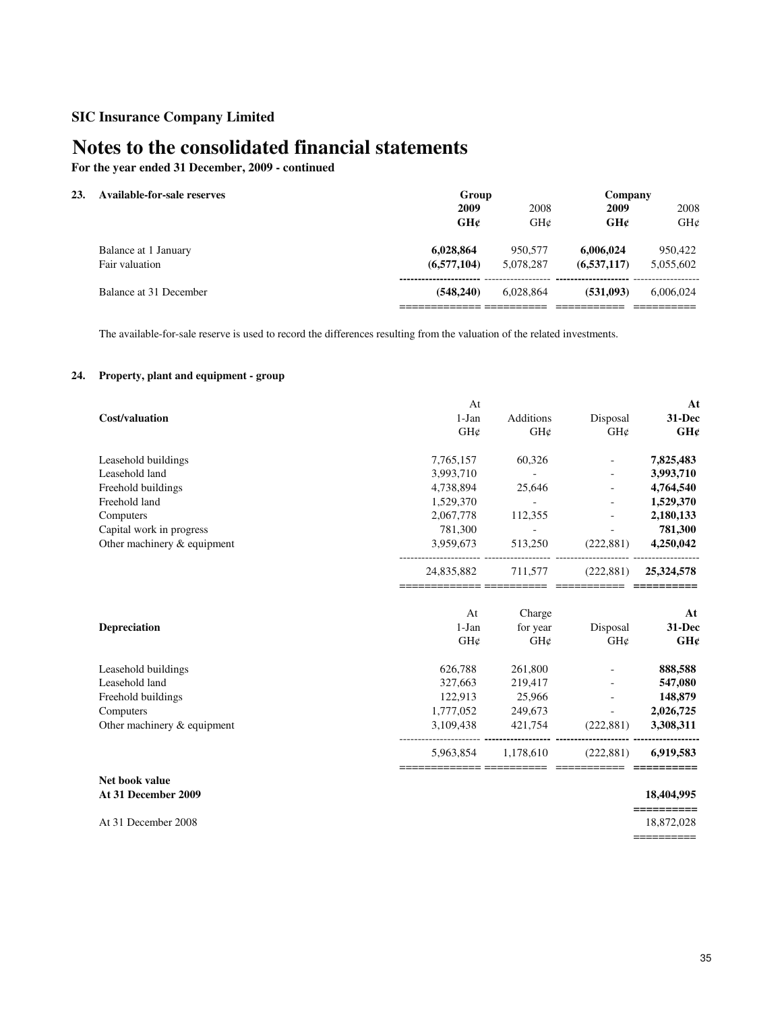# **Notes to the consolidated financial statements**

**For the year ended 31 December, 2009 - continued**

### **23. Available-for-sale reserves**

|                        |             | -----     |               |           |  |  |
|------------------------|-------------|-----------|---------------|-----------|--|--|
|                        | 2009        | 2008      | 2009          | 2008      |  |  |
|                        | GHC         | GHC       | GHC           | GH¢       |  |  |
| Balance at 1 January   | 6.028.864   | 950,577   | 6,006,024     | 950,422   |  |  |
| Fair valuation         | (6,577,104) | 5.078.287 | (6, 537, 117) | 5,055,602 |  |  |
| Balance at 31 December | (548,240)   | 6.028.864 | (531.093)     | 6.006.024 |  |  |
|                        |             |           |               |           |  |  |

**Group Company**

The available-for-sale reserve is used to record the differences resulting from the valuation of the related investments.

## **24. Property, plant and equipment - group**

|                             | At         |                  |            | At         |
|-----------------------------|------------|------------------|------------|------------|
| Cost/valuation              | $1-Jan$    | <b>Additions</b> | Disposal   | 31-Dec     |
|                             | GH¢        | GH¢              | GH¢        | GH¢        |
| Leasehold buildings         | 7,765,157  | 60,326           |            | 7,825,483  |
| Leasehold land              | 3,993,710  | $\sim$           |            | 3,993,710  |
| Freehold buildings          | 4,738,894  | 25,646           |            | 4,764,540  |
| Freehold land               | 1,529,370  | $\sim$           |            | 1,529,370  |
| Computers                   | 2,067,778  | 112,355          |            | 2,180,133  |
| Capital work in progress    | 781,300    |                  |            | 781,300    |
| Other machinery & equipment | 3,959,673  | 513,250          | (222, 881) | 4,250,042  |
|                             | 24,835,882 | 711,577          | (222, 881) | 25,324,578 |
|                             | At         | Charge           |            | At         |
| <b>Depreciation</b>         | $1-Jan$    | for year         | Disposal   | 31-Dec     |
|                             | GH¢        | $GH\mathcal{C}$  | GH¢        | GH¢        |
| Leasehold buildings         | 626,788    | 261,800          |            | 888,588    |
| Leasehold land              | 327,663    | 219,417          |            | 547,080    |
| Freehold buildings          | 122,913    | 25,966           |            | 148,879    |
| Computers                   | 1,777,052  | 249,673          |            | 2,026,725  |
| Other machinery & equipment | 3,109,438  | 421,754          | (222, 881) | 3,308,311  |
|                             | 5,963,854  | 1,178,610        | (222, 881) | 6,919,583  |
|                             |            |                  |            |            |

### **Net book value At 31 December 2009 18,404,995**

At 31 December 2008

**==========**

==========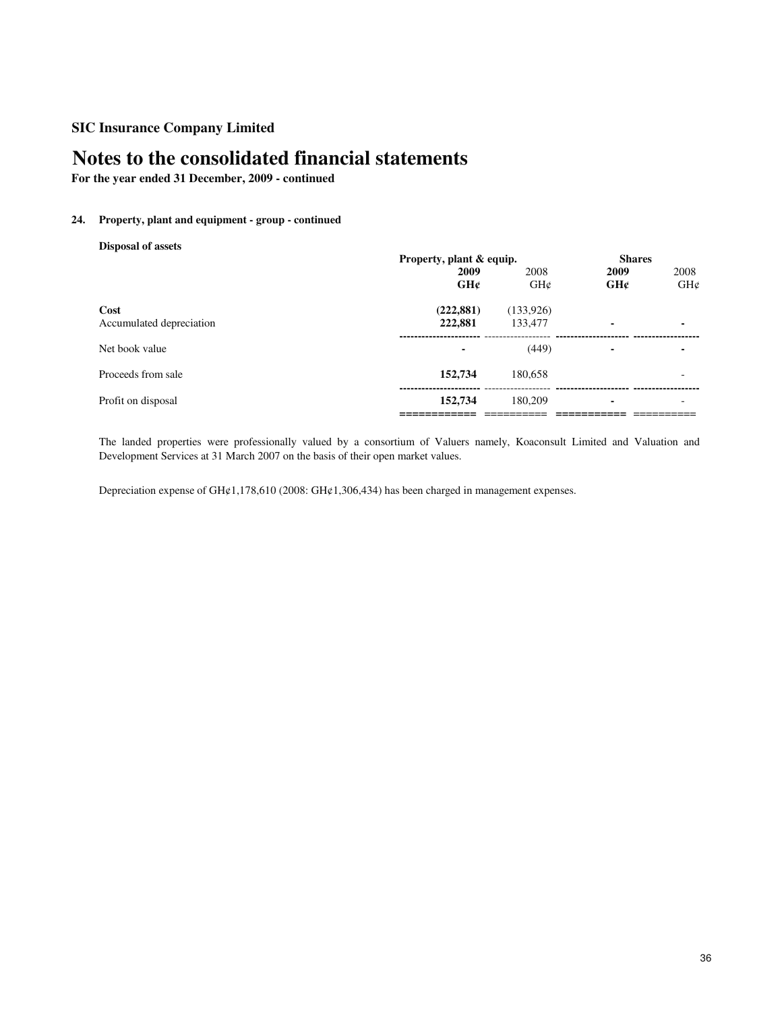# **Notes to the consolidated financial statements**

**For the year ended 31 December, 2009 - continued**

## **24. Property, plant and equipment - group - continued**

**Disposal of assets**

|                          |            | Property, plant & equip. |      | <b>Shares</b>            |  |
|--------------------------|------------|--------------------------|------|--------------------------|--|
|                          | 2009       | 2008                     | 2009 | 2008                     |  |
|                          | GHC        | GHC                      | GHC  | GH¢                      |  |
| Cost                     | (222, 881) | (133,926)                |      |                          |  |
| Accumulated depreciation | 222,881    | 133,477                  | ۰    | ٠                        |  |
| Net book value           |            | (449)                    |      | ٠                        |  |
| Proceeds from sale       | 152,734    | 180.658                  |      | $\overline{\phantom{0}}$ |  |
| Profit on disposal       | 152,734    | 180,209                  | ۰    | $\overline{\phantom{a}}$ |  |
|                          |            |                          |      |                          |  |

The landed properties were professionally valued by a consortium of Valuers namely, Koaconsult Limited and Valuation and Development Services at 31 March 2007 on the basis of their open market values.

Depreciation expense of GH¢1,178,610 (2008: GH¢1,306,434) has been charged in management expenses.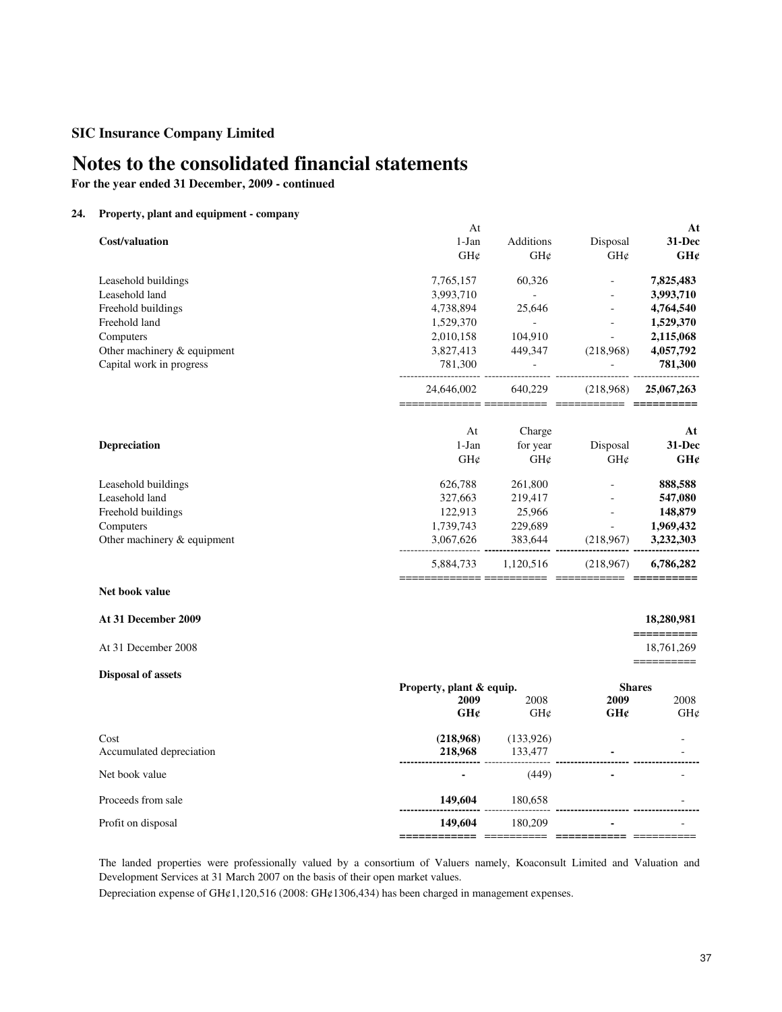# **Notes to the consolidated financial statements**

**For the year ended 31 December, 2009 - continued**

## **24. Property, plant and equipment - company**

|                             | At                                                 |                |                           | At                       |
|-----------------------------|----------------------------------------------------|----------------|---------------------------|--------------------------|
| <b>Cost/valuation</b>       | 1-Jan                                              | Additions      | Disposal                  | 31-Dec                   |
|                             | GH¢                                                | GH¢            | GH¢                       | GH¢                      |
| Leasehold buildings         | 7,765,157                                          | 60,326         |                           | 7,825,483                |
| Leasehold land              | 3,993,710                                          | $\sim$         |                           | 3,993,710                |
| Freehold buildings          | 4,738,894                                          | 25,646         | $\overline{a}$            | 4,764,540                |
| Freehold land               | 1,529,370                                          | $\omega$ .     |                           | 1,529,370                |
| Computers                   | 2,010,158                                          | 104,910        | $\overline{a}$            | 2,115,068                |
| Other machinery & equipment | 3,827,413                                          | 449,347        | (218,968)                 | 4,057,792                |
| Capital work in progress    | 781,300                                            | $\blacksquare$ |                           | 781,300                  |
|                             | 24,646,002                                         | 640,229        | (218,968)                 | 25,067,263               |
|                             | At                                                 | Charge         |                           | At                       |
| Depreciation                | $1-Jan$                                            | for year       | Disposal                  | 31-Dec                   |
|                             | GH¢                                                | GH¢            | $\mathrm{GH}\mathfrak{C}$ | GH¢                      |
| Leasehold buildings         | 626,788                                            | 261,800        |                           | 888,588                  |
| Leasehold land              | 327,663                                            | 219,417        |                           | 547,080                  |
| Freehold buildings          | 122,913                                            | 25,966         |                           | 148,879                  |
| Computers                   | 1,739,743                                          | 229,689        | $\sim$                    | 1,969,432                |
| Other machinery & equipment | 3,067,626                                          | 383,644        | (218,967)                 | 3,232,303                |
|                             | 5,884,733                                          | 1,120,516      | (218,967)                 | 6,786,282                |
| Net book value              |                                                    |                |                           |                          |
| At 31 December 2009         |                                                    |                |                           | 18,280,981<br>========== |
| At 31 December 2008         |                                                    |                |                           | 18,761,269<br>========== |
| <b>Disposal of assets</b>   |                                                    |                |                           |                          |
|                             | Property, plant & equip.<br>2009                   | 2008           | <b>Shares</b><br>2009     |                          |
|                             | GH¢                                                | GH¢            | GH¢                       | 2008<br>GH¢              |
|                             |                                                    |                |                           |                          |
| Cost                        | (218,968)                                          | (133, 926)     |                           |                          |
| Accumulated depreciation    | 218,968                                            | 133,477        |                           |                          |
|                             |                                                    |                |                           |                          |
| Net book value              |                                                    | (449)          |                           |                          |
| Proceeds from sale          | 149,604                                            | 180,658        |                           |                          |
| Profit on disposal          | 149,604<br>============= =========== =========== = | 180,209        |                           |                          |
|                             |                                                    |                |                           |                          |

The landed properties were professionally valued by a consortium of Valuers namely, Koaconsult Limited and Valuation and Development Services at 31 March 2007 on the basis of their open market values.

Depreciation expense of GH¢1,120,516 (2008: GH¢1306,434) has been charged in management expenses.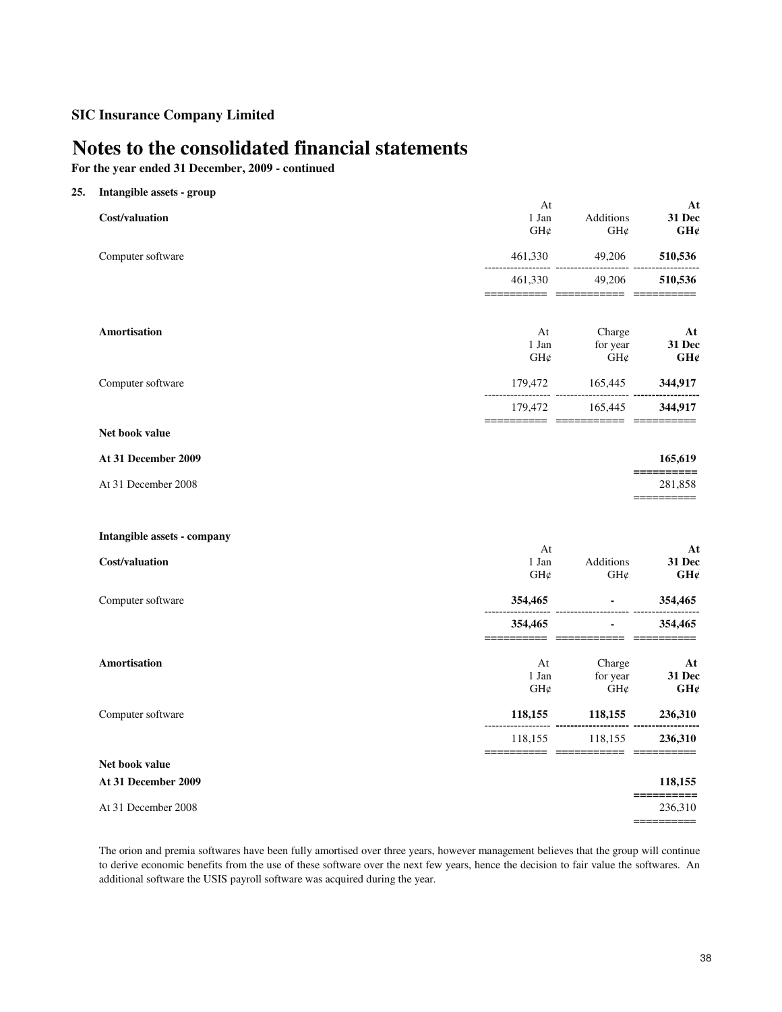# **Notes to the consolidated financial statements**

**For the year ended 31 December, 2009 - continued**

| 25. | Intangible assets - group   |                                                 |                                            |                                                                                                                                                                                                                                                                                                                                                                                                                                                |
|-----|-----------------------------|-------------------------------------------------|--------------------------------------------|------------------------------------------------------------------------------------------------------------------------------------------------------------------------------------------------------------------------------------------------------------------------------------------------------------------------------------------------------------------------------------------------------------------------------------------------|
|     | Cost/valuation              | At<br>1 Jan<br>$GH\mathcal{C}$                  | Additions<br>$GH\mathcal{C}$               | At<br>31 Dec<br>GH¢                                                                                                                                                                                                                                                                                                                                                                                                                            |
|     | Computer software           | 461,330                                         | 49,206                                     | 510,536                                                                                                                                                                                                                                                                                                                                                                                                                                        |
|     |                             | 461,330                                         | 49,206                                     | 510,536                                                                                                                                                                                                                                                                                                                                                                                                                                        |
|     | <b>Amortisation</b>         | At<br>1 Jan<br>$GH\mathcal{C}$                  | Charge<br>for year<br>GH¢                  | At<br><b>31 Dec</b><br>GH¢                                                                                                                                                                                                                                                                                                                                                                                                                     |
|     | Computer software           |                                                 |                                            |                                                                                                                                                                                                                                                                                                                                                                                                                                                |
|     |                             | 179,472<br>==================================== | 165,445                                    | 344,917                                                                                                                                                                                                                                                                                                                                                                                                                                        |
|     | Net book value              |                                                 |                                            |                                                                                                                                                                                                                                                                                                                                                                                                                                                |
|     | At 31 December 2009         |                                                 |                                            | 165,619<br>$=$ =========                                                                                                                                                                                                                                                                                                                                                                                                                       |
|     | At 31 December 2008         |                                                 |                                            | 281,858<br>==========                                                                                                                                                                                                                                                                                                                                                                                                                          |
|     | Intangible assets - company |                                                 |                                            |                                                                                                                                                                                                                                                                                                                                                                                                                                                |
|     | Cost/valuation              | At<br>1 Jan<br>GH¢                              | Additions<br>GH¢                           | At<br>31 Dec<br>GH¢                                                                                                                                                                                                                                                                                                                                                                                                                            |
|     | Computer software           | 354,465                                         | All Controller                             | 354,465                                                                                                                                                                                                                                                                                                                                                                                                                                        |
|     |                             | 354,465                                         | $\sim 100$                                 | 354,465                                                                                                                                                                                                                                                                                                                                                                                                                                        |
|     | <b>Amortisation</b>         | At<br>1 Jan<br>GH¢                              | Charge<br>for year<br>$\mathrm{GH}\varphi$ | At<br>31 Dec<br>GH¢                                                                                                                                                                                                                                                                                                                                                                                                                            |
|     | Computer software           | 118,155                                         | 118,155                                    | 236,310                                                                                                                                                                                                                                                                                                                                                                                                                                        |
|     |                             |                                                 | 118,155 118,155                            | 236,310                                                                                                                                                                                                                                                                                                                                                                                                                                        |
|     | Net book value              |                                                 |                                            |                                                                                                                                                                                                                                                                                                                                                                                                                                                |
|     | At 31 December 2009         |                                                 |                                            | 118,155<br>$\begin{array}{cccccc} \texttt{m} & \texttt{m} & \texttt{m} & \texttt{m} & \texttt{m} & \texttt{m} & \texttt{m} & \texttt{m} & \texttt{m} & \texttt{m} & \texttt{m} & \texttt{m} & \texttt{m} & \texttt{m} & \texttt{m} & \texttt{m} & \texttt{m} & \texttt{m} & \texttt{m} & \texttt{m} & \texttt{m} & \texttt{m} & \texttt{m} & \texttt{m} & \texttt{m} & \texttt{m} & \texttt{m} & \texttt{m} & \texttt{m} & \texttt{m} & \text$ |
|     | At 31 December 2008         |                                                 |                                            | 236,310<br>==========                                                                                                                                                                                                                                                                                                                                                                                                                          |
|     |                             |                                                 |                                            |                                                                                                                                                                                                                                                                                                                                                                                                                                                |

The orion and premia softwares have been fully amortised over three years, however management believes that the group will continue to derive economic benefits from the use of these software over the next few years, hence the decision to fair value the softwares. An additional software the USIS payroll software was acquired during the year.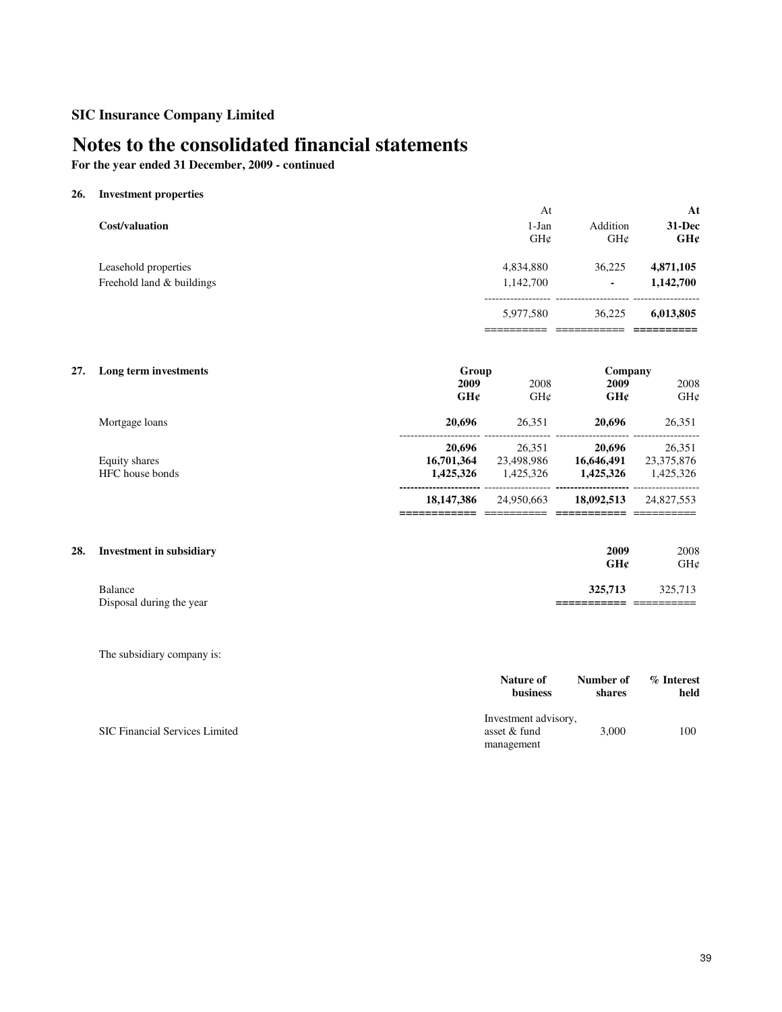# **Notes to the consolidated financial statements**

**For the year ended 31 December, 2009 - continued**

## **26. Investment properties**

|                                                   | At                         |                 | At                     |
|---------------------------------------------------|----------------------------|-----------------|------------------------|
| Cost/valuation                                    | $1-Jan$<br>$GH\mathcal{C}$ | Addition<br>GHC | 31-Dec<br>GH¢          |
| Leasehold properties<br>Freehold land & buildings | 4,834,880<br>1,142,700     | 36.225<br>۰     | 4,871,105<br>1,142,700 |
|                                                   | 5,977,580                  | 36,225          | 6,013,805              |
|                                                   |                            |                 |                        |

| 27. | Long term investments            | Group                             |                                   | Company                           |                                   |
|-----|----------------------------------|-----------------------------------|-----------------------------------|-----------------------------------|-----------------------------------|
|     |                                  | 2009<br>GH¢                       | 2008<br>GHC                       | 2009<br>GH¢                       | 2008<br>GH¢                       |
|     | Mortgage loans                   | 20,696                            | 26.351                            | 20,696                            | 26,351                            |
|     | Equity shares<br>HFC house bonds | 20,696<br>16,701,364<br>1,425,326 | 26.351<br>23,498,986<br>1.425.326 | 20,696<br>16,646,491<br>1,425,326 | 26,351<br>23,375,876<br>1,425,326 |
|     |                                  | 18, 147, 386                      | 24,950,663                        | 18,092,513                        | 24,827,553                        |

# **28.** Investment in subsidiary **2009** 2008<br> **2009** 2008<br> **2009** 2008<br> **2009** 2008

| 325,713<br>Balance                                      | 325,713             |
|---------------------------------------------------------|---------------------|
| Disposal during the year<br>____________<br>___________ | ____<br>___________ |

The subsidiary company is:

|                                       | Nature of                                          | Number of | % Interest |
|---------------------------------------|----------------------------------------------------|-----------|------------|
|                                       | business                                           | shares    | held       |
| <b>SIC Financial Services Limited</b> | Investment advisory,<br>asset & fund<br>management | 3,000     | 100        |

**GH¢** GH¢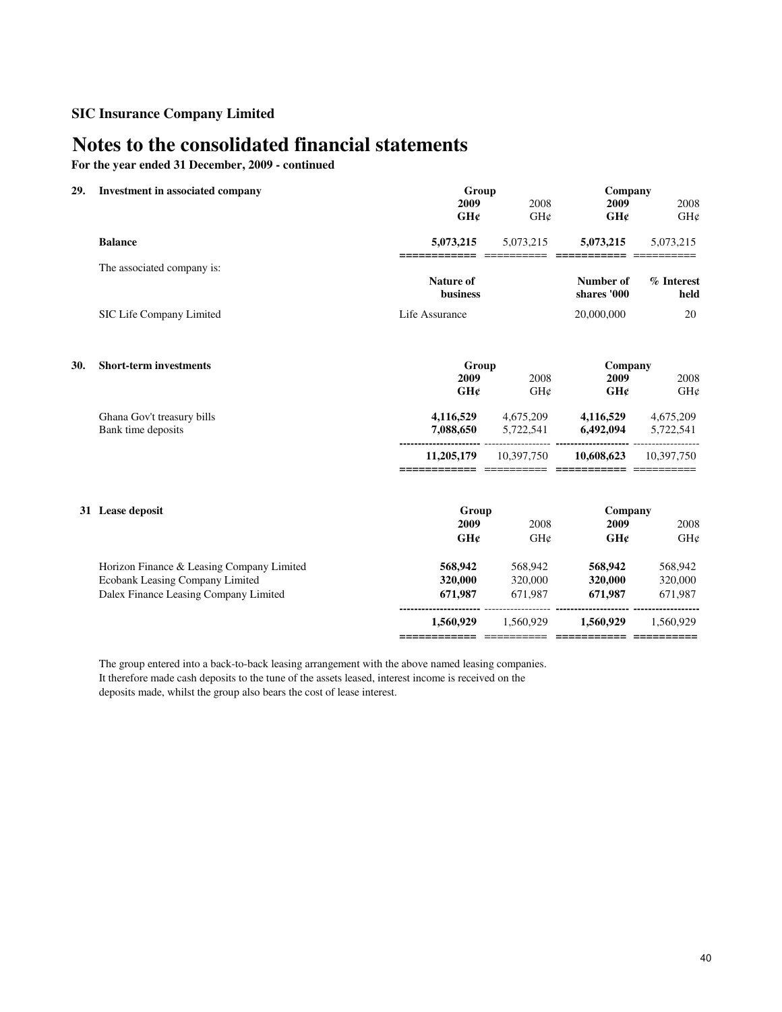# **Notes to the consolidated financial statements**

**For the year ended 31 December, 2009 - continued**

| Investment in associated company          | Group                                                                                                              |                                                                | Company                                                                                                                                     |                                                                                                                                      |
|-------------------------------------------|--------------------------------------------------------------------------------------------------------------------|----------------------------------------------------------------|---------------------------------------------------------------------------------------------------------------------------------------------|--------------------------------------------------------------------------------------------------------------------------------------|
|                                           | 2009<br>GH¢                                                                                                        | 2008<br>GH¢                                                    | 2009<br>GH¢                                                                                                                                 | 2008<br>GH¢                                                                                                                          |
| <b>Balance</b>                            | 5,073,215                                                                                                          | 5,073,215                                                      | 5,073,215                                                                                                                                   | 5,073,215                                                                                                                            |
| The associated company is:                |                                                                                                                    |                                                                |                                                                                                                                             | % Interest                                                                                                                           |
|                                           | business                                                                                                           |                                                                | shares '000                                                                                                                                 | held                                                                                                                                 |
| SIC Life Company Limited                  | Life Assurance                                                                                                     |                                                                | 20,000,000                                                                                                                                  | 20                                                                                                                                   |
| <b>Short-term investments</b>             |                                                                                                                    |                                                                |                                                                                                                                             |                                                                                                                                      |
|                                           | GH¢                                                                                                                | GH¢                                                            | GH¢                                                                                                                                         | 2008<br>GH¢                                                                                                                          |
| Ghana Gov't treasury bills                | 4,116,529                                                                                                          | 4,675,209                                                      | 4,116,529                                                                                                                                   | 4,675,209                                                                                                                            |
|                                           |                                                                                                                    |                                                                |                                                                                                                                             | 5,722,541                                                                                                                            |
|                                           | 11,205,179                                                                                                         | 10,397,750                                                     | 10,608,623                                                                                                                                  | 10.397.750                                                                                                                           |
|                                           |                                                                                                                    |                                                                |                                                                                                                                             |                                                                                                                                      |
|                                           | 2009                                                                                                               | 2008                                                           | 2009                                                                                                                                        | 2008                                                                                                                                 |
|                                           |                                                                                                                    |                                                                |                                                                                                                                             | GH¢                                                                                                                                  |
| Horizon Finance & Leasing Company Limited | 568,942                                                                                                            | 568,942                                                        | 568,942                                                                                                                                     | 568,942                                                                                                                              |
|                                           | 320,000                                                                                                            | 320,000                                                        |                                                                                                                                             | 320,000                                                                                                                              |
|                                           |                                                                                                                    |                                                                |                                                                                                                                             | 671,987                                                                                                                              |
|                                           | 1,560,929                                                                                                          | 1.560.929                                                      | 1,560,929                                                                                                                                   | 1,560,929                                                                                                                            |
|                                           | Bank time deposits<br>31 Lease deposit<br>Ecobank Leasing Company Limited<br>Dalex Finance Leasing Company Limited | ==========<br>Nature of<br>2009<br>7,088,650<br>GHC<br>671,987 | $\begin{array}{c} \textbf{---} \textbf{---} \textbf{---} \textbf{---} \end{array}$<br>Group<br>2008<br>5,722,541<br>Group<br>GH¢<br>671,987 | ===========<br>Number of<br>Company<br>2009<br>6,492,094<br>---- --------- -----------------<br>Company<br>GH¢<br>320,000<br>671,987 |

The group entered into a back-to-back leasing arrangement with the above named leasing companies. It therefore made cash deposits to the tune of the assets leased, interest income is received on the deposits made, whilst the group also bears the cost of lease interest.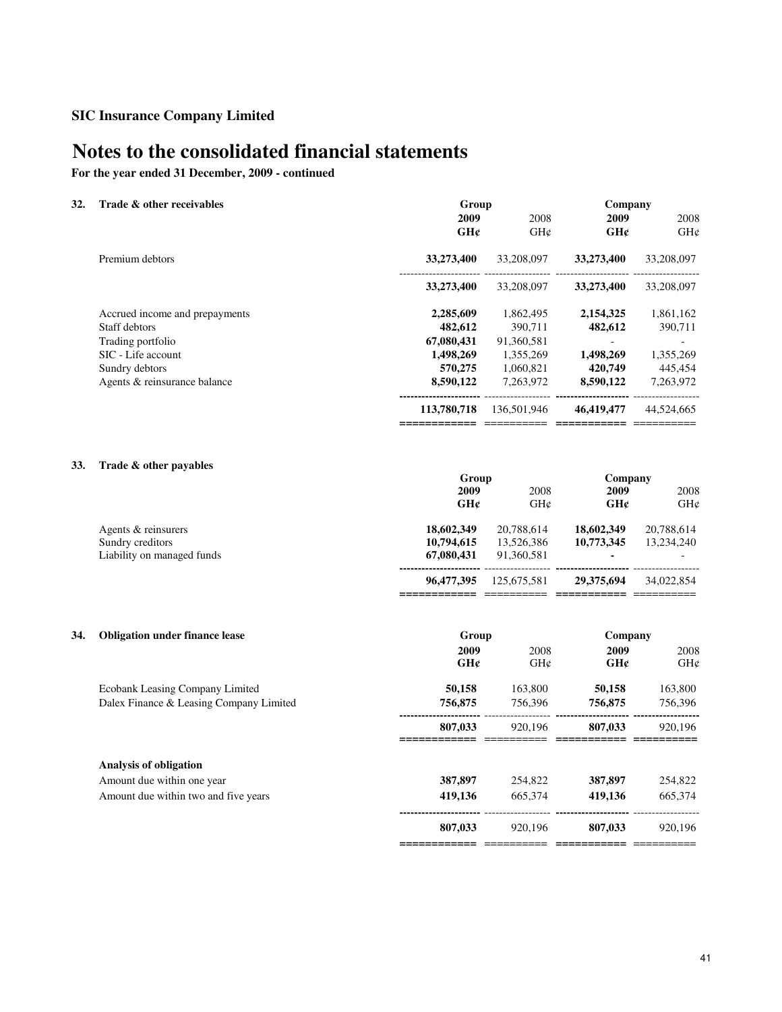# **Notes to the consolidated financial statements**

**For the year ended 31 December, 2009 - continued**

| 32. | Trade & other receivables      | Group       |                 | Company    |            |
|-----|--------------------------------|-------------|-----------------|------------|------------|
|     |                                | 2009        | 2008            | 2009       | 2008       |
|     |                                | GHc         | $GH\mathcal{C}$ | GH¢        | GHC        |
|     | Premium debtors                | 33,273,400  | 33,208,097      | 33,273,400 | 33,208,097 |
|     |                                | 33,273,400  | 33,208,097      | 33,273,400 | 33,208,097 |
|     | Accrued income and prepayments | 2,285,609   | 1,862,495       | 2,154,325  | 1,861,162  |
|     | Staff debtors                  | 482,612     | 390.711         | 482,612    | 390,711    |
|     | Trading portfolio              | 67,080,431  | 91,360,581      |            |            |
|     | SIC - Life account             | 1,498,269   | 1,355,269       | 1,498,269  | 1,355,269  |
|     | Sundry debtors                 | 570,275     | 1,060,821       | 420,749    | 445,454    |
|     | Agents & reinsurance balance   | 8,590,122   | 7.263.972       | 8,590,122  | 7,263,972  |
|     |                                | 113,780,718 | 136,501,946     | 46,419,477 | 44,524,665 |
|     |                                |             |                 |            |            |

## **33. Trade & other payables**

|                            | Group      |             | Company    |            |
|----------------------------|------------|-------------|------------|------------|
|                            | 2009       | 2008        | 2009       | 2008       |
|                            | GHC        | GHC         | GH¢        | GHC        |
| Agents & reinsurers        | 18,602,349 | 20,788,614  | 18,602,349 | 20,788,614 |
| Sundry creditors           | 10,794,615 | 13,526,386  | 10,773,345 | 13.234.240 |
| Liability on managed funds | 67,080,431 | 91.360.581  |            |            |
|                            | 96,477,395 | 125,675,581 | 29,375,694 | 34,022,854 |
|                            |            |             |            |            |

| 34. | <b>Obligation under finance lease</b>   | Group       |             | Company     |             |
|-----|-----------------------------------------|-------------|-------------|-------------|-------------|
|     |                                         | 2009<br>GHC | 2008<br>GHC | 2009<br>GHC | 2008<br>GHC |
|     | Ecobank Leasing Company Limited         | 50,158      | 163,800     | 50,158      | 163,800     |
|     | Dalex Finance & Leasing Company Limited | 756,875     | 756.396     | 756,875     | 756.396     |
|     |                                         | 807,033     | 920,196     | 807,033     | 920,196     |
|     | Analysis of obligation                  |             |             |             |             |
|     | Amount due within one year              | 387,897     | 254,822     | 387,897     | 254,822     |
|     | Amount due within two and five years    | 419,136     | 665,374     | 419,136     | 665,374     |
|     |                                         | 807,033     | 920,196     | 807,033     | 920.196     |
|     |                                         |             |             |             |             |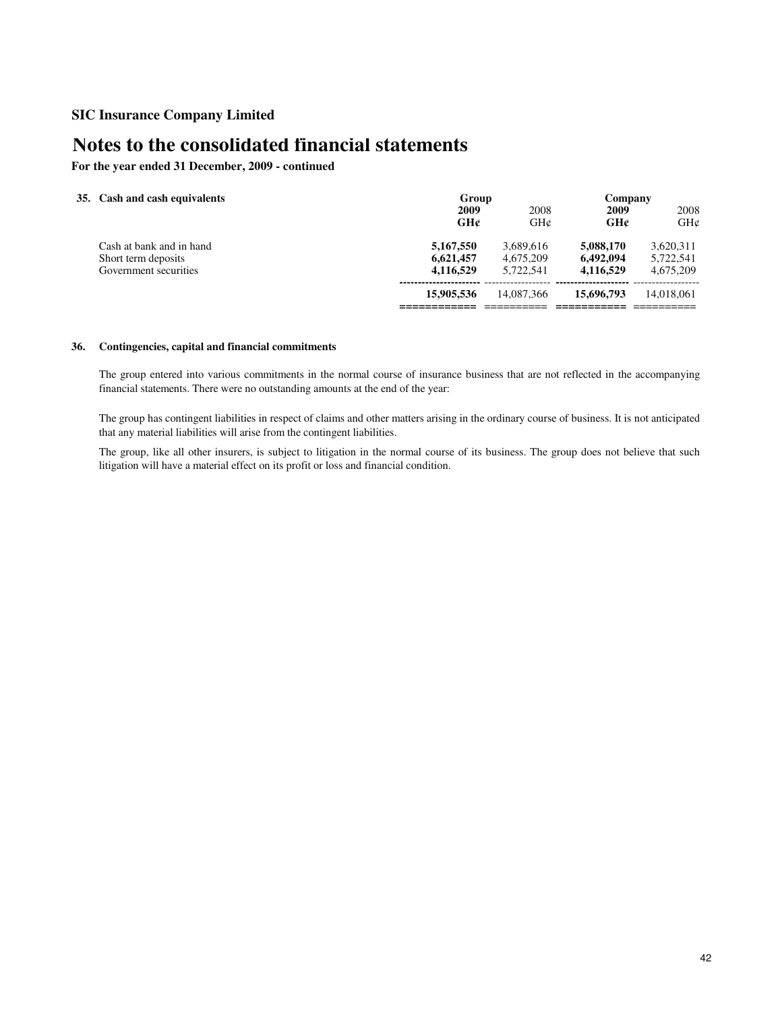# **Notes to the consolidated financial statements**

**For the year ended 31 December, 2009 - continued**

| 35. Cash and cash equivalents                                            | Group<br>2009<br>GH¢                | 2008<br>GHC                         | Company<br>2009<br>GH¢              | 2008<br>GHC                         |
|--------------------------------------------------------------------------|-------------------------------------|-------------------------------------|-------------------------------------|-------------------------------------|
| Cash at bank and in hand<br>Short term deposits<br>Government securities | 5,167,550<br>6,621,457<br>4,116,529 | 3.689.616<br>4.675.209<br>5.722.541 | 5,088,170<br>6.492,094<br>4.116.529 | 3,620,311<br>5,722,541<br>4,675,209 |
|                                                                          | 15,905,536                          | 14,087,366                          | 15,696,793                          | 14.018.061                          |

### **36. Contingencies, capital and financial commitments**

The group entered into various commitments in the normal course of insurance business that are not reflected in the accompanying financial statements. There were no outstanding amounts at the end of the year:

The group has contingent liabilities in respect of claims and other matters arising in the ordinary course of business. It is not anticipated that any material liabilities will arise from the contingent liabilities.

The group, like all other insurers, is subject to litigation in the normal course of its business. The group does not believe that such litigation will have a material effect on its profit or loss and financial condition.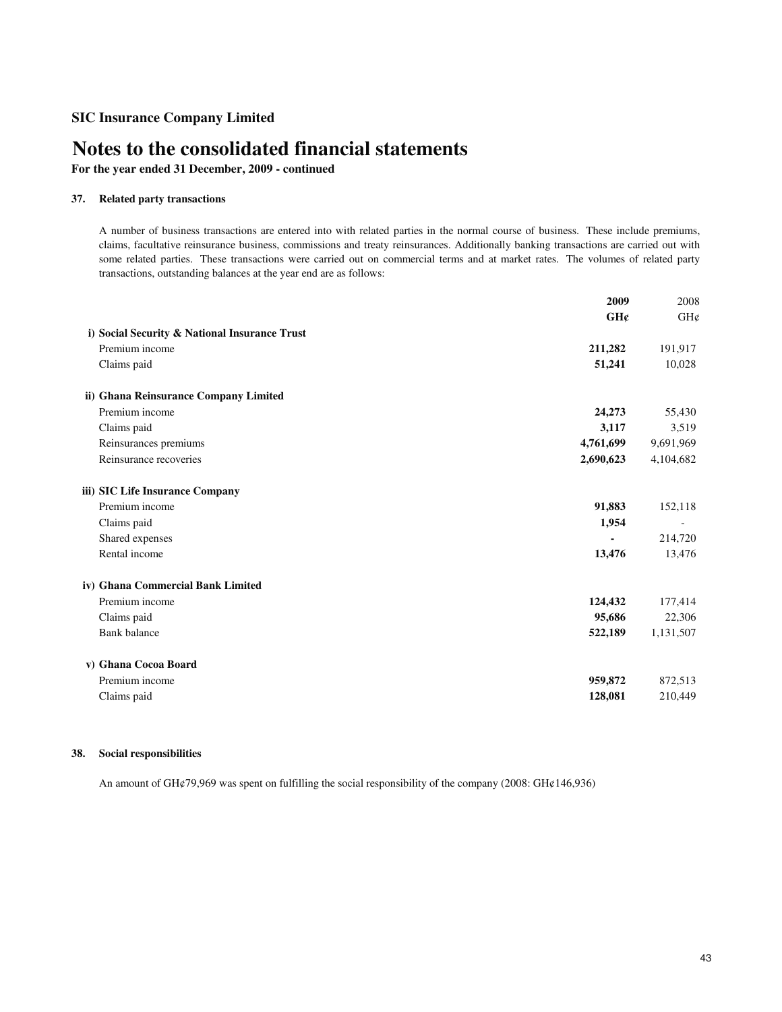# **Notes to the consolidated financial statements**

**For the year ended 31 December, 2009 - continued**

### **37. Related party transactions**

A number of business transactions are entered into with related parties in the normal course of business. These include premiums, claims, facultative reinsurance business, commissions and treaty reinsurances. Additionally banking transactions are carried out with some related parties. These transactions were carried out on commercial terms and at market rates. The volumes of related party transactions, outstanding balances at the year end are as follows:

|                                               | 2009      | 2008      |
|-----------------------------------------------|-----------|-----------|
|                                               | GH¢       | GH¢       |
| i) Social Security & National Insurance Trust |           |           |
| Premium income                                | 211,282   | 191,917   |
| Claims paid                                   | 51,241    | 10,028    |
| ii) Ghana Reinsurance Company Limited         |           |           |
| Premium income                                | 24,273    | 55,430    |
| Claims paid                                   | 3,117     | 3,519     |
| Reinsurances premiums                         | 4,761,699 | 9,691,969 |
| Reinsurance recoveries                        | 2,690,623 | 4,104,682 |
| iii) SIC Life Insurance Company               |           |           |
| Premium income                                | 91,883    | 152,118   |
| Claims paid                                   | 1,954     |           |
| Shared expenses                               |           | 214,720   |
| Rental income                                 | 13,476    | 13,476    |
| iv) Ghana Commercial Bank Limited             |           |           |
| Premium income                                | 124,432   | 177,414   |
| Claims paid                                   | 95,686    | 22,306    |
| <b>Bank</b> balance                           | 522,189   | 1,131,507 |
| v) Ghana Cocoa Board                          |           |           |
| Premium income                                | 959,872   | 872,513   |
| Claims paid                                   | 128,081   | 210,449   |

## **38. Social responsibilities**

An amount of GH¢79,969 was spent on fulfilling the social responsibility of the company (2008: GH¢146,936)